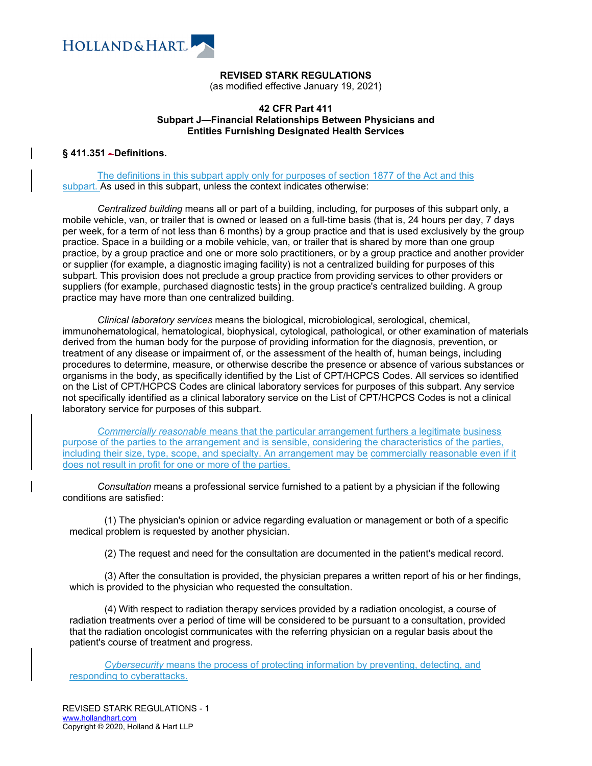

## **REVISED STARK REGULATIONS**

(as modified effective January 19, 2021)

#### **42 CFR Part 411 Subpart J—Financial Relationships Between Physicians and Entities Furnishing Designated Health Services**

## **§ 411.351 - Definitions.**

The definitions in this subpart apply only for purposes of section 1877 of the Act and this subpart. As used in this subpart, unless the context indicates otherwise:

*Centralized building* means all or part of a building, including, for purposes of this subpart only, a mobile vehicle, van, or trailer that is owned or leased on a full-time basis (that is, 24 hours per day, 7 days per week, for a term of not less than 6 months) by a group practice and that is used exclusively by the group practice. Space in a building or a mobile vehicle, van, or trailer that is shared by more than one group practice, by a group practice and one or more solo practitioners, or by a group practice and another provider or supplier (for example, a diagnostic imaging facility) is not a centralized building for purposes of this subpart. This provision does not preclude a group practice from providing services to other providers or suppliers (for example, purchased diagnostic tests) in the group practice's centralized building. A group practice may have more than one centralized building.

*Clinical laboratory services* means the biological, microbiological, serological, chemical, immunohematological, hematological, biophysical, cytological, pathological, or other examination of materials derived from the human body for the purpose of providing information for the diagnosis, prevention, or treatment of any disease or impairment of, or the assessment of the health of, human beings, including procedures to determine, measure, or otherwise describe the presence or absence of various substances or organisms in the body, as specifically identified by the List of CPT/HCPCS Codes. All services so identified on the List of CPT/HCPCS Codes are clinical laboratory services for purposes of this subpart. Any service not specifically identified as a clinical laboratory service on the List of CPT/HCPCS Codes is not a clinical laboratory service for purposes of this subpart.

*Commercially reasonable* means that the particular arrangement furthers a legitimate business purpose of the parties to the arrangement and is sensible, considering the characteristics of the parties, including their size, type, scope, and specialty. An arrangement may be commercially reasonable even if it does not result in profit for one or more of the parties.

*Consultation* means a professional service furnished to a patient by a physician if the following conditions are satisfied:

(1) The physician's opinion or advice regarding evaluation or management or both of a specific medical problem is requested by another physician.

(2) The request and need for the consultation are documented in the patient's medical record.

(3) After the consultation is provided, the physician prepares a written report of his or her findings, which is provided to the physician who requested the consultation.

(4) With respect to radiation therapy services provided by a radiation oncologist, a course of radiation treatments over a period of time will be considered to be pursuant to a consultation, provided that the radiation oncologist communicates with the referring physician on a regular basis about the patient's course of treatment and progress.

*Cybersecurity* means the process of protecting information by preventing, detecting, and responding to cyberattacks.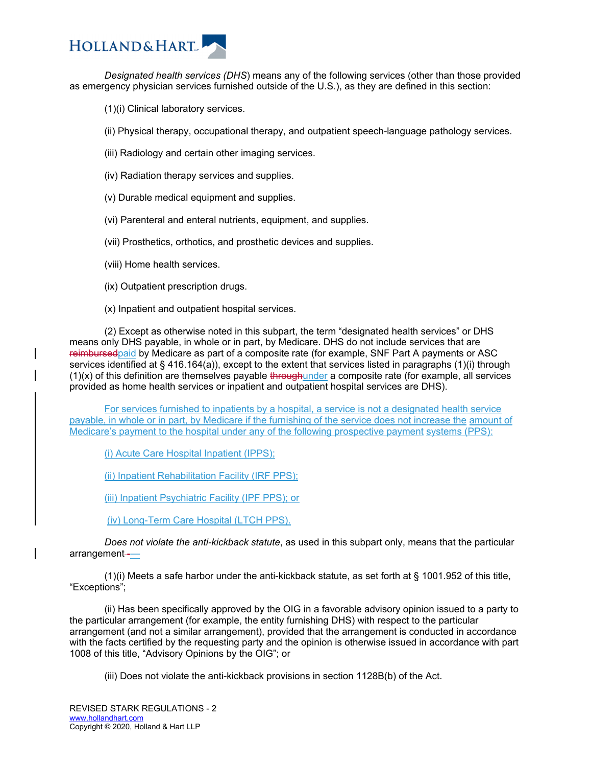

*Designated health services (DHS*) means any of the following services (other than those provided as emergency physician services furnished outside of the U.S.), as they are defined in this section:

(1)(i) Clinical laboratory services.

(ii) Physical therapy, occupational therapy, and outpatient speech-language pathology services.

- (iii) Radiology and certain other imaging services.
- (iv) Radiation therapy services and supplies.
- (v) Durable medical equipment and supplies.
- (vi) Parenteral and enteral nutrients, equipment, and supplies.
- (vii) Prosthetics, orthotics, and prosthetic devices and supplies.
- (viii) Home health services.
- (ix) Outpatient prescription drugs.
- (x) Inpatient and outpatient hospital services.

(2) Except as otherwise noted in this subpart, the term "designated health services" or DHS means only DHS payable, in whole or in part, by Medicare. DHS do not include services that are reimbursedpaid by Medicare as part of a composite rate (for example, SNF Part A payments or ASC services identified at § 416.164(a)), except to the extent that services listed in paragraphs (1)(i) through  $(1)(x)$  of this definition are themselves payable through under a composite rate (for example, all services provided as home health services or inpatient and outpatient hospital services are DHS).

For services furnished to inpatients by a hospital, a service is not a designated health service payable, in whole or in part, by Medicare if the furnishing of the service does not increase the amount of Medicare's payment to the hospital under any of the following prospective payment systems (PPS):

(i) Acute Care Hospital Inpatient (IPPS);

(ii) Inpatient Rehabilitation Facility (IRF PPS);

(iii) Inpatient Psychiatric Facility (IPF PPS); or

(iv) Long-Term Care Hospital (LTCH PPS).

*Does not violate the anti-kickback statute*, as used in this subpart only, means that the particular  $arrangent$ - $\qquad$ 

(1)(i) Meets a safe harbor under the anti-kickback statute, as set forth at § 1001.952 of this title, "Exceptions";

(ii) Has been specifically approved by the OIG in a favorable advisory opinion issued to a party to the particular arrangement (for example, the entity furnishing DHS) with respect to the particular arrangement (and not a similar arrangement), provided that the arrangement is conducted in accordance with the facts certified by the requesting party and the opinion is otherwise issued in accordance with part 1008 of this title, "Advisory Opinions by the OIG"; or

(iii) Does not violate the anti-kickback provisions in section 1128B(b) of the Act.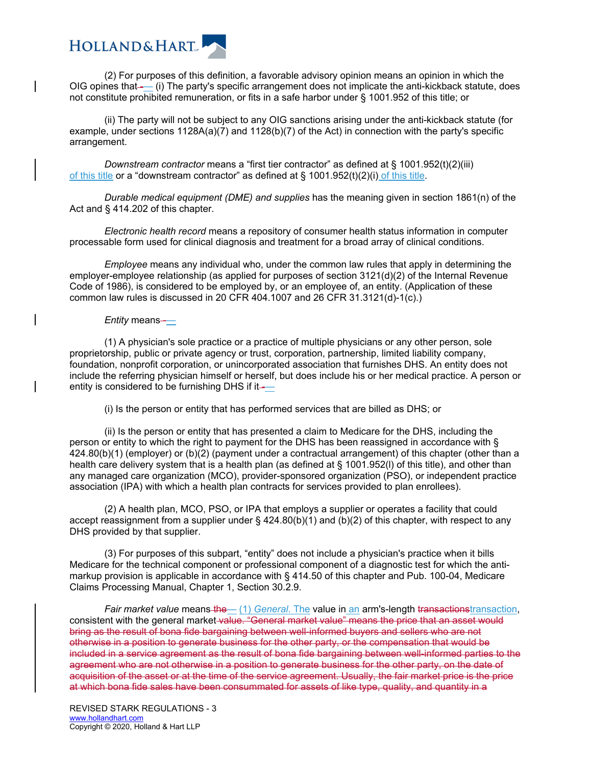

(2) For purposes of this definition, a favorable advisory opinion means an opinion in which the OIG opines that -— (i) The party's specific arrangement does not implicate the anti-kickback statute, does not constitute prohibited remuneration, or fits in a safe harbor under § 1001.952 of this title; or

(ii) The party will not be subject to any OIG sanctions arising under the anti-kickback statute (for example, under sections 1128A(a)(7) and 1128(b)(7) of the Act) in connection with the party's specific arrangement.

*Downstream contractor* means a "first tier contractor" as defined at § 1001.952(t)(2)(iii) of this title or a "downstream contractor" as defined at  $\S$  1001.952(t)(2)(i) of this title.

*Durable medical equipment (DME) and supplies* has the meaning given in section 1861(n) of the Act and § 414.202 of this chapter.

*Electronic health record* means a repository of consumer health status information in computer processable form used for clinical diagnosis and treatment for a broad array of clinical conditions.

*Employee* means any individual who, under the common law rules that apply in determining the employer-employee relationship (as applied for purposes of section 3121(d)(2) of the Internal Revenue Code of 1986), is considered to be employed by, or an employee of, an entity. (Application of these common law rules is discussed in 20 CFR 404.1007 and 26 CFR 31.3121(d)-1(c).)

## *Entity* means-

(1) A physician's sole practice or a practice of multiple physicians or any other person, sole proprietorship, public or private agency or trust, corporation, partnership, limited liability company, foundation, nonprofit corporation, or unincorporated association that furnishes DHS. An entity does not include the referring physician himself or herself, but does include his or her medical practice. A person or entity is considered to be furnishing DHS if it-

(i) Is the person or entity that has performed services that are billed as DHS; or

(ii) Is the person or entity that has presented a claim to Medicare for the DHS, including the person or entity to which the right to payment for the DHS has been reassigned in accordance with § 424.80(b)(1) (employer) or (b)(2) (payment under a contractual arrangement) of this chapter (other than a health care delivery system that is a health plan (as defined at § 1001.952(l) of this title), and other than any managed care organization (MCO), provider-sponsored organization (PSO), or independent practice association (IPA) with which a health plan contracts for services provided to plan enrollees).

(2) A health plan, MCO, PSO, or IPA that employs a supplier or operates a facility that could accept reassignment from a supplier under  $\S$  424.80(b)(1) and (b)(2) of this chapter, with respect to any DHS provided by that supplier.

(3) For purposes of this subpart, "entity" does not include a physician's practice when it bills Medicare for the technical component or professional component of a diagnostic test for which the antimarkup provision is applicable in accordance with § 414.50 of this chapter and Pub. 100-04, Medicare Claims Processing Manual, Chapter 1, Section 30.2.9.

*Fair market value* means the— (1) *General*. The value in an arm's-length transactionstransaction, consistent with the general market value. "General market value" means the price that an asset would bring as the result of bona fide bargaining between well-informed buyers and sellers who are not otherwise in a position to generate business for the other party, or the compensation that would be included in a service agreement as the result of bona fide bargaining between well-informed parties to the agreement who are not otherwise in a position to generate business for the other party, on the date of acquisition of the asset or at the time of the service agreement. Usually, the fair market price is the price at which bona fide sales have been consummated for assets of like type, quality, and quantity in a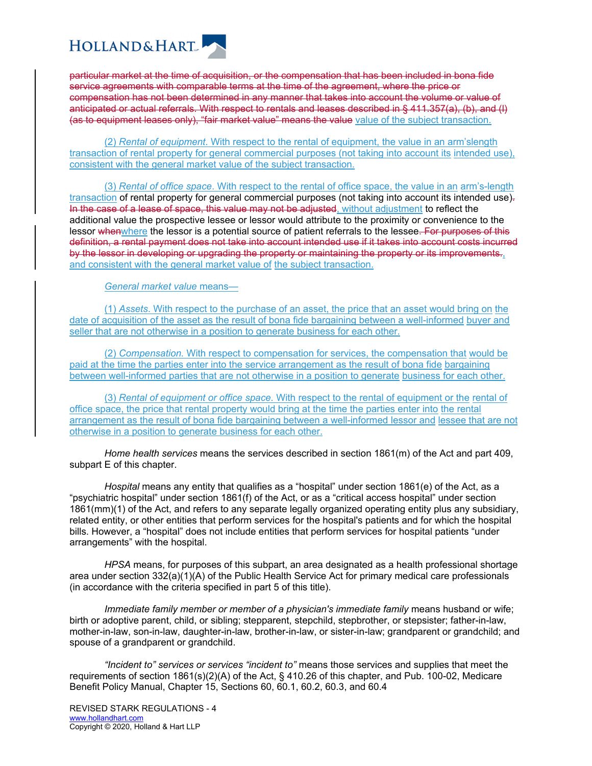

particular market at the time of acquisition, or the compensation that has been included in bona fide service agreements with comparable terms at the time of the agreement, where the price or compensation has not been determined in any manner that takes into account the volume or value of anticipated or actual referrals. With respect to rentals and leases described in § 411.357(a), (b), and (l) (as to equipment leases only), "fair market value" means the value value of the subject transaction.

(2) *Rental of equipment*. With respect to the rental of equipment, the value in an arm'slength transaction of rental property for general commercial purposes (not taking into account its intended use), consistent with the general market value of the subject transaction.

(3) *Rental of office space*. With respect to the rental of office space, the value in an arm's-length transaction of rental property for general commercial purposes (not taking into account its intended use). In the case of a lease of space, this value may not be adjusted, without adjustment to reflect the additional value the prospective lessee or lessor would attribute to the proximity or convenience to the lessor whenwhere the lessor is a potential source of patient referrals to the lessee. For purposes of this definition, a rental payment does not take into account intended use if it takes into account costs incurred by the lessor in developing or upgrading the property or maintaining the property or its improvements., and consistent with the general market value of the subject transaction.

## *General market value* means—

(1) *Assets*. With respect to the purchase of an asset, the price that an asset would bring on the date of acquisition of the asset as the result of bona fide bargaining between a well-informed buyer and seller that are not otherwise in a position to generate business for each other.

(2) *Compensation.* With respect to compensation for services, the compensation that would be paid at the time the parties enter into the service arrangement as the result of bona fide bargaining between well-informed parties that are not otherwise in a position to generate business for each other.

(3) *Rental of equipment or office space.* With respect to the rental of equipment or the rental of office space, the price that rental property would bring at the time the parties enter into the rental arrangement as the result of bona fide bargaining between a well-informed lessor and lessee that are not otherwise in a position to generate business for each other.

*Home health services* means the services described in section 1861(m) of the Act and part 409, subpart E of this chapter.

*Hospital* means any entity that qualifies as a "hospital" under section 1861(e) of the Act, as a "psychiatric hospital" under section 1861(f) of the Act, or as a "critical access hospital" under section 1861(mm)(1) of the Act, and refers to any separate legally organized operating entity plus any subsidiary, related entity, or other entities that perform services for the hospital's patients and for which the hospital bills. However, a "hospital" does not include entities that perform services for hospital patients "under arrangements" with the hospital.

*HPSA* means, for purposes of this subpart, an area designated as a health professional shortage area under section 332(a)(1)(A) of the Public Health Service Act for primary medical care professionals (in accordance with the criteria specified in part 5 of this title).

*Immediate family member or member of a physician's immediate family* means husband or wife; birth or adoptive parent, child, or sibling; stepparent, stepchild, stepbrother, or stepsister; father-in-law, mother-in-law, son-in-law, daughter-in-law, brother-in-law, or sister-in-law; grandparent or grandchild; and spouse of a grandparent or grandchild.

*"Incident to" services or services "incident to"* means those services and supplies that meet the requirements of section 1861(s)(2)(A) of the Act, § 410.26 of this chapter, and Pub. 100-02, Medicare Benefit Policy Manual, Chapter 15, Sections 60, 60.1, 60.2, 60.3, and 60.4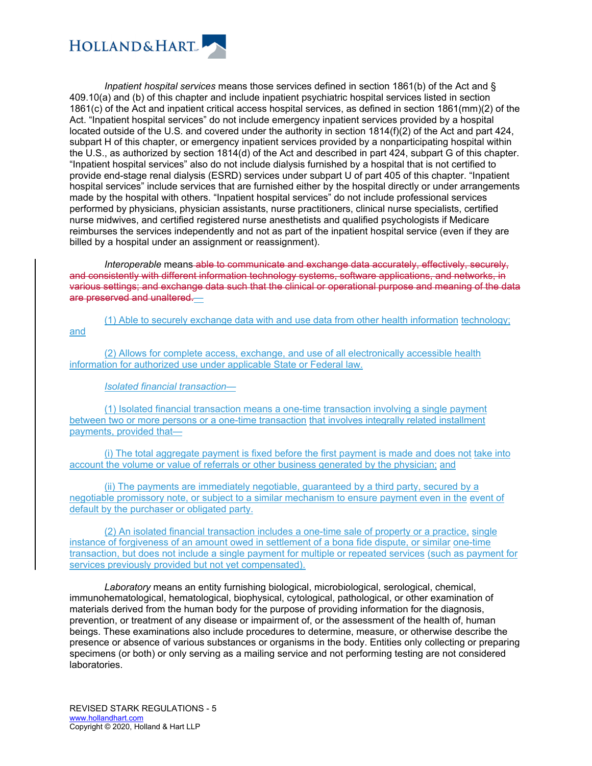

*Inpatient hospital services* means those services defined in section 1861(b) of the Act and § 409.10(a) and (b) of this chapter and include inpatient psychiatric hospital services listed in section 1861(c) of the Act and inpatient critical access hospital services, as defined in section 1861(mm)(2) of the Act. "Inpatient hospital services" do not include emergency inpatient services provided by a hospital located outside of the U.S. and covered under the authority in section 1814(f)(2) of the Act and part 424, subpart H of this chapter, or emergency inpatient services provided by a nonparticipating hospital within the U.S., as authorized by section 1814(d) of the Act and described in part 424, subpart G of this chapter. "Inpatient hospital services" also do not include dialysis furnished by a hospital that is not certified to provide end-stage renal dialysis (ESRD) services under subpart U of part 405 of this chapter. "Inpatient hospital services" include services that are furnished either by the hospital directly or under arrangements made by the hospital with others. "Inpatient hospital services" do not include professional services performed by physicians, physician assistants, nurse practitioners, clinical nurse specialists, certified nurse midwives, and certified registered nurse anesthetists and qualified psychologists if Medicare reimburses the services independently and not as part of the inpatient hospital service (even if they are billed by a hospital under an assignment or reassignment).

*Interoperable* means able to communicate and exchange data accurately, effectively, securely, and consistently with different information technology systems, software applications, and networks, in various settings; and exchange data such that the clinical or operational purpose and meaning of the data are preserved and unaltered.—

```
(1) Able to securely exchange data with and use data from other health information technology; 
and
```
(2) Allows for complete access, exchange, and use of all electronically accessible health information for authorized use under applicable State or Federal law.

#### *Isolated financial transaction*—

(1) Isolated financial transaction means a one-time transaction involving a single payment between two or more persons or a one-time transaction that involves integrally related installment payments, provided that—

(i) The total aggregate payment is fixed before the first payment is made and does not take into account the volume or value of referrals or other business generated by the physician; and

(ii) The payments are immediately negotiable, guaranteed by a third party, secured by a negotiable promissory note, or subject to a similar mechanism to ensure payment even in the event of default by the purchaser or obligated party.

(2) An isolated financial transaction includes a one-time sale of property or a practice, single instance of forgiveness of an amount owed in settlement of a bona fide dispute, or similar one-time transaction, but does not include a single payment for multiple or repeated services (such as payment for services previously provided but not yet compensated).

*Laboratory* means an entity furnishing biological, microbiological, serological, chemical, immunohematological, hematological, biophysical, cytological, pathological, or other examination of materials derived from the human body for the purpose of providing information for the diagnosis, prevention, or treatment of any disease or impairment of, or the assessment of the health of, human beings. These examinations also include procedures to determine, measure, or otherwise describe the presence or absence of various substances or organisms in the body. Entities only collecting or preparing specimens (or both) or only serving as a mailing service and not performing testing are not considered laboratories.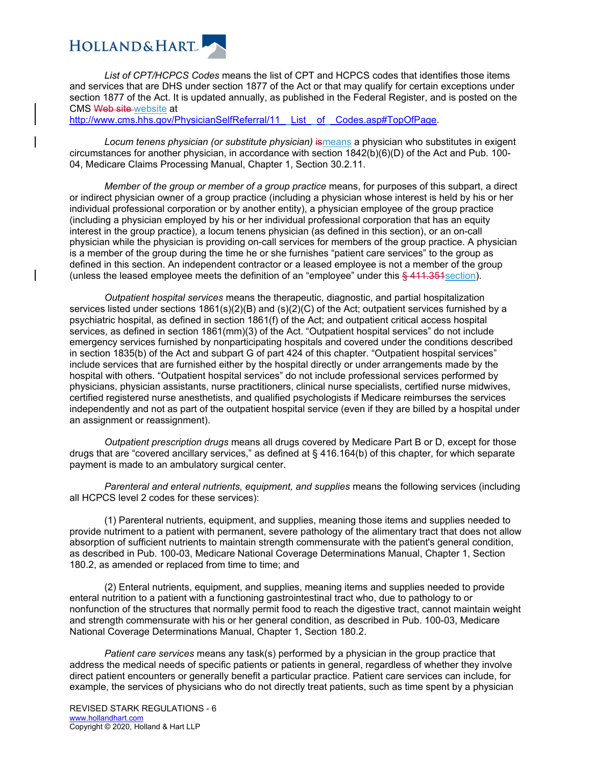

*List of CPT/HCPCS Codes* means the list of CPT and HCPCS codes that identifies those items and services that are DHS under section 1877 of the Act or that may qualify for certain exceptions under section 1877 of the Act. It is updated annually, as published in the Federal Register, and is posted on the CMS Web site website at

http://www.cms.hhs.gov/PhysicianSelfReferral/11 List of Codes.asp#TopOfPage.

*Locum tenens physician (or substitute physician)* ismeans a physician who substitutes in exigent circumstances for another physician, in accordance with section  $1842(b)(6)(D)$  of the Act and Pub. 100-04, Medicare Claims Processing Manual, Chapter 1, Section 30.2.11.

*Member of the group or member of a group practice* means, for purposes of this subpart, a direct or indirect physician owner of a group practice (including a physician whose interest is held by his or her individual professional corporation or by another entity), a physician employee of the group practice (including a physician employed by his or her individual professional corporation that has an equity interest in the group practice), a locum tenens physician (as defined in this section), or an on-call physician while the physician is providing on-call services for members of the group practice. A physician is a member of the group during the time he or she furnishes "patient care services" to the group as defined in this section. An independent contractor or a leased employee is not a member of the group (unless the leased employee meets the definition of an "employee" under this § 411.351section).

*Outpatient hospital services* means the therapeutic, diagnostic, and partial hospitalization services listed under sections 1861(s)(2)(B) and (s)(2)(C) of the Act; outpatient services furnished by a psychiatric hospital, as defined in section 1861(f) of the Act; and outpatient critical access hospital services, as defined in section 1861(mm)(3) of the Act. "Outpatient hospital services" do not include emergency services furnished by nonparticipating hospitals and covered under the conditions described in section 1835(b) of the Act and subpart G of part 424 of this chapter. "Outpatient hospital services" include services that are furnished either by the hospital directly or under arrangements made by the hospital with others. "Outpatient hospital services" do not include professional services performed by physicians, physician assistants, nurse practitioners, clinical nurse specialists, certified nurse midwives, certified registered nurse anesthetists, and qualified psychologists if Medicare reimburses the services independently and not as part of the outpatient hospital service (even if they are billed by a hospital under an assignment or reassignment).

*Outpatient prescription drugs* means all drugs covered by Medicare Part B or D, except for those drugs that are "covered ancillary services," as defined at § 416.164(b) of this chapter, for which separate payment is made to an ambulatory surgical center.

*Parenteral and enteral nutrients, equipment, and supplies* means the following services (including all HCPCS level 2 codes for these services):

(1) Parenteral nutrients, equipment, and supplies, meaning those items and supplies needed to provide nutriment to a patient with permanent, severe pathology of the alimentary tract that does not allow absorption of sufficient nutrients to maintain strength commensurate with the patient's general condition, as described in Pub. 100-03, Medicare National Coverage Determinations Manual, Chapter 1, Section 180.2, as amended or replaced from time to time; and

(2) Enteral nutrients, equipment, and supplies, meaning items and supplies needed to provide enteral nutrition to a patient with a functioning gastrointestinal tract who, due to pathology to or nonfunction of the structures that normally permit food to reach the digestive tract, cannot maintain weight and strength commensurate with his or her general condition, as described in Pub. 100-03, Medicare National Coverage Determinations Manual, Chapter 1, Section 180.2.

*Patient care services* means any task(s) performed by a physician in the group practice that address the medical needs of specific patients or patients in general, regardless of whether they involve direct patient encounters or generally benefit a particular practice. Patient care services can include, for example, the services of physicians who do not directly treat patients, such as time spent by a physician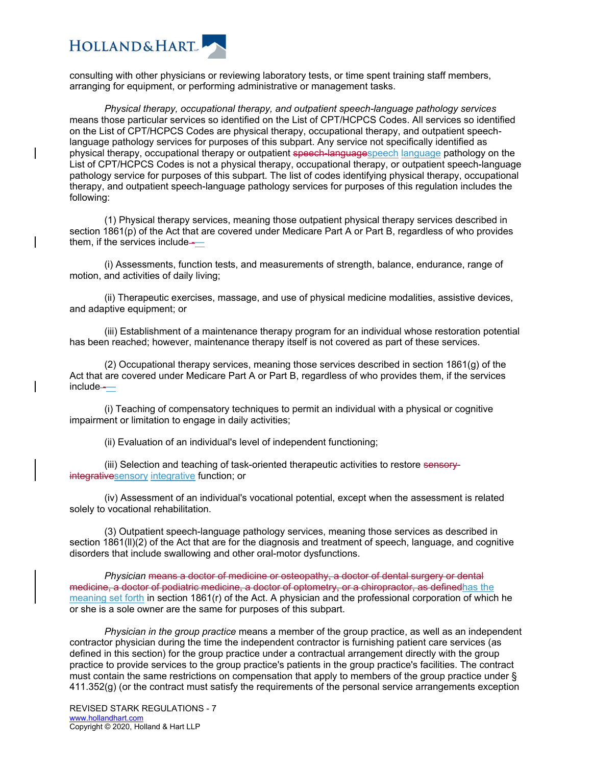

consulting with other physicians or reviewing laboratory tests, or time spent training staff members, arranging for equipment, or performing administrative or management tasks.

*Physical therapy, occupational therapy, and outpatient speech-language pathology services*  means those particular services so identified on the List of CPT/HCPCS Codes. All services so identified on the List of CPT/HCPCS Codes are physical therapy, occupational therapy, and outpatient speechlanguage pathology services for purposes of this subpart. Any service not specifically identified as physical therapy, occupational therapy or outpatient speech-languagespeech language pathology on the List of CPT/HCPCS Codes is not a physical therapy, occupational therapy, or outpatient speech-language pathology service for purposes of this subpart. The list of codes identifying physical therapy, occupational therapy, and outpatient speech-language pathology services for purposes of this regulation includes the following:

(1) Physical therapy services, meaning those outpatient physical therapy services described in section 1861(p) of the Act that are covered under Medicare Part A or Part B, regardless of who provides them, if the services include—

(i) Assessments, function tests, and measurements of strength, balance, endurance, range of motion, and activities of daily living;

(ii) Therapeutic exercises, massage, and use of physical medicine modalities, assistive devices, and adaptive equipment; or

(iii) Establishment of a maintenance therapy program for an individual whose restoration potential has been reached; however, maintenance therapy itself is not covered as part of these services.

(2) Occupational therapy services, meaning those services described in section 1861(g) of the Act that are covered under Medicare Part A or Part B, regardless of who provides them, if the services include-

(i) Teaching of compensatory techniques to permit an individual with a physical or cognitive impairment or limitation to engage in daily activities;

(ii) Evaluation of an individual's level of independent functioning;

(iii) Selection and teaching of task-oriented therapeutic activities to restore sensoryintegrativesensory integrative function; or

(iv) Assessment of an individual's vocational potential, except when the assessment is related solely to vocational rehabilitation.

(3) Outpatient speech-language pathology services, meaning those services as described in section 1861(II)(2) of the Act that are for the diagnosis and treatment of speech, language, and cognitive disorders that include swallowing and other oral-motor dysfunctions.

*Physician* means a doctor of medicine or osteopathy, a doctor of dental surgery or dental medicine, a doctor of podiatric medicine, a doctor of optometry, or a chiropractor, as definedhas the meaning set forth in section 1861(r) of the Act. A physician and the professional corporation of which he or she is a sole owner are the same for purposes of this subpart.

*Physician in the group practice* means a member of the group practice, as well as an independent contractor physician during the time the independent contractor is furnishing patient care services (as defined in this section) for the group practice under a contractual arrangement directly with the group practice to provide services to the group practice's patients in the group practice's facilities. The contract must contain the same restrictions on compensation that apply to members of the group practice under § 411.352(g) (or the contract must satisfy the requirements of the personal service arrangements exception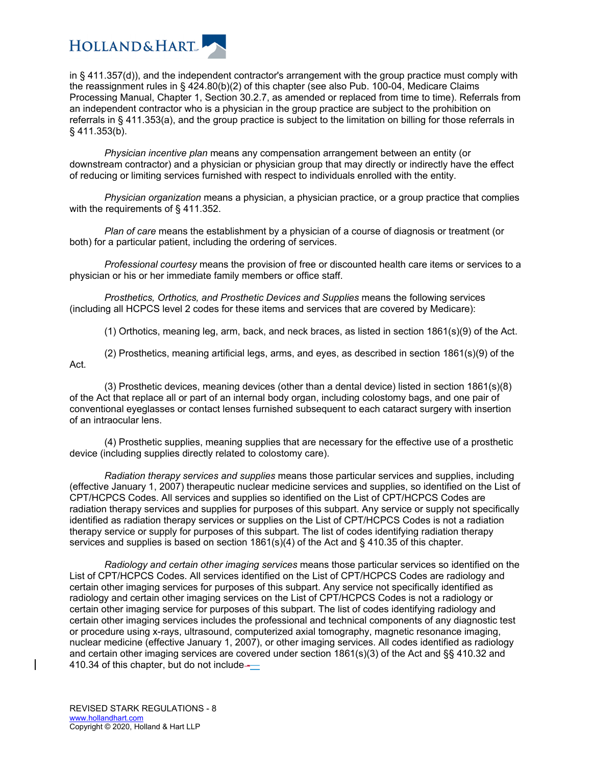

in § 411.357(d)), and the independent contractor's arrangement with the group practice must comply with the reassignment rules in § 424.80(b)(2) of this chapter (see also Pub. 100-04, Medicare Claims Processing Manual, Chapter 1, Section 30.2.7, as amended or replaced from time to time). Referrals from an independent contractor who is a physician in the group practice are subject to the prohibition on referrals in § 411.353(a), and the group practice is subject to the limitation on billing for those referrals in § 411.353(b).

*Physician incentive plan* means any compensation arrangement between an entity (or downstream contractor) and a physician or physician group that may directly or indirectly have the effect of reducing or limiting services furnished with respect to individuals enrolled with the entity.

*Physician organization* means a physician, a physician practice, or a group practice that complies with the requirements of § 411.352.

*Plan of care* means the establishment by a physician of a course of diagnosis or treatment (or both) for a particular patient, including the ordering of services.

*Professional courtesy* means the provision of free or discounted health care items or services to a physician or his or her immediate family members or office staff.

*Prosthetics, Orthotics, and Prosthetic Devices and Supplies* means the following services (including all HCPCS level 2 codes for these items and services that are covered by Medicare):

(1) Orthotics, meaning leg, arm, back, and neck braces, as listed in section 1861(s)(9) of the Act.

(2) Prosthetics, meaning artificial legs, arms, and eyes, as described in section 1861(s)(9) of the Act.

(3) Prosthetic devices, meaning devices (other than a dental device) listed in section 1861(s)(8) of the Act that replace all or part of an internal body organ, including colostomy bags, and one pair of conventional eyeglasses or contact lenses furnished subsequent to each cataract surgery with insertion of an intraocular lens.

(4) Prosthetic supplies, meaning supplies that are necessary for the effective use of a prosthetic device (including supplies directly related to colostomy care).

*Radiation therapy services and supplies* means those particular services and supplies, including (effective January 1, 2007) therapeutic nuclear medicine services and supplies, so identified on the List of CPT/HCPCS Codes. All services and supplies so identified on the List of CPT/HCPCS Codes are radiation therapy services and supplies for purposes of this subpart. Any service or supply not specifically identified as radiation therapy services or supplies on the List of CPT/HCPCS Codes is not a radiation therapy service or supply for purposes of this subpart. The list of codes identifying radiation therapy services and supplies is based on section 1861(s)(4) of the Act and § 410.35 of this chapter.

*Radiology and certain other imaging services* means those particular services so identified on the List of CPT/HCPCS Codes. All services identified on the List of CPT/HCPCS Codes are radiology and certain other imaging services for purposes of this subpart. Any service not specifically identified as radiology and certain other imaging services on the List of CPT/HCPCS Codes is not a radiology or certain other imaging service for purposes of this subpart. The list of codes identifying radiology and certain other imaging services includes the professional and technical components of any diagnostic test or procedure using x-rays, ultrasound, computerized axial tomography, magnetic resonance imaging, nuclear medicine (effective January 1, 2007), or other imaging services. All codes identified as radiology and certain other imaging services are covered under section 1861(s)(3) of the Act and §§ 410.32 and 410.34 of this chapter, but do not include-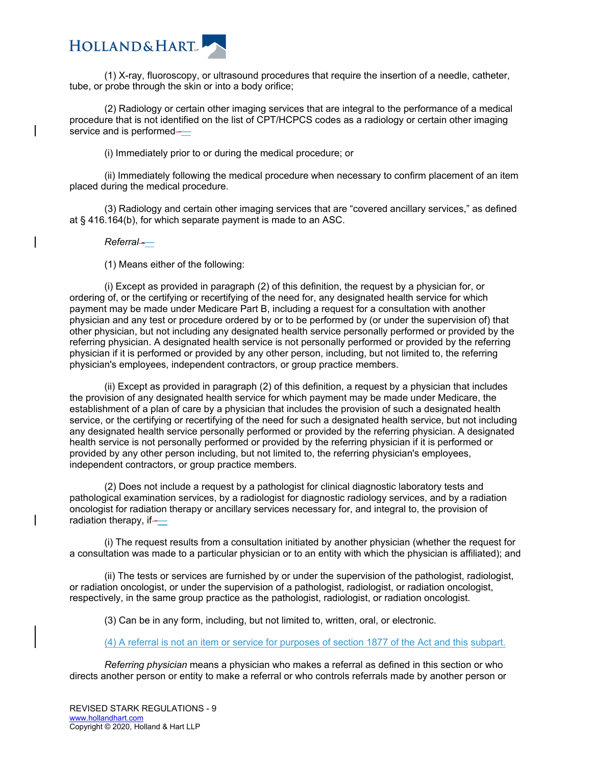

(1) X-ray, fluoroscopy, or ultrasound procedures that require the insertion of a needle, catheter, tube, or probe through the skin or into a body orifice;

(2) Radiology or certain other imaging services that are integral to the performance of a medical procedure that is not identified on the list of CPT/HCPCS codes as a radiology or certain other imaging service and is performed-

(i) Immediately prior to or during the medical procedure; or

(ii) Immediately following the medical procedure when necessary to confirm placement of an item placed during the medical procedure.

(3) Radiology and certain other imaging services that are "covered ancillary services," as defined at § 416.164(b), for which separate payment is made to an ASC.

## $Referral$ —

(1) Means either of the following:

(i) Except as provided in paragraph (2) of this definition, the request by a physician for, or ordering of, or the certifying or recertifying of the need for, any designated health service for which payment may be made under Medicare Part B, including a request for a consultation with another physician and any test or procedure ordered by or to be performed by (or under the supervision of) that other physician, but not including any designated health service personally performed or provided by the referring physician. A designated health service is not personally performed or provided by the referring physician if it is performed or provided by any other person, including, but not limited to, the referring physician's employees, independent contractors, or group practice members.

(ii) Except as provided in paragraph (2) of this definition, a request by a physician that includes the provision of any designated health service for which payment may be made under Medicare, the establishment of a plan of care by a physician that includes the provision of such a designated health service, or the certifying or recertifying of the need for such a designated health service, but not including any designated health service personally performed or provided by the referring physician. A designated health service is not personally performed or provided by the referring physician if it is performed or provided by any other person including, but not limited to, the referring physician's employees, independent contractors, or group practice members.

(2) Does not include a request by a pathologist for clinical diagnostic laboratory tests and pathological examination services, by a radiologist for diagnostic radiology services, and by a radiation oncologist for radiation therapy or ancillary services necessary for, and integral to, the provision of radiation therapy, if-

(i) The request results from a consultation initiated by another physician (whether the request for a consultation was made to a particular physician or to an entity with which the physician is affiliated); and

(ii) The tests or services are furnished by or under the supervision of the pathologist, radiologist, or radiation oncologist, or under the supervision of a pathologist, radiologist, or radiation oncologist, respectively, in the same group practice as the pathologist, radiologist, or radiation oncologist.

(3) Can be in any form, including, but not limited to, written, oral, or electronic.

(4) A referral is not an item or service for purposes of section 1877 of the Act and this subpart.

*Referring physician* means a physician who makes a referral as defined in this section or who directs another person or entity to make a referral or who controls referrals made by another person or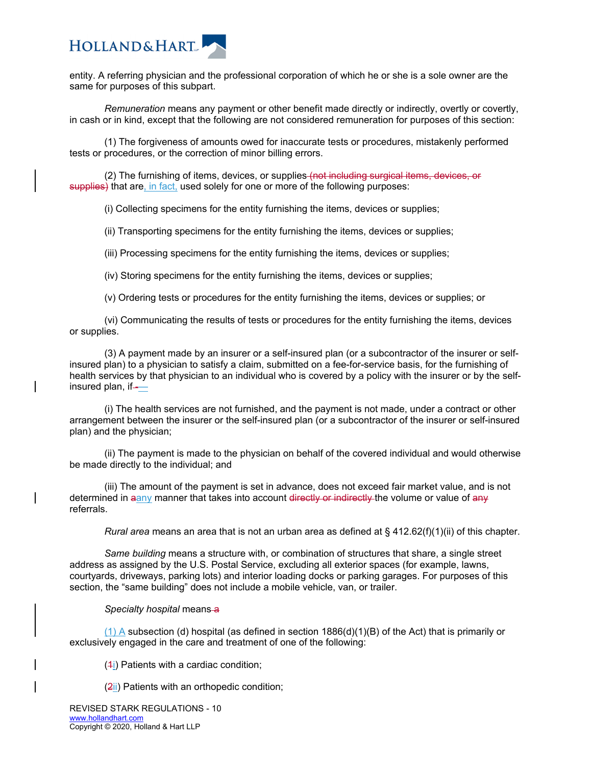

entity. A referring physician and the professional corporation of which he or she is a sole owner are the same for purposes of this subpart.

*Remuneration* means any payment or other benefit made directly or indirectly, overtly or covertly, in cash or in kind, except that the following are not considered remuneration for purposes of this section:

(1) The forgiveness of amounts owed for inaccurate tests or procedures, mistakenly performed tests or procedures, or the correction of minor billing errors.

(2) The furnishing of items, devices, or supplies (not including surgical items, devices, or supplies) that are, in fact, used solely for one or more of the following purposes:

(i) Collecting specimens for the entity furnishing the items, devices or supplies;

(ii) Transporting specimens for the entity furnishing the items, devices or supplies;

(iii) Processing specimens for the entity furnishing the items, devices or supplies;

(iv) Storing specimens for the entity furnishing the items, devices or supplies;

(v) Ordering tests or procedures for the entity furnishing the items, devices or supplies; or

(vi) Communicating the results of tests or procedures for the entity furnishing the items, devices or supplies.

(3) A payment made by an insurer or a self-insured plan (or a subcontractor of the insurer or selfinsured plan) to a physician to satisfy a claim, submitted on a fee-for-service basis, for the furnishing of health services by that physician to an individual who is covered by a policy with the insurer or by the selfinsured plan, if-

(i) The health services are not furnished, and the payment is not made, under a contract or other arrangement between the insurer or the self-insured plan (or a subcontractor of the insurer or self-insured plan) and the physician;

(ii) The payment is made to the physician on behalf of the covered individual and would otherwise be made directly to the individual; and

(iii) The amount of the payment is set in advance, does not exceed fair market value, and is not determined in aany manner that takes into account directly or indirectly the volume or value of any referrals.

*Rural area* means an area that is not an urban area as defined at § 412.62(f)(1)(ii) of this chapter.

*Same building* means a structure with, or combination of structures that share, a single street address as assigned by the U.S. Postal Service, excluding all exterior spaces (for example, lawns, courtyards, driveways, parking lots) and interior loading docks or parking garages. For purposes of this section, the "same building" does not include a mobile vehicle, van, or trailer.

**Specialty hospital means-a** 

(1) A subsection (d) hospital (as defined in section  $1886(d)(1)(B)$  of the Act) that is primarily or exclusively engaged in the care and treatment of one of the following:

 $(4i)$  Patients with a cardiac condition;

(2ii) Patients with an orthopedic condition;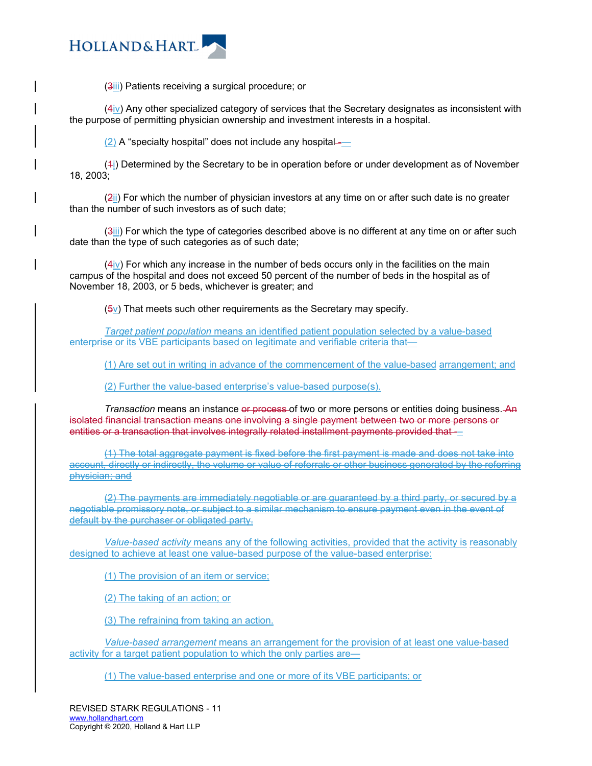

(3iii) Patients receiving a surgical procedure; or

(4iv) Any other specialized category of services that the Secretary designates as inconsistent with the purpose of permitting physician ownership and investment interests in a hospital.

 $(2)$  A "specialty hospital" does not include any hospital --

 $(4i)$  Determined by the Secretary to be in operation before or under development as of November 18, 2003;

(2ii) For which the number of physician investors at any time on or after such date is no greater than the number of such investors as of such date;

(3iii) For which the type of categories described above is no different at any time on or after such date than the type of such categories as of such date;

 $(4iv)$  For which any increase in the number of beds occurs only in the facilities on the main campus of the hospital and does not exceed 50 percent of the number of beds in the hospital as of November 18, 2003, or 5 beds, whichever is greater; and

 $(5v)$  That meets such other requirements as the Secretary may specify.

*Target patient population* means an identified patient population selected by a value-based enterprise or its VBE participants based on legitimate and verifiable criteria that—

(1) Are set out in writing in advance of the commencement of the value-based arrangement; and

(2) Further the value-based enterprise's value-based purpose(s).

*Transaction* means an instance or process of two or more persons or entities doing business. An isolated financial transaction means one involving a single payment between two or more persons or entities or a transaction that involves integrally related installment payments provided that -–

(1) The total aggregate payment is fixed before the first payment is made and does not take into account, directly or indirectly, the volume or value of referrals or other business generated by the referring physician; and

(2) The payments are immediately negotiable or are guaranteed by a third party, or secured by a negotiable promissory note, or subject to a similar mechanism to ensure payment even in the event of default by the purchaser or obligated party.

*Value-based activity* means any of the following activities, provided that the activity is reasonably designed to achieve at least one value-based purpose of the value-based enterprise:

(1) The provision of an item or service;

(2) The taking of an action; or

(3) The refraining from taking an action.

*Value-based arrangement* means an arrangement for the provision of at least one value-based activity for a target patient population to which the only parties are—

(1) The value-based enterprise and one or more of its VBE participants; or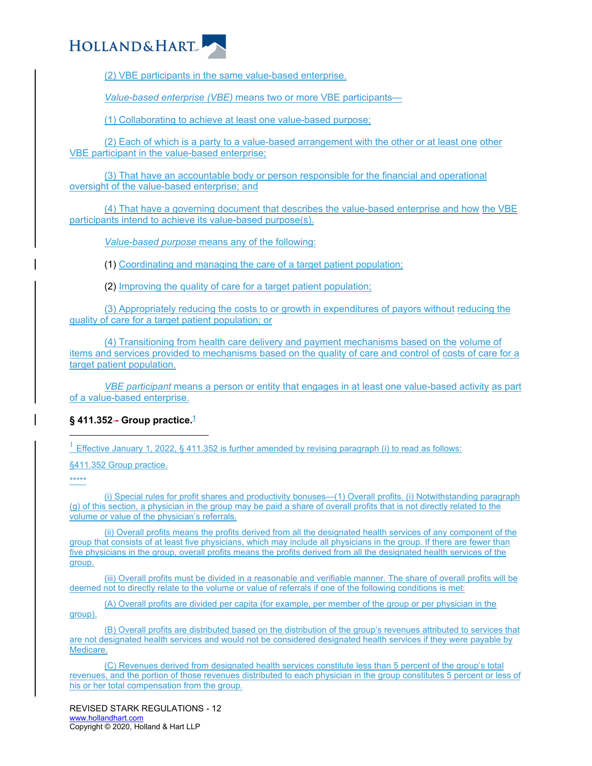## HOLLAND& HART

(2) VBE participants in the same value-based enterprise.

*Value-based enterprise (VBE)* means two or more VBE participants—

(1) Collaborating to achieve at least one value-based purpose;

(2) Each of which is a party to a value-based arrangement with the other or at least one other VBE participant in the value-based enterprise;

(3) That have an accountable body or person responsible for the financial and operational oversight of the value-based enterprise; and

(4) That have a governing document that describes the value-based enterprise and how the VBE participants intend to achieve its value-based purpose(s).

*Value-based purpose* means any of the following:

(1) Coordinating and managing the care of a target patient population;

(2) Improving the quality of care for a target patient population;

(3) Appropriately reducing the costs to or growth in expenditures of payors without reducing the quality of care for a target patient population; or

(4) Transitioning from health care delivery and payment mechanisms based on the volume of items and services provided to mechanisms based on the quality of care and control of costs of care for a target patient population.

*VBE participant* means a person or entity that engages in at least one value-based activity as part of a value-based enterprise.

## **§ 411.352 - Group practice.1**

<sup>1</sup> Effective January 1, 2022, § 411.352 is further amended by revising paragraph (i) to read as follows:

§411.352 Group practice.

\*\*\*\*\*

(i) Special rules for profit shares and productivity bonuses—(1) Overall profits. (i) Notwithstanding paragraph (g) of this section, a physician in the group may be paid a share of overall profits that is not directly related to the volume or value of the physician's referrals.

(ii) Overall profits means the profits derived from all the designated health services of any component of the group that consists of at least five physicians, which may include all physicians in the group. If there are fewer than five physicians in the group, overall profits means the profits derived from all the designated health services of the group.

(iii) Overall profits must be divided in a reasonable and verifiable manner. The share of overall profits will be deemed not to directly relate to the volume or value of referrals if one of the following conditions is met:

(A) Overall profits are divided per capita (for example, per member of the group or per physician in the group).

(B) Overall profits are distributed based on the distribution of the group's revenues attributed to services that are not designated health services and would not be considered designated health services if they were payable by Medicare.

(C) Revenues derived from designated health services constitute less than 5 percent of the group's total revenues, and the portion of those revenues distributed to each physician in the group constitutes 5 percent or less of his or her total compensation from the group.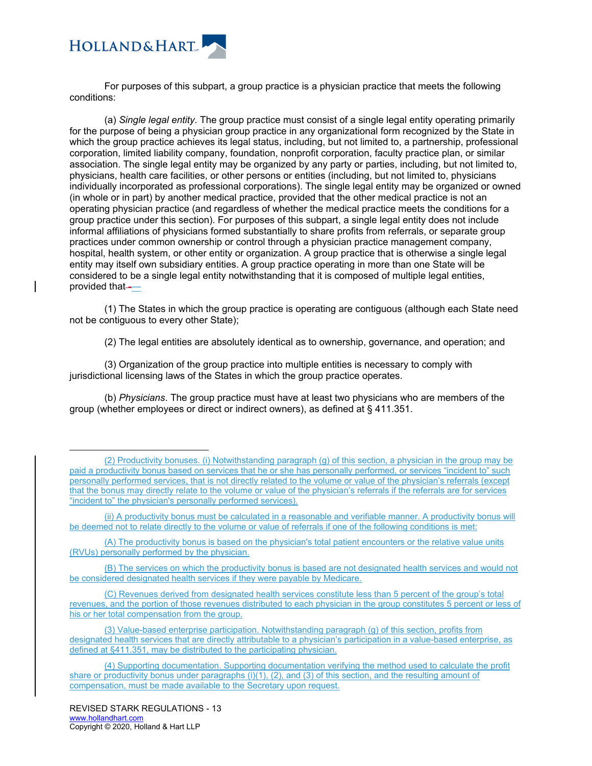

For purposes of this subpart, a group practice is a physician practice that meets the following conditions:

(a) *Single legal entity*. The group practice must consist of a single legal entity operating primarily for the purpose of being a physician group practice in any organizational form recognized by the State in which the group practice achieves its legal status, including, but not limited to, a partnership, professional corporation, limited liability company, foundation, nonprofit corporation, faculty practice plan, or similar association. The single legal entity may be organized by any party or parties, including, but not limited to, physicians, health care facilities, or other persons or entities (including, but not limited to, physicians individually incorporated as professional corporations). The single legal entity may be organized or owned (in whole or in part) by another medical practice, provided that the other medical practice is not an operating physician practice (and regardless of whether the medical practice meets the conditions for a group practice under this section). For purposes of this subpart, a single legal entity does not include informal affiliations of physicians formed substantially to share profits from referrals, or separate group practices under common ownership or control through a physician practice management company, hospital, health system, or other entity or organization. A group practice that is otherwise a single legal entity may itself own subsidiary entities. A group practice operating in more than one State will be considered to be a single legal entity notwithstanding that it is composed of multiple legal entities, provided that-

(1) The States in which the group practice is operating are contiguous (although each State need not be contiguous to every other State);

(2) The legal entities are absolutely identical as to ownership, governance, and operation; and

(3) Organization of the group practice into multiple entities is necessary to comply with jurisdictional licensing laws of the States in which the group practice operates.

(b) *Physicians*. The group practice must have at least two physicians who are members of the group (whether employees or direct or indirect owners), as defined at § 411.351.

(A) The productivity bonus is based on the physician's total patient encounters or the relative value units (RVUs) personally performed by the physician.

(B) The services on which the productivity bonus is based are not designated health services and would not be considered designated health services if they were payable by Medicare.

(C) Revenues derived from designated health services constitute less than 5 percent of the group's total revenues, and the portion of those revenues distributed to each physician in the group constitutes 5 percent or less of his or her total compensation from the group.

(3) Value-based enterprise participation. Notwithstanding paragraph (g) of this section, profits from designated health services that are directly attributable to a physician's participation in a value-based enterprise, as defined at §411.351, may be distributed to the participating physician.

(4) Supporting documentation. Supporting documentation verifying the method used to calculate the profit share or productivity bonus under paragraphs (i)(1), (2), and (3) of this section, and the resulting amount of compensation, must be made available to the Secretary upon request.

<sup>(2)</sup> Productivity bonuses. (i) Notwithstanding paragraph (g) of this section, a physician in the group may be paid a productivity bonus based on services that he or she has personally performed, or services "incident to" such personally performed services, that is not directly related to the volume or value of the physician's referrals (except that the bonus may directly relate to the volume or value of the physician's referrals if the referrals are for services "incident to" the physician's personally performed services).

<sup>(</sup>ii) A productivity bonus must be calculated in a reasonable and verifiable manner. A productivity bonus will be deemed not to relate directly to the volume or value of referrals if one of the following conditions is met: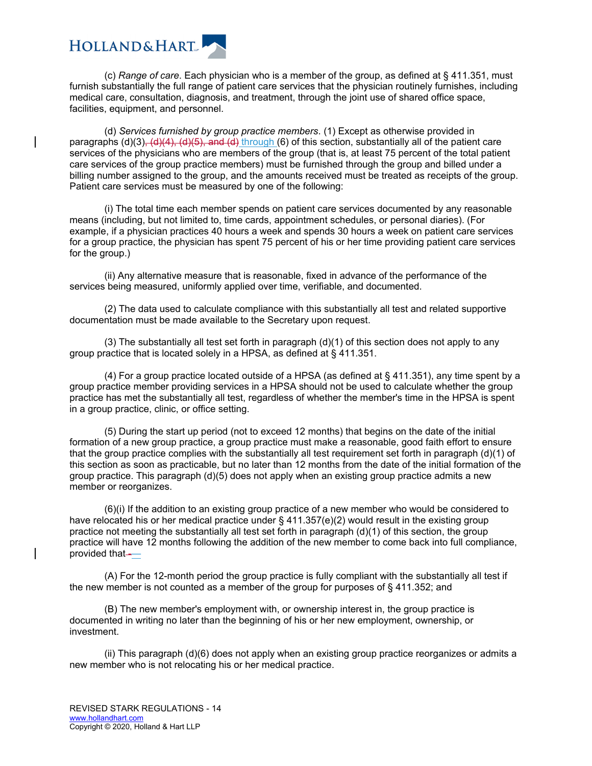

(c) *Range of care*. Each physician who is a member of the group, as defined at § 411.351, must furnish substantially the full range of patient care services that the physician routinely furnishes, including medical care, consultation, diagnosis, and treatment, through the joint use of shared office space, facilities, equipment, and personnel.

(d) *Services furnished by group practice members*. (1) Except as otherwise provided in paragraphs (d)(3),  $(d)(4)$ ,  $(d)(5)$ , and (d) through (6) of this section, substantially all of the patient care services of the physicians who are members of the group (that is, at least 75 percent of the total patient care services of the group practice members) must be furnished through the group and billed under a billing number assigned to the group, and the amounts received must be treated as receipts of the group. Patient care services must be measured by one of the following:

(i) The total time each member spends on patient care services documented by any reasonable means (including, but not limited to, time cards, appointment schedules, or personal diaries). (For example, if a physician practices 40 hours a week and spends 30 hours a week on patient care services for a group practice, the physician has spent 75 percent of his or her time providing patient care services for the group.)

(ii) Any alternative measure that is reasonable, fixed in advance of the performance of the services being measured, uniformly applied over time, verifiable, and documented.

(2) The data used to calculate compliance with this substantially all test and related supportive documentation must be made available to the Secretary upon request.

(3) The substantially all test set forth in paragraph (d)(1) of this section does not apply to any group practice that is located solely in a HPSA, as defined at § 411.351.

(4) For a group practice located outside of a HPSA (as defined at § 411.351), any time spent by a group practice member providing services in a HPSA should not be used to calculate whether the group practice has met the substantially all test, regardless of whether the member's time in the HPSA is spent in a group practice, clinic, or office setting.

(5) During the start up period (not to exceed 12 months) that begins on the date of the initial formation of a new group practice, a group practice must make a reasonable, good faith effort to ensure that the group practice complies with the substantially all test requirement set forth in paragraph (d)(1) of this section as soon as practicable, but no later than 12 months from the date of the initial formation of the group practice. This paragraph  $(d)(5)$  does not apply when an existing group practice admits a new member or reorganizes.

(6)(i) If the addition to an existing group practice of a new member who would be considered to have relocated his or her medical practice under § 411.357(e)(2) would result in the existing group practice not meeting the substantially all test set forth in paragraph (d)(1) of this section, the group practice will have 12 months following the addition of the new member to come back into full compliance, provided that-

(A) For the 12-month period the group practice is fully compliant with the substantially all test if the new member is not counted as a member of the group for purposes of § 411.352; and

(B) The new member's employment with, or ownership interest in, the group practice is documented in writing no later than the beginning of his or her new employment, ownership, or investment.

(ii) This paragraph (d)(6) does not apply when an existing group practice reorganizes or admits a new member who is not relocating his or her medical practice.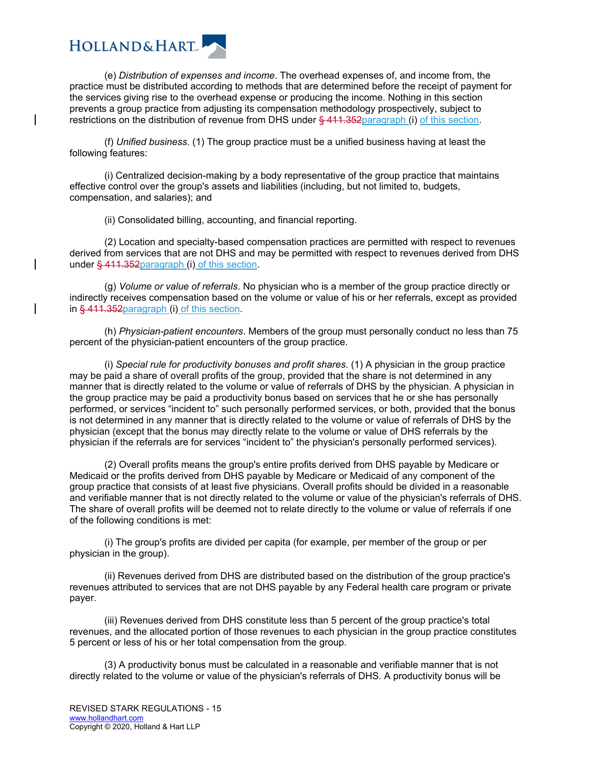

(e) *Distribution of expenses and income*. The overhead expenses of, and income from, the practice must be distributed according to methods that are determined before the receipt of payment for the services giving rise to the overhead expense or producing the income. Nothing in this section prevents a group practice from adjusting its compensation methodology prospectively, subject to restrictions on the distribution of revenue from DHS under \$411.352 paragraph (i) of this section.

(f) *Unified business*. (1) The group practice must be a unified business having at least the following features:

(i) Centralized decision-making by a body representative of the group practice that maintains effective control over the group's assets and liabilities (including, but not limited to, budgets, compensation, and salaries); and

(ii) Consolidated billing, accounting, and financial reporting.

(2) Location and specialty-based compensation practices are permitted with respect to revenues derived from services that are not DHS and may be permitted with respect to revenues derived from DHS under § 411.352paragraph (i) of this section.

(g) *Volume or value of referrals*. No physician who is a member of the group practice directly or indirectly receives compensation based on the volume or value of his or her referrals, except as provided in § 411.352 paragraph (i) of this section.

(h) *Physician-patient encounters*. Members of the group must personally conduct no less than 75 percent of the physician-patient encounters of the group practice.

(i) *Special rule for productivity bonuses and profit shares*. (1) A physician in the group practice may be paid a share of overall profits of the group, provided that the share is not determined in any manner that is directly related to the volume or value of referrals of DHS by the physician. A physician in the group practice may be paid a productivity bonus based on services that he or she has personally performed, or services "incident to" such personally performed services, or both, provided that the bonus is not determined in any manner that is directly related to the volume or value of referrals of DHS by the physician (except that the bonus may directly relate to the volume or value of DHS referrals by the physician if the referrals are for services "incident to" the physician's personally performed services).

(2) Overall profits means the group's entire profits derived from DHS payable by Medicare or Medicaid or the profits derived from DHS payable by Medicare or Medicaid of any component of the group practice that consists of at least five physicians. Overall profits should be divided in a reasonable and verifiable manner that is not directly related to the volume or value of the physician's referrals of DHS. The share of overall profits will be deemed not to relate directly to the volume or value of referrals if one of the following conditions is met:

(i) The group's profits are divided per capita (for example, per member of the group or per physician in the group).

(ii) Revenues derived from DHS are distributed based on the distribution of the group practice's revenues attributed to services that are not DHS payable by any Federal health care program or private payer.

(iii) Revenues derived from DHS constitute less than 5 percent of the group practice's total revenues, and the allocated portion of those revenues to each physician in the group practice constitutes 5 percent or less of his or her total compensation from the group.

(3) A productivity bonus must be calculated in a reasonable and verifiable manner that is not directly related to the volume or value of the physician's referrals of DHS. A productivity bonus will be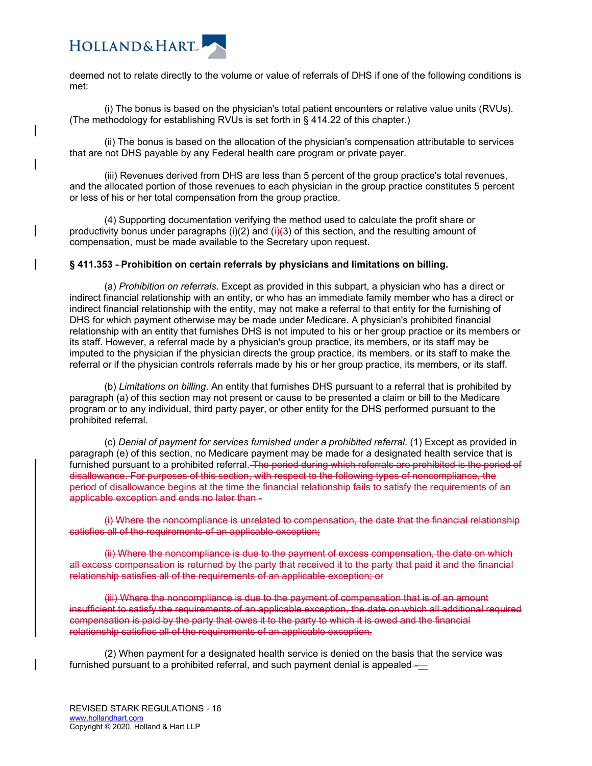

deemed not to relate directly to the volume or value of referrals of DHS if one of the following conditions is met:

(i) The bonus is based on the physician's total patient encounters or relative value units (RVUs). (The methodology for establishing RVUs is set forth in § 414.22 of this chapter.)

(ii) The bonus is based on the allocation of the physician's compensation attributable to services that are not DHS payable by any Federal health care program or private payer.

(iii) Revenues derived from DHS are less than 5 percent of the group practice's total revenues, and the allocated portion of those revenues to each physician in the group practice constitutes 5 percent or less of his or her total compensation from the group practice.

(4) Supporting documentation verifying the method used to calculate the profit share or productivity bonus under paragraphs (i)(2) and ( $\frac{1}{3}$ ) of this section, and the resulting amount of compensation, must be made available to the Secretary upon request.

#### **§ 411.353 - Prohibition on certain referrals by physicians and limitations on billing.**

(a) *Prohibition on referrals*. Except as provided in this subpart, a physician who has a direct or indirect financial relationship with an entity, or who has an immediate family member who has a direct or indirect financial relationship with the entity, may not make a referral to that entity for the furnishing of DHS for which payment otherwise may be made under Medicare. A physician's prohibited financial relationship with an entity that furnishes DHS is not imputed to his or her group practice or its members or its staff. However, a referral made by a physician's group practice, its members, or its staff may be imputed to the physician if the physician directs the group practice, its members, or its staff to make the referral or if the physician controls referrals made by his or her group practice, its members, or its staff.

(b) *Limitations on billing*. An entity that furnishes DHS pursuant to a referral that is prohibited by paragraph (a) of this section may not present or cause to be presented a claim or bill to the Medicare program or to any individual, third party payer, or other entity for the DHS performed pursuant to the prohibited referral.

(c) *Denial of payment for services furnished under a prohibited referral*. (1) Except as provided in paragraph (e) of this section, no Medicare payment may be made for a designated health service that is furnished pursuant to a prohibited referral. The period during which referrals are prohibited is the period of disallowance. For purposes of this section, with respect to the following types of noncompliance, the period of disallowance begins at the time the financial relationship fails to satisfy the requirements of an applicable exception and ends no later than -

(i) Where the noncompliance is unrelated to compensation, the date that the financial relationship satisfies all of the requirements of an applicable exception;

(ii) Where the noncompliance is due to the payment of excess compensation, the date on which all excess compensation is returned by the party that received it to the party that paid it and the financial relationship satisfies all of the requirements of an applicable exception; or

(iii) Where the noncompliance is due to the payment of compensation that is of an amount insufficient to satisfy the requirements of an applicable exception, the date on which all additional required compensation is paid by the party that owes it to the party to which it is owed and the financial relationship satisfies all of the requirements of an applicable exception.

(2) When payment for a designated health service is denied on the basis that the service was furnished pursuant to a prohibited referral, and such payment denial is appealed-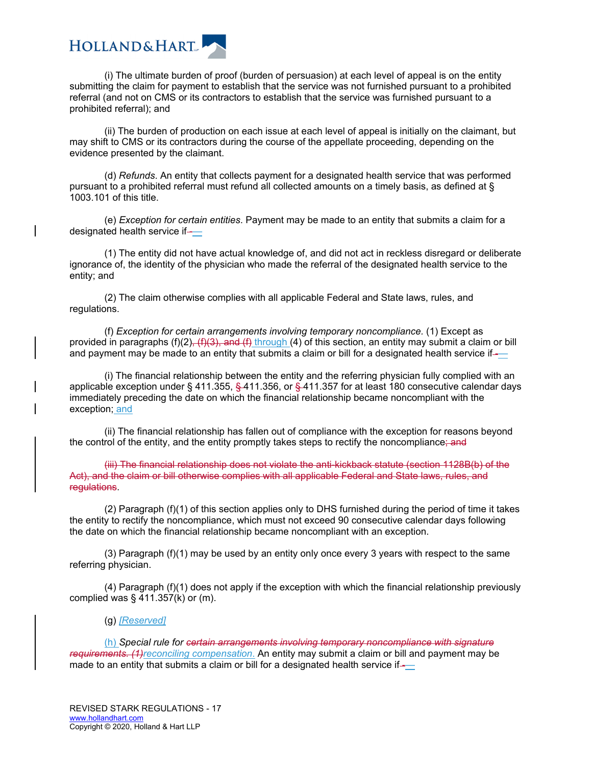

(i) The ultimate burden of proof (burden of persuasion) at each level of appeal is on the entity submitting the claim for payment to establish that the service was not furnished pursuant to a prohibited referral (and not on CMS or its contractors to establish that the service was furnished pursuant to a prohibited referral); and

(ii) The burden of production on each issue at each level of appeal is initially on the claimant, but may shift to CMS or its contractors during the course of the appellate proceeding, depending on the evidence presented by the claimant.

(d) *Refunds*. An entity that collects payment for a designated health service that was performed pursuant to a prohibited referral must refund all collected amounts on a timely basis, as defined at § 1003.101 of this title.

(e) *Exception for certain entities*. Payment may be made to an entity that submits a claim for a designated health service if-

(1) The entity did not have actual knowledge of, and did not act in reckless disregard or deliberate ignorance of, the identity of the physician who made the referral of the designated health service to the entity; and

(2) The claim otherwise complies with all applicable Federal and State laws, rules, and regulations.

(f) *Exception for certain arrangements involving temporary noncompliance.* (1) Except as provided in paragraphs (f)(2),  $(f)(3)$ , and (f) through (4) of this section, an entity may submit a claim or bill and payment may be made to an entity that submits a claim or bill for a designated health service if-

(i) The financial relationship between the entity and the referring physician fully complied with an applicable exception under § 411.355,  $\frac{6}{5}$ 411.356, or  $\frac{6}{5}$ 411.357 for at least 180 consecutive calendar days immediately preceding the date on which the financial relationship became noncompliant with the exception; and

(ii) The financial relationship has fallen out of compliance with the exception for reasons beyond the control of the entity, and the entity promptly takes steps to rectify the noncompliance. and

(iii) The financial relationship does not violate the anti-kickback statute (section 1128B(b) of the Act), and the claim or bill otherwise complies with all applicable Federal and State laws, rules, and regulations.

(2) Paragraph (f)(1) of this section applies only to DHS furnished during the period of time it takes the entity to rectify the noncompliance, which must not exceed 90 consecutive calendar days following the date on which the financial relationship became noncompliant with an exception.

(3) Paragraph (f)(1) may be used by an entity only once every 3 years with respect to the same referring physician.

(4) Paragraph (f)(1) does not apply if the exception with which the financial relationship previously complied was  $\S$  411.357(k) or (m).

(g) *[Reserved]*

(h) *Special rule for certain arrangements involving temporary noncompliance with signature requirements. (1)reconciling compensation*. An entity may submit a claim or bill and payment may be made to an entity that submits a claim or bill for a designated health service if-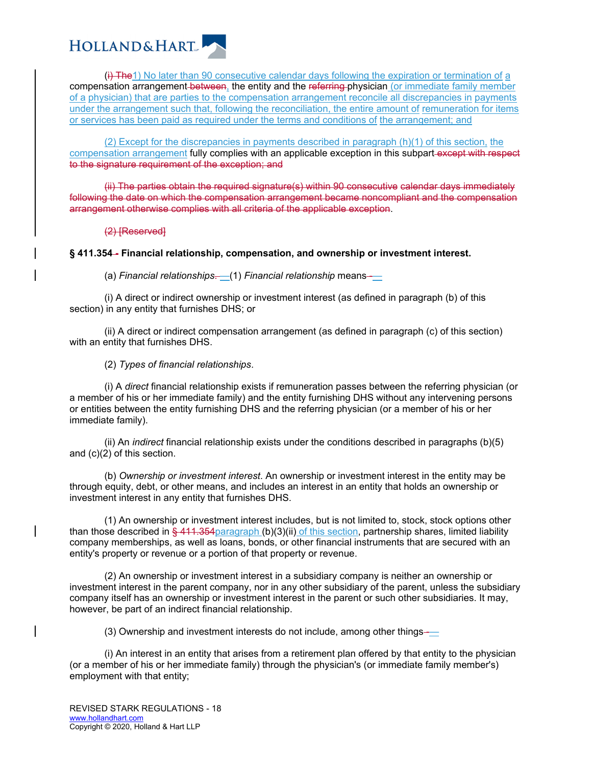

(i) The1) No later than 90 consecutive calendar days following the expiration or termination of a compensation arrangement between, the entity and the referring physician (or immediate family member of a physician) that are parties to the compensation arrangement reconcile all discrepancies in payments under the arrangement such that, following the reconciliation, the entire amount of remuneration for items or services has been paid as required under the terms and conditions of the arrangement; and

(2) Except for the discrepancies in payments described in paragraph (h)(1) of this section, the compensation arrangement fully complies with an applicable exception in this subpart except with respect to the signature requirement of the exception; and

(ii) The parties obtain the required signature(s) within 90 consecutive calendar days immediately following the date on which the compensation arrangement became noncompliant and the compensation arrangement otherwise complies with all criteria of the applicable exception.

(2) [Reserved]

## **§ 411.354 - Financial relationship, compensation, and ownership or investment interest.**

(a) *Financial relationships*. —(1) *Financial relationship* means -—

(i) A direct or indirect ownership or investment interest (as defined in paragraph (b) of this section) in any entity that furnishes DHS; or

(ii) A direct or indirect compensation arrangement (as defined in paragraph (c) of this section) with an entity that furnishes DHS.

(2) *Types of financial relationships*.

(i) A *direct* financial relationship exists if remuneration passes between the referring physician (or a member of his or her immediate family) and the entity furnishing DHS without any intervening persons or entities between the entity furnishing DHS and the referring physician (or a member of his or her immediate family).

(ii) An *indirect* financial relationship exists under the conditions described in paragraphs (b)(5) and (c)(2) of this section.

(b) *Ownership or investment interest*. An ownership or investment interest in the entity may be through equity, debt, or other means, and includes an interest in an entity that holds an ownership or investment interest in any entity that furnishes DHS.

(1) An ownership or investment interest includes, but is not limited to, stock, stock options other than those described in § 411.354paragraph (b)(3)(ii) of this section, partnership shares, limited liability company memberships, as well as loans, bonds, or other financial instruments that are secured with an entity's property or revenue or a portion of that property or revenue.

(2) An ownership or investment interest in a subsidiary company is neither an ownership or investment interest in the parent company, nor in any other subsidiary of the parent, unless the subsidiary company itself has an ownership or investment interest in the parent or such other subsidiaries. It may, however, be part of an indirect financial relationship.

(3) Ownership and investment interests do not include, among other things—

(i) An interest in an entity that arises from a retirement plan offered by that entity to the physician (or a member of his or her immediate family) through the physician's (or immediate family member's) employment with that entity;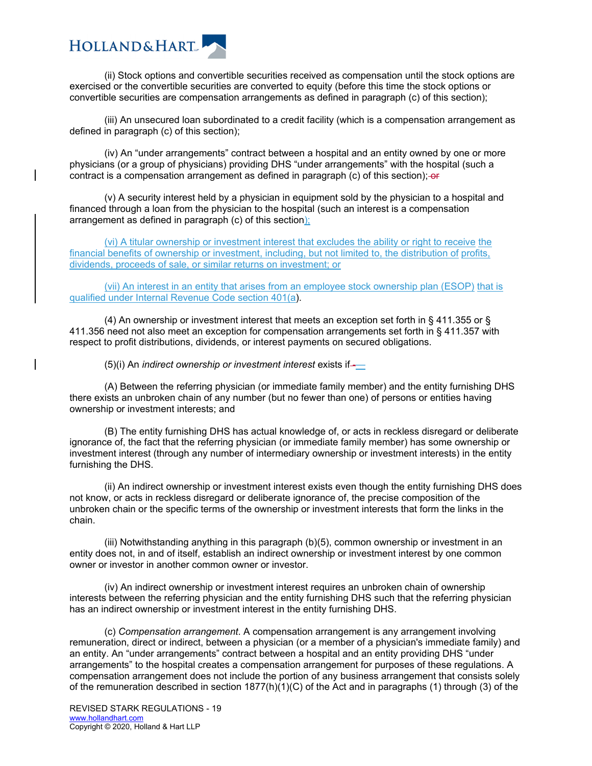

(ii) Stock options and convertible securities received as compensation until the stock options are exercised or the convertible securities are converted to equity (before this time the stock options or convertible securities are compensation arrangements as defined in paragraph (c) of this section);

(iii) An unsecured loan subordinated to a credit facility (which is a compensation arrangement as defined in paragraph (c) of this section);

(iv) An "under arrangements" contract between a hospital and an entity owned by one or more physicians (or a group of physicians) providing DHS "under arrangements" with the hospital (such a contract is a compensation arrangement as defined in paragraph  $(c)$  of this section);  $-$ or

(v) A security interest held by a physician in equipment sold by the physician to a hospital and financed through a loan from the physician to the hospital (such an interest is a compensation arrangement as defined in paragraph (c) of this section);

(vi) A titular ownership or investment interest that excludes the ability or right to receive the financial benefits of ownership or investment, including, but not limited to, the distribution of profits, dividends, proceeds of sale, or similar returns on investment; or

(vii) An interest in an entity that arises from an employee stock ownership plan (ESOP) that is qualified under Internal Revenue Code section 401(a).

(4) An ownership or investment interest that meets an exception set forth in § 411.355 or § 411.356 need not also meet an exception for compensation arrangements set forth in § 411.357 with respect to profit distributions, dividends, or interest payments on secured obligations.

(5)(i) An *indirect ownership or investment interest* exists if -—

(A) Between the referring physician (or immediate family member) and the entity furnishing DHS there exists an unbroken chain of any number (but no fewer than one) of persons or entities having ownership or investment interests; and

(B) The entity furnishing DHS has actual knowledge of, or acts in reckless disregard or deliberate ignorance of, the fact that the referring physician (or immediate family member) has some ownership or investment interest (through any number of intermediary ownership or investment interests) in the entity furnishing the DHS.

(ii) An indirect ownership or investment interest exists even though the entity furnishing DHS does not know, or acts in reckless disregard or deliberate ignorance of, the precise composition of the unbroken chain or the specific terms of the ownership or investment interests that form the links in the chain.

(iii) Notwithstanding anything in this paragraph (b)(5), common ownership or investment in an entity does not, in and of itself, establish an indirect ownership or investment interest by one common owner or investor in another common owner or investor.

(iv) An indirect ownership or investment interest requires an unbroken chain of ownership interests between the referring physician and the entity furnishing DHS such that the referring physician has an indirect ownership or investment interest in the entity furnishing DHS.

(c) *Compensation arrangement*. A compensation arrangement is any arrangement involving remuneration, direct or indirect, between a physician (or a member of a physician's immediate family) and an entity. An "under arrangements" contract between a hospital and an entity providing DHS "under arrangements" to the hospital creates a compensation arrangement for purposes of these regulations. A compensation arrangement does not include the portion of any business arrangement that consists solely of the remuneration described in section  $1877(h)(1)(C)$  of the Act and in paragraphs (1) through (3) of the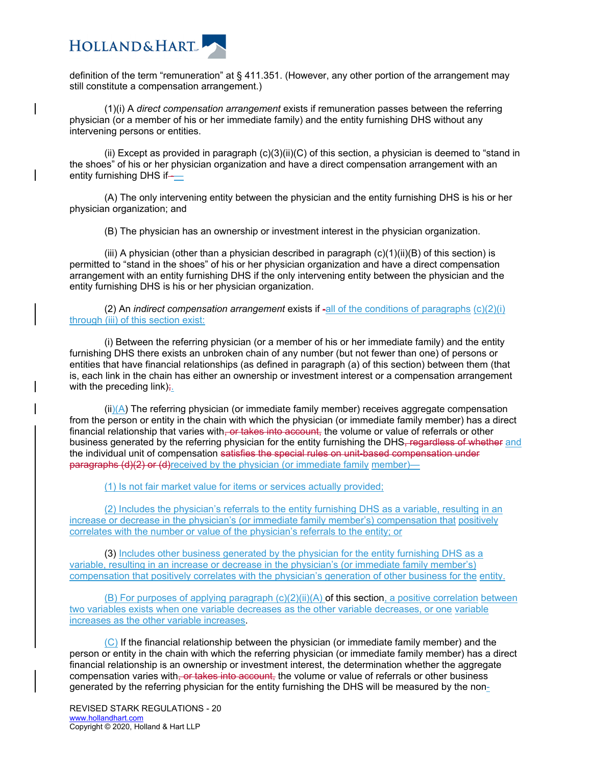

definition of the term "remuneration" at § 411.351. (However, any other portion of the arrangement may still constitute a compensation arrangement.)

(1)(i) A *direct compensation arrangement* exists if remuneration passes between the referring physician (or a member of his or her immediate family) and the entity furnishing DHS without any intervening persons or entities.

(ii) Except as provided in paragraph  $(c)(3)(ii)(C)$  of this section, a physician is deemed to "stand in the shoes" of his or her physician organization and have a direct compensation arrangement with an entity furnishing DHS if-

(A) The only intervening entity between the physician and the entity furnishing DHS is his or her physician organization; and

(B) The physician has an ownership or investment interest in the physician organization.

(iii) A physician (other than a physician described in paragraph  $(c)(1)(ii)(B)$  of this section) is permitted to "stand in the shoes" of his or her physician organization and have a direct compensation arrangement with an entity furnishing DHS if the only intervening entity between the physician and the entity furnishing DHS is his or her physician organization.

(2) An *indirect compensation arrangement* exists if -all of the conditions of paragraphs (c)(2)(i) through (iii) of this section exist:

(i) Between the referring physician (or a member of his or her immediate family) and the entity furnishing DHS there exists an unbroken chain of any number (but not fewer than one) of persons or entities that have financial relationships (as defined in paragraph (a) of this section) between them (that is, each link in the chain has either an ownership or investment interest or a compensation arrangement with the preceding link);

 $(ii)(A)$  The referring physician (or immediate family member) receives aggregate compensation from the person or entity in the chain with which the physician (or immediate family member) has a direct financial relationship that varies with, or takes into account, the volume or value of referrals or other business generated by the referring physician for the entity furnishing the DHS, regardless of whether and the individual unit of compensation satisfies the special rules on unit-based compensation under **paragraphs (d)(2) or (d)**received by the physician (or immediate family member)—

(1) Is not fair market value for items or services actually provided;

(2) Includes the physician's referrals to the entity furnishing DHS as a variable, resulting in an increase or decrease in the physician's (or immediate family member's) compensation that positively correlates with the number or value of the physician's referrals to the entity; or

(3) Includes other business generated by the physician for the entity furnishing DHS as a variable, resulting in an increase or decrease in the physician's (or immediate family member's) compensation that positively correlates with the physician's generation of other business for the entity.

(B) For purposes of applying paragraph  $(c)(2)(ii)(A)$  of this section, a positive correlation between two variables exists when one variable decreases as the other variable decreases, or one variable increases as the other variable increases.

 $(C)$  If the financial relationship between the physician (or immediate family member) and the person or entity in the chain with which the referring physician (or immediate family member) has a direct financial relationship is an ownership or investment interest, the determination whether the aggregate compensation varies with, or takes into account, the volume or value of referrals or other business generated by the referring physician for the entity furnishing the DHS will be measured by the non-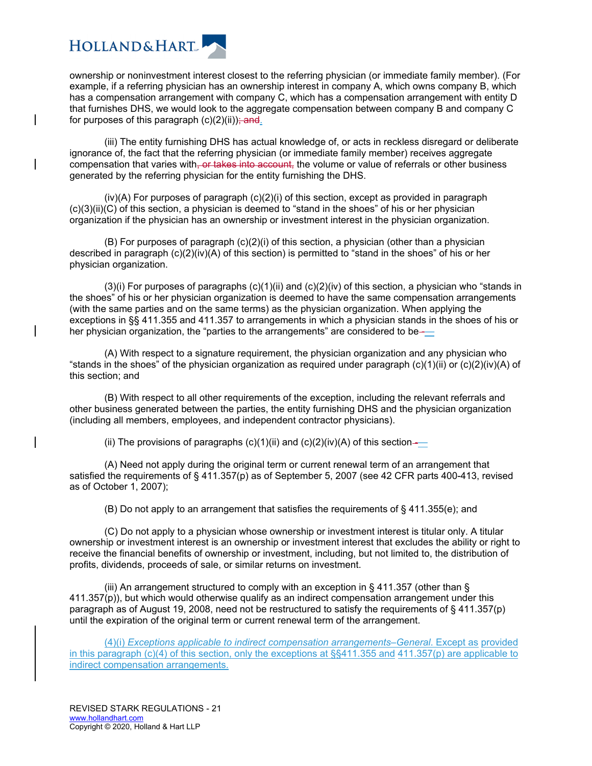

ownership or noninvestment interest closest to the referring physician (or immediate family member). (For example, if a referring physician has an ownership interest in company A, which owns company B, which has a compensation arrangement with company C, which has a compensation arrangement with entity D that furnishes DHS, we would look to the aggregate compensation between company B and company C for purposes of this paragraph  $(c)(2)(ii)$ ; and.

(iii) The entity furnishing DHS has actual knowledge of, or acts in reckless disregard or deliberate ignorance of, the fact that the referring physician (or immediate family member) receives aggregate compensation that varies with, or takes into account, the volume or value of referrals or other business generated by the referring physician for the entity furnishing the DHS.

 $(iv)(A)$  For purposes of paragraph  $(c)(2)(i)$  of this section, except as provided in paragraph (c)(3)(ii)(C) of this section, a physician is deemed to "stand in the shoes" of his or her physician organization if the physician has an ownership or investment interest in the physician organization.

 $(B)$  For purposes of paragraph  $(c)(2)(i)$  of this section, a physician (other than a physician described in paragraph (c)(2)(iv)(A) of this section) is permitted to "stand in the shoes" of his or her physician organization.

(3)(i) For purposes of paragraphs (c)(1)(ii) and (c)(2)(iv) of this section, a physician who "stands in the shoes" of his or her physician organization is deemed to have the same compensation arrangements (with the same parties and on the same terms) as the physician organization. When applying the exceptions in §§ 411.355 and 411.357 to arrangements in which a physician stands in the shoes of his or her physician organization, the "parties to the arrangements" are considered to be-

(A) With respect to a signature requirement, the physician organization and any physician who "stands in the shoes" of the physician organization as required under paragraph (c)(1)(ii) or (c)(2)(iv)(A) of this section; and

(B) With respect to all other requirements of the exception, including the relevant referrals and other business generated between the parties, the entity furnishing DHS and the physician organization (including all members, employees, and independent contractor physicians).

(ii) The provisions of paragraphs  $(c)(1)(ii)$  and  $(c)(2)(iv)(A)$  of this section-

(A) Need not apply during the original term or current renewal term of an arrangement that satisfied the requirements of § 411.357(p) as of September 5, 2007 (see 42 CFR parts 400-413, revised as of October 1, 2007);

(B) Do not apply to an arrangement that satisfies the requirements of § 411.355(e); and

(C) Do not apply to a physician whose ownership or investment interest is titular only. A titular ownership or investment interest is an ownership or investment interest that excludes the ability or right to receive the financial benefits of ownership or investment, including, but not limited to, the distribution of profits, dividends, proceeds of sale, or similar returns on investment.

(iii) An arrangement structured to comply with an exception in § 411.357 (other than § 411.357(p)), but which would otherwise qualify as an indirect compensation arrangement under this paragraph as of August 19, 2008, need not be restructured to satisfy the requirements of § 411.357(p) until the expiration of the original term or current renewal term of the arrangement.

(4)(i) *Exceptions applicable to indirect compensation arrangements–General*. Except as provided in this paragraph (c)(4) of this section, only the exceptions at  $\S$ §411.355 and 411.357(p) are applicable to indirect compensation arrangements.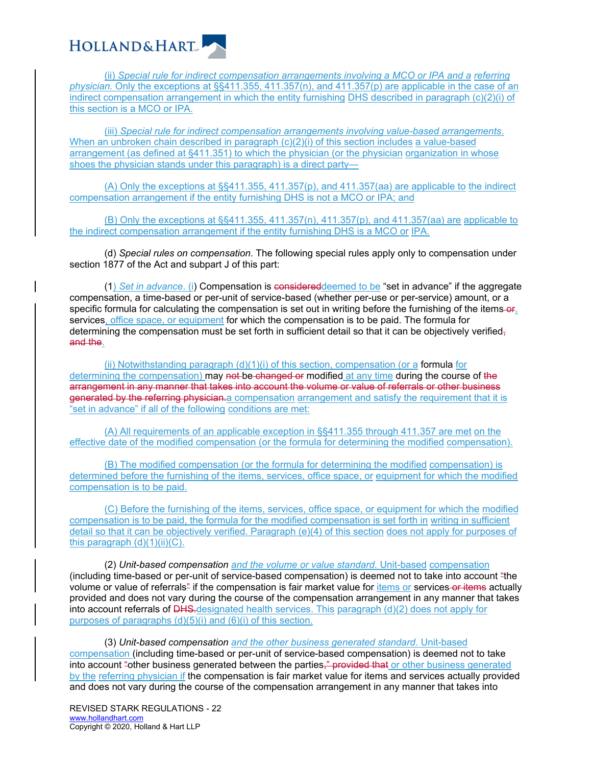

(ii) *Special rule for indirect compensation arrangements involving a MCO or IPA and a referring physician.* Only the exceptions at §§411.355, 411.357(n), and 411.357(p) are applicable in the case of an indirect compensation arrangement in which the entity furnishing DHS described in paragraph (c)(2)(i) of this section is a MCO or IPA.

(iii) *Special rule for indirect compensation arrangements involving value-based arrangements*. When an unbroken chain described in paragraph  $(c)(2)(i)$  of this section includes a value-based arrangement (as defined at §411.351) to which the physician (or the physician organization in whose shoes the physician stands under this paragraph) is a direct party-

(A) Only the exceptions at §§411.355, 411.357(p), and 411.357(aa) are applicable to the indirect compensation arrangement if the entity furnishing DHS is not a MCO or IPA; and

(B) Only the exceptions at §§411.355, 411.357(n), 411.357(p), and 411.357(aa) are applicable to the indirect compensation arrangement if the entity furnishing DHS is a MCO or IPA.

(d) *Special rules on compensation*. The following special rules apply only to compensation under section 1877 of the Act and subpart J of this part:

(1) *Set in advance*. (i) Compensation is considereddeemed to be "set in advance" if the aggregate compensation, a time-based or per-unit of service-based (whether per-use or per-service) amount, or a specific formula for calculating the compensation is set out in writing before the furnishing of the items-or, services, office space, or equipment for which the compensation is to be paid. The formula for determining the compensation must be set forth in sufficient detail so that it can be objectively verifiedand the.

(ii) Notwithstanding paragraph  $(d)(1)(i)$  of this section, compensation (or a formula for determining the compensation) may not be changed or modified at any time during the course of the arrangement in any manner that takes into account the volume or value of referrals or other business generated by the referring physician. a compensation arrangement and satisfy the requirement that it is "set in advance" if all of the following conditions are met:

(A) All requirements of an applicable exception in §§411.355 through 411.357 are met on the effective date of the modified compensation (or the formula for determining the modified compensation).

(B) The modified compensation (or the formula for determining the modified compensation) is determined before the furnishing of the items, services, office space, or equipment for which the modified compensation is to be paid.

(C) Before the furnishing of the items, services, office space, or equipment for which the modified compensation is to be paid, the formula for the modified compensation is set forth in writing in sufficient detail so that it can be objectively verified. Paragraph (e)(4) of this section does not apply for purposes of this paragraph  $(d)(1)(ii)(C)$ .

(2) *Unit-based compensation and the volume or value standard.* Unit-based compensation (including time-based or per-unit of service-based compensation) is deemed not to take into account "the volume or value of referrals<sup>"</sup> if the compensation is fair market value for items or services or items actually provided and does not vary during the course of the compensation arrangement in any manner that takes into account referrals of  $DHS$  designated health services. This paragraph (d)(2) does not apply for purposes of paragraphs (d)(5)(i) and (6)(i) of this section.

(3) *Unit-based compensation and the other business generated standard*. Unit-based compensation (including time-based or per-unit of service-based compensation) is deemed not to take into account "other business generated between the parties," provided that or other business generated by the referring physician if the compensation is fair market value for items and services actually provided and does not vary during the course of the compensation arrangement in any manner that takes into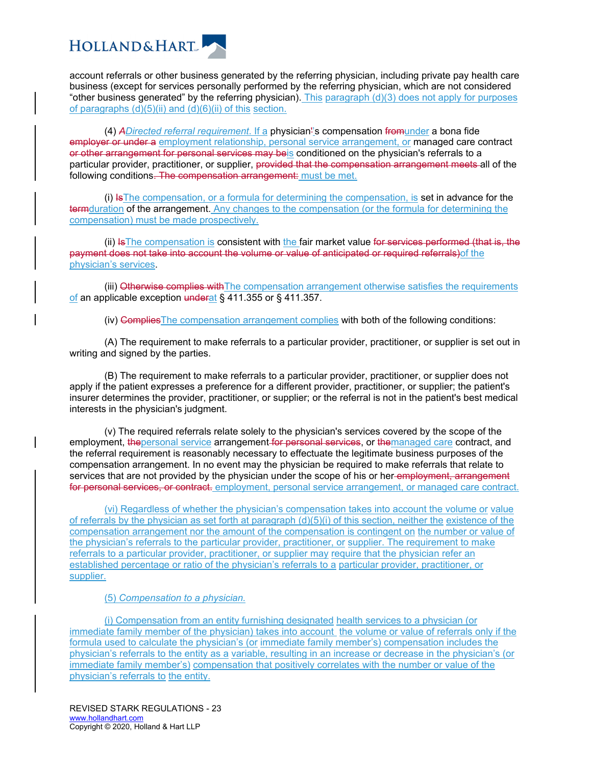

account referrals or other business generated by the referring physician, including private pay health care business (except for services personally performed by the referring physician, which are not considered "other business generated" by the referring physician). This paragraph (d)(3) does not apply for purposes of paragraphs  $(d)(5)(ii)$  and  $(d)(6)(ii)$  of this section.

(4) *ADirected referral requirement*. If a physician''s compensation fromunder a bona fide employer or under a employment relationship, personal service arrangement, or managed care contract or other arrangement for personal services may beis conditioned on the physician's referrals to a particular provider, practitioner, or supplier, provided that the compensation arrangement meets all of the following conditions. The compensation arrangement: must be met.

(i) Is The compensation, or a formula for determining the compensation, is set in advance for the termduration of the arrangement. Any changes to the compensation (or the formula for determining the compensation) must be made prospectively.

(ii) IsThe compensation is consistent with the fair market value for services performed (that is, the payment does not take into account the volume or value of anticipated or required referrals)of the physician's services.

(iii) Otherwise complies with The compensation arrangement otherwise satisfies the requirements of an applicable exception underat § 411.355 or § 411.357.

(iv) Complies The compensation arrangement complies with both of the following conditions:

(A) The requirement to make referrals to a particular provider, practitioner, or supplier is set out in writing and signed by the parties.

(B) The requirement to make referrals to a particular provider, practitioner, or supplier does not apply if the patient expresses a preference for a different provider, practitioner, or supplier; the patient's insurer determines the provider, practitioner, or supplier; or the referral is not in the patient's best medical interests in the physician's judgment.

(v) The required referrals relate solely to the physician's services covered by the scope of the employment, thepersonal service arrangement for personal services, or themanaged care contract, and the referral requirement is reasonably necessary to effectuate the legitimate business purposes of the compensation arrangement. In no event may the physician be required to make referrals that relate to services that are not provided by the physician under the scope of his or her-employment, arrangement for personal services, or contract. employment, personal service arrangement, or managed care contract.

(vi) Regardless of whether the physician's compensation takes into account the volume or value of referrals by the physician as set forth at paragraph  $(d)(5)(i)$  of this section, neither the existence of the compensation arrangement nor the amount of the compensation is contingent on the number or value of the physician's referrals to the particular provider, practitioner, or supplier. The requirement to make referrals to a particular provider, practitioner, or supplier may require that the physician refer an established percentage or ratio of the physician's referrals to a particular provider, practitioner, or supplier.

(5) *Compensation to a physician.*

(i) Compensation from an entity furnishing designated health services to a physician (or immediate family member of the physician) takes into account the volume or value of referrals only if the formula used to calculate the physician's (or immediate family member's) compensation includes the physician's referrals to the entity as a variable, resulting in an increase or decrease in the physician's (or immediate family member's) compensation that positively correlates with the number or value of the physician's referrals to the entity.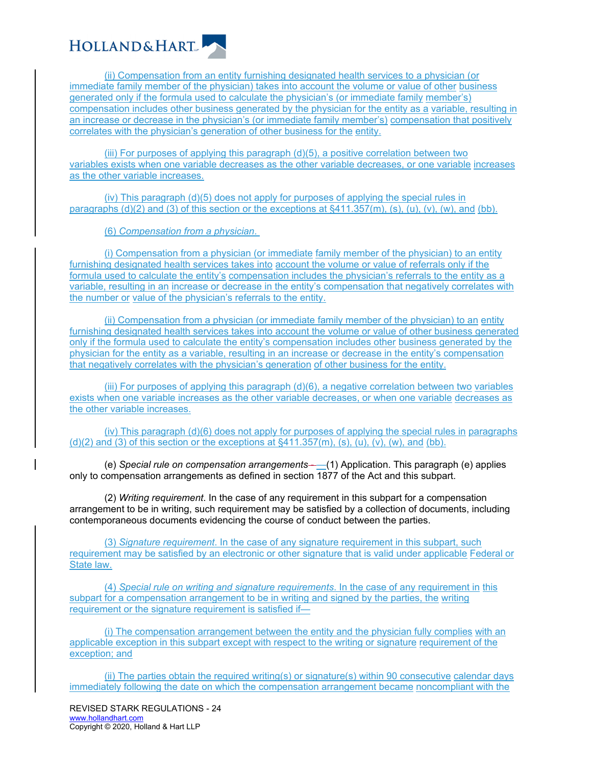

(ii) Compensation from an entity furnishing designated health services to a physician (or immediate family member of the physician) takes into account the volume or value of other business generated only if the formula used to calculate the physician's (or immediate family member's) compensation includes other business generated by the physician for the entity as a variable, resulting in an increase or decrease in the physician's (or immediate family member's) compensation that positively correlates with the physician's generation of other business for the entity.

(iii) For purposes of applying this paragraph (d)(5), a positive correlation between two variables exists when one variable decreases as the other variable decreases, or one variable increases as the other variable increases.

(iv) This paragraph (d)(5) does not apply for purposes of applying the special rules in paragraphs (d)(2) and (3) of this section or the exceptions at §411.357(m), (s), (u), (v), (w), and (bb).

(6) *Compensation from a physician*.

(i) Compensation from a physician (or immediate family member of the physician) to an entity furnishing designated health services takes into account the volume or value of referrals only if the formula used to calculate the entity's compensation includes the physician's referrals to the entity as a variable, resulting in an increase or decrease in the entity's compensation that negatively correlates with the number or value of the physician's referrals to the entity.

(ii) Compensation from a physician (or immediate family member of the physician) to an entity furnishing designated health services takes into account the volume or value of other business generated only if the formula used to calculate the entity's compensation includes other business generated by the physician for the entity as a variable, resulting in an increase or decrease in the entity's compensation that negatively correlates with the physician's generation of other business for the entity.

(iii) For purposes of applying this paragraph (d)(6), a negative correlation between two variables exists when one variable increases as the other variable decreases, or when one variable decreases as the other variable increases.

(iv) This paragraph (d)(6) does not apply for purposes of applying the special rules in paragraphs  $(d)(2)$  and  $(3)$  of this section or the exceptions at  $\S 411.357(m)$ ,  $(s)$ ,  $(u)$ ,  $(v)$ ,  $(w)$ , and  $(bb)$ .

(e) *Special rule on compensation arrangements* - —(1) Application. This paragraph (e) applies only to compensation arrangements as defined in section 1877 of the Act and this subpart.

(2) *Writing requirement*. In the case of any requirement in this subpart for a compensation arrangement to be in writing, such requirement may be satisfied by a collection of documents, including contemporaneous documents evidencing the course of conduct between the parties.

(3) *Signature requirement*. In the case of any signature requirement in this subpart, such requirement may be satisfied by an electronic or other signature that is valid under applicable Federal or State law.

(4) *Special rule on writing and signature requirements*. In the case of any requirement in this subpart for a compensation arrangement to be in writing and signed by the parties, the writing requirement or the signature requirement is satisfied if—

(i) The compensation arrangement between the entity and the physician fully complies with an applicable exception in this subpart except with respect to the writing or signature requirement of the exception; and

(ii) The parties obtain the required writing(s) or signature(s) within 90 consecutive calendar days immediately following the date on which the compensation arrangement became noncompliant with the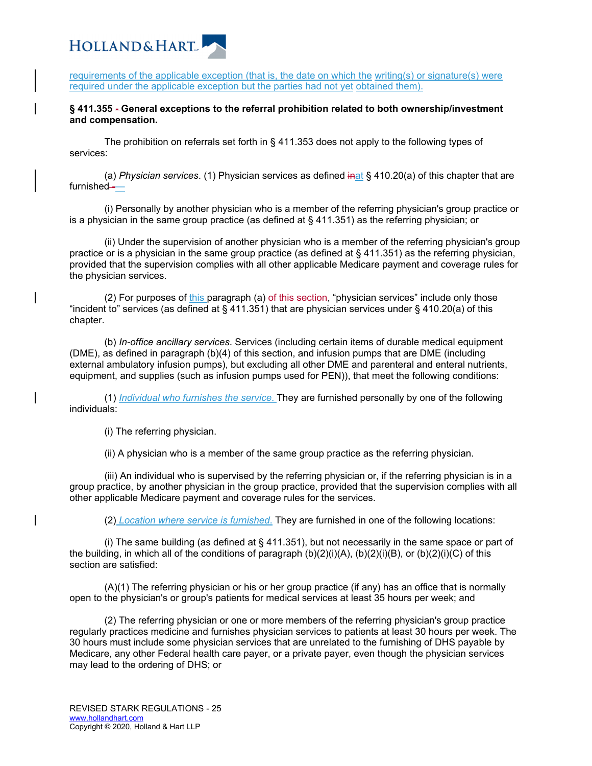

requirements of the applicable exception (that is, the date on which the writing(s) or signature(s) were required under the applicable exception but the parties had not yet obtained them).

#### **§ 411.355 - General exceptions to the referral prohibition related to both ownership/investment and compensation.**

The prohibition on referrals set forth in § 411.353 does not apply to the following types of services:

(a) *Physician services*. (1) Physician services as defined inat § 410.20(a) of this chapter that are furnished-

(i) Personally by another physician who is a member of the referring physician's group practice or is a physician in the same group practice (as defined at § 411.351) as the referring physician; or

(ii) Under the supervision of another physician who is a member of the referring physician's group practice or is a physician in the same group practice (as defined at § 411.351) as the referring physician, provided that the supervision complies with all other applicable Medicare payment and coverage rules for the physician services.

(2) For purposes of this paragraph (a) of this section, "physician services" include only those "incident to" services (as defined at § 411.351) that are physician services under § 410.20(a) of this chapter.

(b) *In-office ancillary services*. Services (including certain items of durable medical equipment (DME), as defined in paragraph (b)(4) of this section, and infusion pumps that are DME (including external ambulatory infusion pumps), but excluding all other DME and parenteral and enteral nutrients, equipment, and supplies (such as infusion pumps used for PEN)), that meet the following conditions:

(1) *Individual who furnishes the service*. They are furnished personally by one of the following individuals:

(i) The referring physician.

(ii) A physician who is a member of the same group practice as the referring physician.

(iii) An individual who is supervised by the referring physician or, if the referring physician is in a group practice, by another physician in the group practice, provided that the supervision complies with all other applicable Medicare payment and coverage rules for the services.

(2) *Location where service is furnished*. They are furnished in one of the following locations:

(i) The same building (as defined at § 411.351), but not necessarily in the same space or part of the building, in which all of the conditions of paragraph (b)(2)(i)(A), (b)(2)(i)(B), or (b)(2)(i)(C) of this section are satisfied:

(A)(1) The referring physician or his or her group practice (if any) has an office that is normally open to the physician's or group's patients for medical services at least 35 hours per week; and

(2) The referring physician or one or more members of the referring physician's group practice regularly practices medicine and furnishes physician services to patients at least 30 hours per week. The 30 hours must include some physician services that are unrelated to the furnishing of DHS payable by Medicare, any other Federal health care payer, or a private payer, even though the physician services may lead to the ordering of DHS; or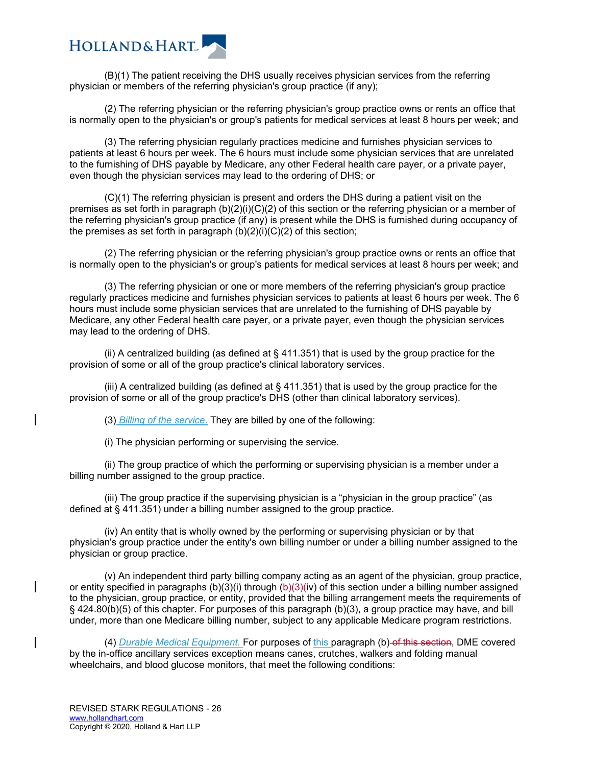

(B)(1) The patient receiving the DHS usually receives physician services from the referring physician or members of the referring physician's group practice (if any);

(2) The referring physician or the referring physician's group practice owns or rents an office that is normally open to the physician's or group's patients for medical services at least 8 hours per week; and

(3) The referring physician regularly practices medicine and furnishes physician services to patients at least 6 hours per week. The 6 hours must include some physician services that are unrelated to the furnishing of DHS payable by Medicare, any other Federal health care payer, or a private payer, even though the physician services may lead to the ordering of DHS; or

(C)(1) The referring physician is present and orders the DHS during a patient visit on the premises as set forth in paragraph (b)(2)(i)(C)(2) of this section or the referring physician or a member of the referring physician's group practice (if any) is present while the DHS is furnished during occupancy of the premises as set forth in paragraph  $(b)(2)(i)(C)(2)$  of this section;

(2) The referring physician or the referring physician's group practice owns or rents an office that is normally open to the physician's or group's patients for medical services at least 8 hours per week; and

(3) The referring physician or one or more members of the referring physician's group practice regularly practices medicine and furnishes physician services to patients at least 6 hours per week. The 6 hours must include some physician services that are unrelated to the furnishing of DHS payable by Medicare, any other Federal health care payer, or a private payer, even though the physician services may lead to the ordering of DHS.

(ii) A centralized building (as defined at § 411.351) that is used by the group practice for the provision of some or all of the group practice's clinical laboratory services.

(iii) A centralized building (as defined at  $\S$  411.351) that is used by the group practice for the provision of some or all of the group practice's DHS (other than clinical laboratory services).

(3) *Billing of the service*. They are billed by one of the following:

(i) The physician performing or supervising the service.

(ii) The group practice of which the performing or supervising physician is a member under a billing number assigned to the group practice.

(iii) The group practice if the supervising physician is a "physician in the group practice" (as defined at § 411.351) under a billing number assigned to the group practice.

(iv) An entity that is wholly owned by the performing or supervising physician or by that physician's group practice under the entity's own billing number or under a billing number assigned to the physician or group practice.

(v) An independent third party billing company acting as an agent of the physician, group practice, or entity specified in paragraphs (b)(3)(i) through ( $\frac{1}{2}$ )(iv) of this section under a billing number assigned to the physician, group practice, or entity, provided that the billing arrangement meets the requirements of § 424.80(b)(5) of this chapter. For purposes of this paragraph (b)(3), a group practice may have, and bill under, more than one Medicare billing number, subject to any applicable Medicare program restrictions.

(4) *Durable Medical Equipment.* For purposes of this paragraph (b) of this section, DME covered by the in-office ancillary services exception means canes, crutches, walkers and folding manual wheelchairs, and blood glucose monitors, that meet the following conditions: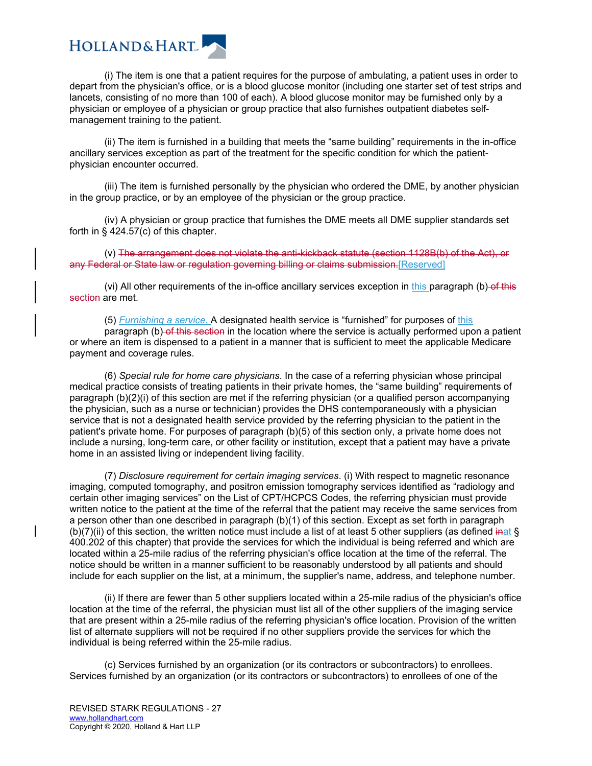

(i) The item is one that a patient requires for the purpose of ambulating, a patient uses in order to depart from the physician's office, or is a blood glucose monitor (including one starter set of test strips and lancets, consisting of no more than 100 of each). A blood glucose monitor may be furnished only by a physician or employee of a physician or group practice that also furnishes outpatient diabetes selfmanagement training to the patient.

(ii) The item is furnished in a building that meets the "same building" requirements in the in-office ancillary services exception as part of the treatment for the specific condition for which the patientphysician encounter occurred.

(iii) The item is furnished personally by the physician who ordered the DME, by another physician in the group practice, or by an employee of the physician or the group practice.

(iv) A physician or group practice that furnishes the DME meets all DME supplier standards set forth in  $\S$  424.57(c) of this chapter.

(v) The arrangement does not violate the anti-kickback statute (section 1128B(b) of the Act), or any Federal or State law or regulation governing billing or claims submission. [Reserved]

(vi) All other requirements of the in-office ancillary services exception in this paragraph (b) of this section are met.

(5) *Furnishing a service*. A designated health service is "furnished" for purposes of this

paragraph (b) of this section in the location where the service is actually performed upon a patient or where an item is dispensed to a patient in a manner that is sufficient to meet the applicable Medicare payment and coverage rules.

(6) *Special rule for home care physicians*. In the case of a referring physician whose principal medical practice consists of treating patients in their private homes, the "same building" requirements of paragraph (b)(2)(i) of this section are met if the referring physician (or a qualified person accompanying the physician, such as a nurse or technician) provides the DHS contemporaneously with a physician service that is not a designated health service provided by the referring physician to the patient in the patient's private home. For purposes of paragraph (b)(5) of this section only, a private home does not include a nursing, long-term care, or other facility or institution, except that a patient may have a private home in an assisted living or independent living facility.

(7) *Disclosure requirement for certain imaging services*. (i) With respect to magnetic resonance imaging, computed tomography, and positron emission tomography services identified as "radiology and certain other imaging services" on the List of CPT/HCPCS Codes, the referring physician must provide written notice to the patient at the time of the referral that the patient may receive the same services from a person other than one described in paragraph (b)(1) of this section. Except as set forth in paragraph  $(b)(7)(ii)$  of this section, the written notice must include a list of at least 5 other suppliers (as defined inat § 400.202 of this chapter) that provide the services for which the individual is being referred and which are located within a 25-mile radius of the referring physician's office location at the time of the referral. The notice should be written in a manner sufficient to be reasonably understood by all patients and should include for each supplier on the list, at a minimum, the supplier's name, address, and telephone number.

(ii) If there are fewer than 5 other suppliers located within a 25-mile radius of the physician's office location at the time of the referral, the physician must list all of the other suppliers of the imaging service that are present within a 25-mile radius of the referring physician's office location. Provision of the written list of alternate suppliers will not be required if no other suppliers provide the services for which the individual is being referred within the 25-mile radius.

(c) Services furnished by an organization (or its contractors or subcontractors) to enrollees. Services furnished by an organization (or its contractors or subcontractors) to enrollees of one of the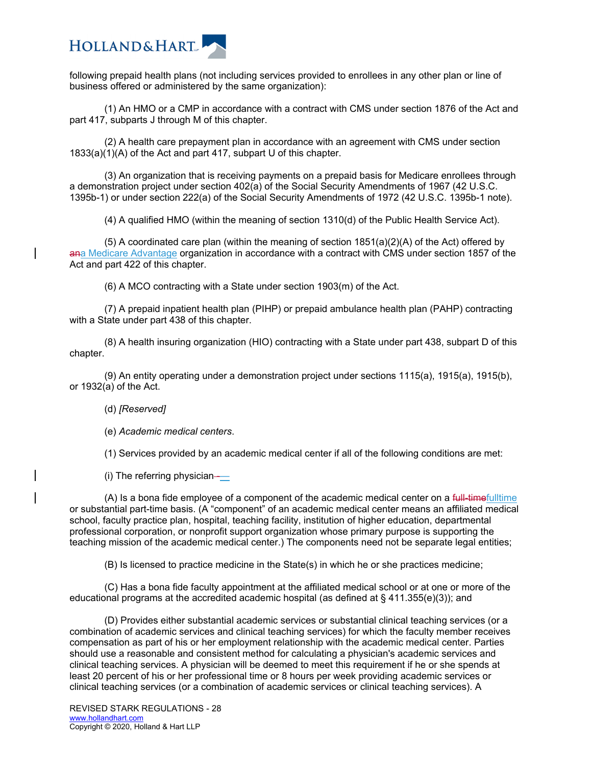

following prepaid health plans (not including services provided to enrollees in any other plan or line of business offered or administered by the same organization):

(1) An HMO or a CMP in accordance with a contract with CMS under section 1876 of the Act and part 417, subparts J through M of this chapter.

(2) A health care prepayment plan in accordance with an agreement with CMS under section 1833(a)(1)(A) of the Act and part 417, subpart U of this chapter.

(3) An organization that is receiving payments on a prepaid basis for Medicare enrollees through a demonstration project under section 402(a) of the Social Security Amendments of 1967 (42 U.S.C. 1395b-1) or under section 222(a) of the Social Security Amendments of 1972 (42 U.S.C. 1395b-1 note).

(4) A qualified HMO (within the meaning of section 1310(d) of the Public Health Service Act).

(5) A coordinated care plan (within the meaning of section 1851(a)(2)(A) of the Act) offered by ana Medicare Advantage organization in accordance with a contract with CMS under section 1857 of the Act and part 422 of this chapter.

(6) A MCO contracting with a State under section 1903(m) of the Act.

(7) A prepaid inpatient health plan (PIHP) or prepaid ambulance health plan (PAHP) contracting with a State under part 438 of this chapter.

(8) A health insuring organization (HIO) contracting with a State under part 438, subpart D of this chapter.

(9) An entity operating under a demonstration project under sections 1115(a), 1915(a), 1915(b), or 1932(a) of the Act.

(d) *[Reserved]*

(e) *Academic medical centers*.

(1) Services provided by an academic medical center if all of the following conditions are met:

 $(i)$  The referring physician $-$ 

 $(A)$  Is a bona fide employee of a component of the academic medical center on a full-timefulltime or substantial part-time basis. (A "component" of an academic medical center means an affiliated medical school, faculty practice plan, hospital, teaching facility, institution of higher education, departmental professional corporation, or nonprofit support organization whose primary purpose is supporting the teaching mission of the academic medical center.) The components need not be separate legal entities;

(B) Is licensed to practice medicine in the State(s) in which he or she practices medicine;

(C) Has a bona fide faculty appointment at the affiliated medical school or at one or more of the educational programs at the accredited academic hospital (as defined at  $\S$  411.355(e)(3)); and

(D) Provides either substantial academic services or substantial clinical teaching services (or a combination of academic services and clinical teaching services) for which the faculty member receives compensation as part of his or her employment relationship with the academic medical center. Parties should use a reasonable and consistent method for calculating a physician's academic services and clinical teaching services. A physician will be deemed to meet this requirement if he or she spends at least 20 percent of his or her professional time or 8 hours per week providing academic services or clinical teaching services (or a combination of academic services or clinical teaching services). A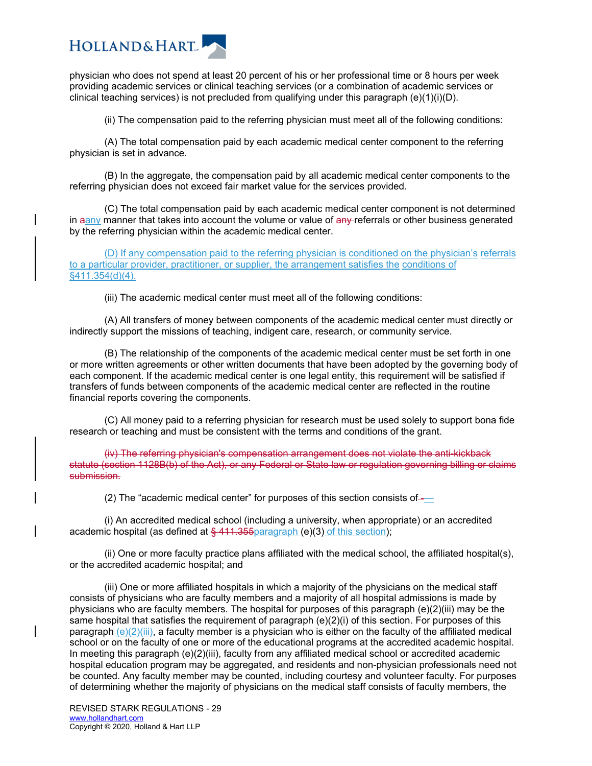

physician who does not spend at least 20 percent of his or her professional time or 8 hours per week providing academic services or clinical teaching services (or a combination of academic services or clinical teaching services) is not precluded from qualifying under this paragraph  $(e)(1)(i)(D)$ .

(ii) The compensation paid to the referring physician must meet all of the following conditions:

(A) The total compensation paid by each academic medical center component to the referring physician is set in advance.

(B) In the aggregate, the compensation paid by all academic medical center components to the referring physician does not exceed fair market value for the services provided.

(C) The total compensation paid by each academic medical center component is not determined in aany manner that takes into account the volume or value of any-referrals or other business generated by the referring physician within the academic medical center.

(D) If any compensation paid to the referring physician is conditioned on the physician's referrals to a particular provider, practitioner, or supplier, the arrangement satisfies the conditions of §411.354(d)(4).

(iii) The academic medical center must meet all of the following conditions:

(A) All transfers of money between components of the academic medical center must directly or indirectly support the missions of teaching, indigent care, research, or community service.

(B) The relationship of the components of the academic medical center must be set forth in one or more written agreements or other written documents that have been adopted by the governing body of each component. If the academic medical center is one legal entity, this requirement will be satisfied if transfers of funds between components of the academic medical center are reflected in the routine financial reports covering the components.

(C) All money paid to a referring physician for research must be used solely to support bona fide research or teaching and must be consistent with the terms and conditions of the grant.

(iv) The referring physician's compensation arrangement does not violate the anti-kickback statute (section 1128B(b) of the Act), or any Federal or State law or regulation governing billing or claims submission.

(2) The "academic medical center" for purposes of this section consists of-

(i) An accredited medical school (including a university, when appropriate) or an accredited academic hospital (as defined at §411.355paragraph (e)(3) of this section);

(ii) One or more faculty practice plans affiliated with the medical school, the affiliated hospital(s), or the accredited academic hospital; and

(iii) One or more affiliated hospitals in which a majority of the physicians on the medical staff consists of physicians who are faculty members and a majority of all hospital admissions is made by physicians who are faculty members. The hospital for purposes of this paragraph (e)(2)(iii) may be the same hospital that satisfies the requirement of paragraph (e)(2)(i) of this section. For purposes of this paragraph  $(e)(2)(iii)$ , a faculty member is a physician who is either on the faculty of the affiliated medical school or on the faculty of one or more of the educational programs at the accredited academic hospital. In meeting this paragraph (e)(2)(iii), faculty from any affiliated medical school or accredited academic hospital education program may be aggregated, and residents and non-physician professionals need not be counted. Any faculty member may be counted, including courtesy and volunteer faculty. For purposes of determining whether the majority of physicians on the medical staff consists of faculty members, the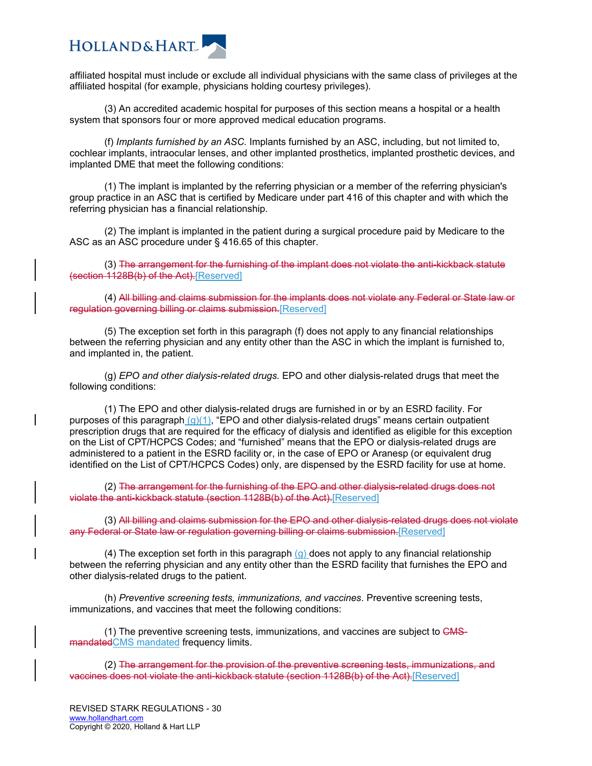

affiliated hospital must include or exclude all individual physicians with the same class of privileges at the affiliated hospital (for example, physicians holding courtesy privileges).

(3) An accredited academic hospital for purposes of this section means a hospital or a health system that sponsors four or more approved medical education programs.

(f) *Implants furnished by an ASC.* Implants furnished by an ASC, including, but not limited to, cochlear implants, intraocular lenses, and other implanted prosthetics, implanted prosthetic devices, and implanted DME that meet the following conditions:

(1) The implant is implanted by the referring physician or a member of the referring physician's group practice in an ASC that is certified by Medicare under part 416 of this chapter and with which the referring physician has a financial relationship.

(2) The implant is implanted in the patient during a surgical procedure paid by Medicare to the ASC as an ASC procedure under § 416.65 of this chapter.

(3) The arrangement for the furnishing of the implant does not violate the anti-kickback statute (section 1128B(b) of the Act).[Reserved]

(4) All billing and claims submission for the implants does not violate any Federal or State law or regulation governing billing or claims submission.[Reserved]

(5) The exception set forth in this paragraph (f) does not apply to any financial relationships between the referring physician and any entity other than the ASC in which the implant is furnished to, and implanted in, the patient.

(g) *EPO and other dialysis-related drugs.* EPO and other dialysis-related drugs that meet the following conditions:

(1) The EPO and other dialysis-related drugs are furnished in or by an ESRD facility. For purposes of this paragraph  $(g)(1)$ , "EPO and other dialysis-related drugs" means certain outpatient prescription drugs that are required for the efficacy of dialysis and identified as eligible for this exception on the List of CPT/HCPCS Codes; and "furnished" means that the EPO or dialysis-related drugs are administered to a patient in the ESRD facility or, in the case of EPO or Aranesp (or equivalent drug identified on the List of CPT/HCPCS Codes) only, are dispensed by the ESRD facility for use at home.

(2) The arrangement for the furnishing of the EPO and other dialysis-related drugs does not violate the anti-kickback statute (section 1128B(b) of the Act).[Reserved]

(3) All billing and claims submission for the EPO and other dialysis-related drugs does not violate any Federal or State law or regulation governing billing or claims submission. [Reserved]

(4) The exception set forth in this paragraph  $(q)$  does not apply to any financial relationship between the referring physician and any entity other than the ESRD facility that furnishes the EPO and other dialysis-related drugs to the patient.

(h) *Preventive screening tests, immunizations, and vaccines*. Preventive screening tests, immunizations, and vaccines that meet the following conditions:

(1) The preventive screening tests, immunizations, and vaccines are subject to CMSmandatedCMS mandated frequency limits.

(2) The arrangement for the provision of the preventive screening tests, immunizations, and vaccines does not violate the anti-kickback statute (section 1128B(b) of the Act).[Reserved]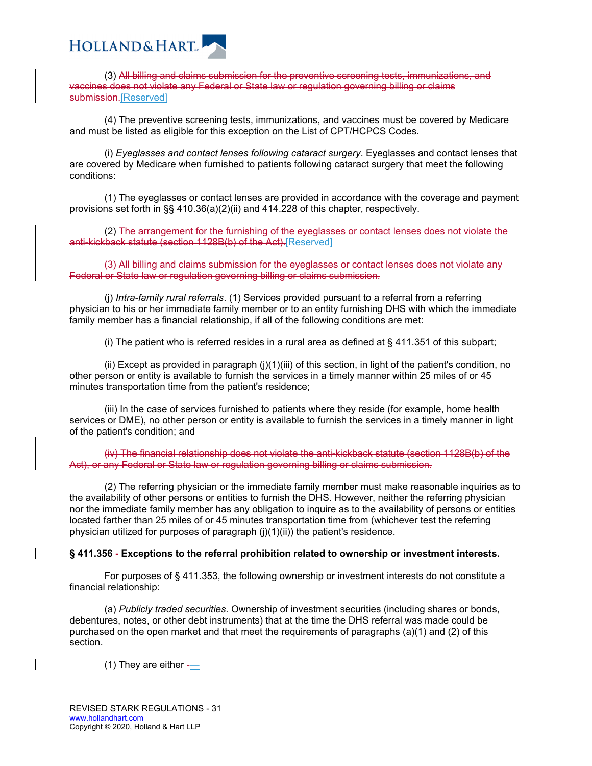

(3) All billing and claims submission for the preventive screening tests, immunizations, and vaccines does not violate any Federal or State law or regulation governing billing or claims submission.<sup>[Reserved]</sup>

(4) The preventive screening tests, immunizations, and vaccines must be covered by Medicare and must be listed as eligible for this exception on the List of CPT/HCPCS Codes.

(i) *Eyeglasses and contact lenses following cataract surgery*. Eyeglasses and contact lenses that are covered by Medicare when furnished to patients following cataract surgery that meet the following conditions:

(1) The eyeglasses or contact lenses are provided in accordance with the coverage and payment provisions set forth in §§ 410.36(a)(2)(ii) and 414.228 of this chapter, respectively.

(2) The arrangement for the furnishing of the eyeglasses or contact lenses does not violate the anti-kickback statute (section 1128B(b) of the Act).[Reserved]

(3) All billing and claims submission for the eyeglasses or contact lenses does not violate any Federal or State law or regulation governing billing or claims submission.

(j) *Intra-family rural referrals*. (1) Services provided pursuant to a referral from a referring physician to his or her immediate family member or to an entity furnishing DHS with which the immediate family member has a financial relationship, if all of the following conditions are met:

(i) The patient who is referred resides in a rural area as defined at  $\S$  411.351 of this subpart;

(ii) Except as provided in paragraph  $(i)(1)(iii)$  of this section, in light of the patient's condition, no other person or entity is available to furnish the services in a timely manner within 25 miles of or 45 minutes transportation time from the patient's residence;

(iii) In the case of services furnished to patients where they reside (for example, home health services or DME), no other person or entity is available to furnish the services in a timely manner in light of the patient's condition; and

(iv) The financial relationship does not violate the anti-kickback statute (section 1128B(b) of the Act), or any Federal or State law or regulation governing billing or claims submission.

(2) The referring physician or the immediate family member must make reasonable inquiries as to the availability of other persons or entities to furnish the DHS. However, neither the referring physician nor the immediate family member has any obligation to inquire as to the availability of persons or entities located farther than 25 miles of or 45 minutes transportation time from (whichever test the referring physician utilized for purposes of paragraph (j)(1)(ii)) the patient's residence.

#### § 411.356 - Exceptions to the referral prohibition related to ownership or investment interests.

For purposes of § 411.353, the following ownership or investment interests do not constitute a financial relationship:

(a) *Publicly traded securities*. Ownership of investment securities (including shares or bonds, debentures, notes, or other debt instruments) that at the time the DHS referral was made could be purchased on the open market and that meet the requirements of paragraphs (a)(1) and (2) of this section.

(1) They are either $-\underline{\hspace{2cm}}$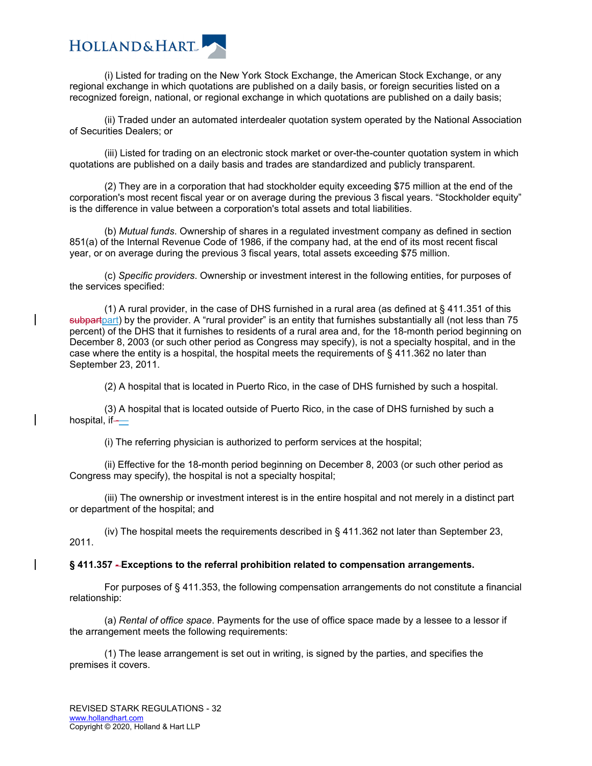

(i) Listed for trading on the New York Stock Exchange, the American Stock Exchange, or any regional exchange in which quotations are published on a daily basis, or foreign securities listed on a recognized foreign, national, or regional exchange in which quotations are published on a daily basis;

(ii) Traded under an automated interdealer quotation system operated by the National Association of Securities Dealers; or

(iii) Listed for trading on an electronic stock market or over-the-counter quotation system in which quotations are published on a daily basis and trades are standardized and publicly transparent.

(2) They are in a corporation that had stockholder equity exceeding \$75 million at the end of the corporation's most recent fiscal year or on average during the previous 3 fiscal years. "Stockholder equity" is the difference in value between a corporation's total assets and total liabilities.

(b) *Mutual funds*. Ownership of shares in a regulated investment company as defined in section 851(a) of the Internal Revenue Code of 1986, if the company had, at the end of its most recent fiscal year, or on average during the previous 3 fiscal years, total assets exceeding \$75 million.

(c) *Specific providers*. Ownership or investment interest in the following entities, for purposes of the services specified:

(1) A rural provider, in the case of DHS furnished in a rural area (as defined at § 411.351 of this subpartpart) by the provider. A "rural provider" is an entity that furnishes substantially all (not less than 75 percent) of the DHS that it furnishes to residents of a rural area and, for the 18-month period beginning on December 8, 2003 (or such other period as Congress may specify), is not a specialty hospital, and in the case where the entity is a hospital, the hospital meets the requirements of § 411.362 no later than September 23, 2011.

(2) A hospital that is located in Puerto Rico, in the case of DHS furnished by such a hospital.

(3) A hospital that is located outside of Puerto Rico, in the case of DHS furnished by such a hospital, if-

(i) The referring physician is authorized to perform services at the hospital;

(ii) Effective for the 18-month period beginning on December 8, 2003 (or such other period as Congress may specify), the hospital is not a specialty hospital;

(iii) The ownership or investment interest is in the entire hospital and not merely in a distinct part or department of the hospital; and

(iv) The hospital meets the requirements described in § 411.362 not later than September 23, 2011.

## **§ 411.357 - Exceptions to the referral prohibition related to compensation arrangements.**

For purposes of § 411.353, the following compensation arrangements do not constitute a financial relationship:

(a) *Rental of office space*. Payments for the use of office space made by a lessee to a lessor if the arrangement meets the following requirements:

(1) The lease arrangement is set out in writing, is signed by the parties, and specifies the premises it covers.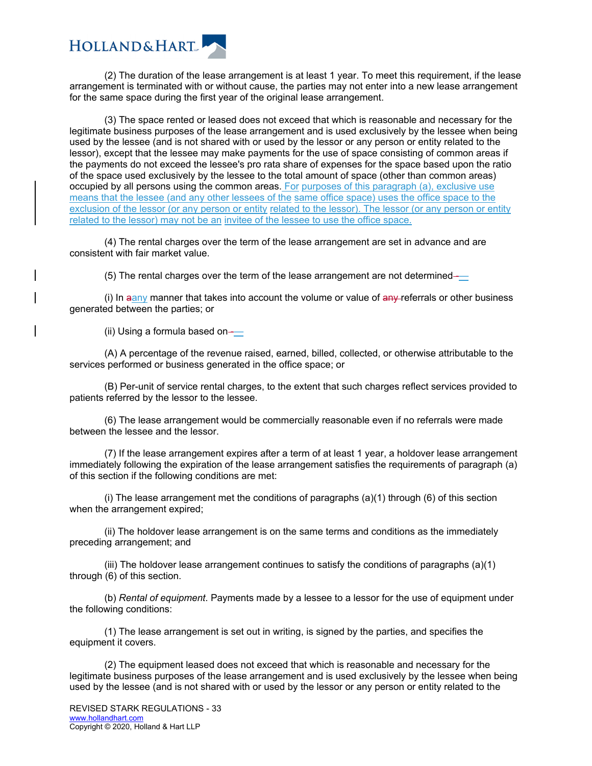

(2) The duration of the lease arrangement is at least 1 year. To meet this requirement, if the lease arrangement is terminated with or without cause, the parties may not enter into a new lease arrangement for the same space during the first year of the original lease arrangement.

(3) The space rented or leased does not exceed that which is reasonable and necessary for the legitimate business purposes of the lease arrangement and is used exclusively by the lessee when being used by the lessee (and is not shared with or used by the lessor or any person or entity related to the lessor), except that the lessee may make payments for the use of space consisting of common areas if the payments do not exceed the lessee's pro rata share of expenses for the space based upon the ratio of the space used exclusively by the lessee to the total amount of space (other than common areas) occupied by all persons using the common areas. For purposes of this paragraph (a), exclusive use means that the lessee (and any other lessees of the same office space) uses the office space to the exclusion of the lessor (or any person or entity related to the lessor). The lessor (or any person or entity related to the lessor) may not be an invitee of the lessee to use the office space.

(4) The rental charges over the term of the lease arrangement are set in advance and are consistent with fair market value.

(5) The rental charges over the term of the lease arrangement are not determined -—

(i) In aany manner that takes into account the volume or value of any referrals or other business generated between the parties; or

(ii) Using a formula based on $-$ 

(A) A percentage of the revenue raised, earned, billed, collected, or otherwise attributable to the services performed or business generated in the office space; or

(B) Per-unit of service rental charges, to the extent that such charges reflect services provided to patients referred by the lessor to the lessee.

(6) The lease arrangement would be commercially reasonable even if no referrals were made between the lessee and the lessor.

(7) If the lease arrangement expires after a term of at least 1 year, a holdover lease arrangement immediately following the expiration of the lease arrangement satisfies the requirements of paragraph (a) of this section if the following conditions are met:

(i) The lease arrangement met the conditions of paragraphs  $(a)(1)$  through  $(6)$  of this section when the arrangement expired;

(ii) The holdover lease arrangement is on the same terms and conditions as the immediately preceding arrangement; and

(iii) The holdover lease arrangement continues to satisfy the conditions of paragraphs  $(a)(1)$ through (6) of this section.

(b) *Rental of equipment*. Payments made by a lessee to a lessor for the use of equipment under the following conditions:

(1) The lease arrangement is set out in writing, is signed by the parties, and specifies the equipment it covers.

(2) The equipment leased does not exceed that which is reasonable and necessary for the legitimate business purposes of the lease arrangement and is used exclusively by the lessee when being used by the lessee (and is not shared with or used by the lessor or any person or entity related to the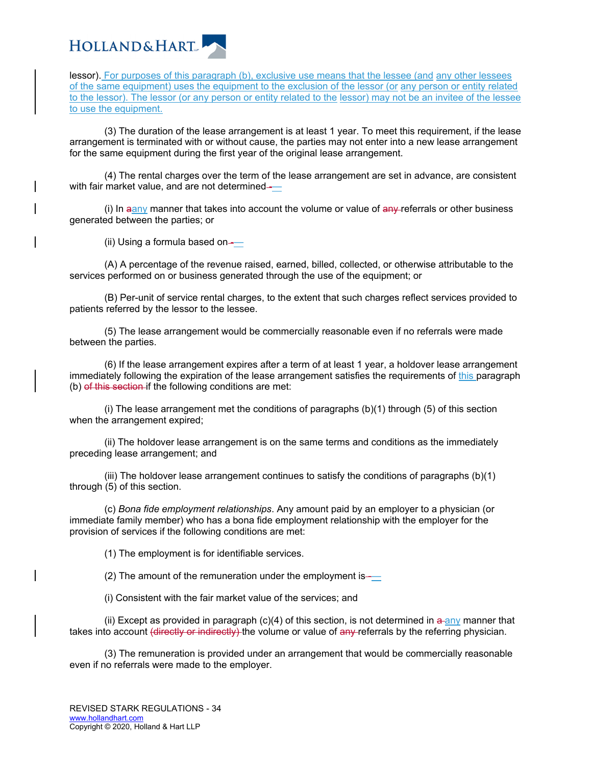

lessor). For purposes of this paragraph (b), exclusive use means that the lessee (and any other lessees of the same equipment) uses the equipment to the exclusion of the lessor (or any person or entity related to the lessor). The lessor (or any person or entity related to the lessor) may not be an invitee of the lessee to use the equipment.

(3) The duration of the lease arrangement is at least 1 year. To meet this requirement, if the lease arrangement is terminated with or without cause, the parties may not enter into a new lease arrangement for the same equipment during the first year of the original lease arrangement.

(4) The rental charges over the term of the lease arrangement are set in advance, are consistent with fair market value, and are not determined $-\underline{\hspace{2cm}}$ 

(i) In  $\frac{1}{2}$  manner that takes into account the volume or value of  $\frac{1}{2}$  and  $\frac{1}{2}$  or other business generated between the parties; or

 $(iii)$  Using a formula based on- $-$ 

(A) A percentage of the revenue raised, earned, billed, collected, or otherwise attributable to the services performed on or business generated through the use of the equipment; or

(B) Per-unit of service rental charges, to the extent that such charges reflect services provided to patients referred by the lessor to the lessee.

(5) The lease arrangement would be commercially reasonable even if no referrals were made between the parties.

(6) If the lease arrangement expires after a term of at least 1 year, a holdover lease arrangement immediately following the expiration of the lease arrangement satisfies the requirements of this paragraph (b) of this section if the following conditions are met:

(i) The lease arrangement met the conditions of paragraphs  $(b)(1)$  through  $(5)$  of this section when the arrangement expired;

(ii) The holdover lease arrangement is on the same terms and conditions as the immediately preceding lease arrangement; and

(iii) The holdover lease arrangement continues to satisfy the conditions of paragraphs  $(b)(1)$ through (5) of this section.

(c) *Bona fide employment relationships*. Any amount paid by an employer to a physician (or immediate family member) who has a bona fide employment relationship with the employer for the provision of services if the following conditions are met:

(1) The employment is for identifiable services.

 $(2)$  The amount of the remuneration under the employment is  $-\frac{1}{2}$ 

(i) Consistent with the fair market value of the services; and

(ii) Except as provided in paragraph  $(c)(4)$  of this section, is not determined in  $a$ -any manner that takes into account (directly or indirectly) the volume or value of any referrals by the referring physician.

(3) The remuneration is provided under an arrangement that would be commercially reasonable even if no referrals were made to the employer.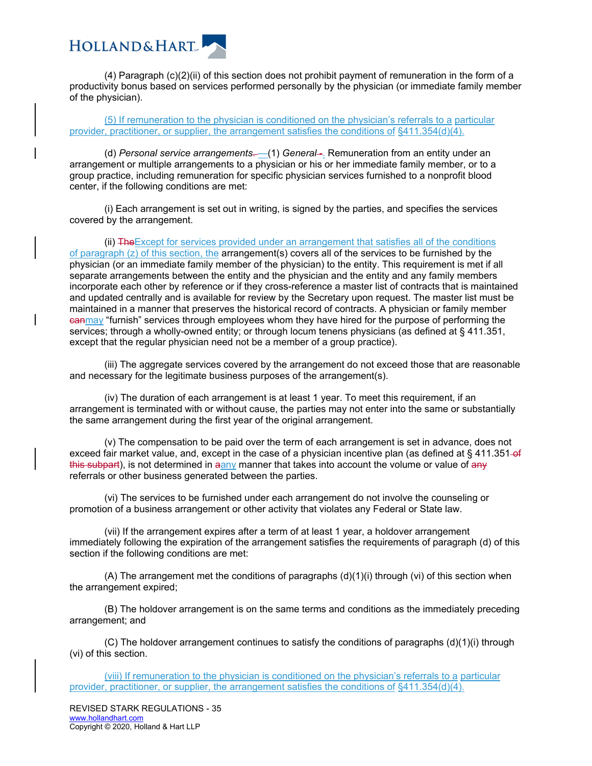# HOLLAND& HART

(4) Paragraph (c)(2)(ii) of this section does not prohibit payment of remuneration in the form of a productivity bonus based on services performed personally by the physician (or immediate family member of the physician).

(5) If remuneration to the physician is conditioned on the physician's referrals to a particular provider, practitioner, or supplier, the arrangement satisfies the conditions of §411.354(d)(4).

(d) Personal service arrangements. (1) General<sub>1</sub> Remuneration from an entity under an arrangement or multiple arrangements to a physician or his or her immediate family member, or to a group practice, including remuneration for specific physician services furnished to a nonprofit blood center, if the following conditions are met:

(i) Each arrangement is set out in writing, is signed by the parties, and specifies the services covered by the arrangement.

(ii) The Except for services provided under an arrangement that satisfies all of the conditions of paragraph (z) of this section, the arrangement(s) covers all of the services to be furnished by the physician (or an immediate family member of the physician) to the entity. This requirement is met if all separate arrangements between the entity and the physician and the entity and any family members incorporate each other by reference or if they cross-reference a master list of contracts that is maintained and updated centrally and is available for review by the Secretary upon request. The master list must be maintained in a manner that preserves the historical record of contracts. A physician or family member canmay "furnish" services through employees whom they have hired for the purpose of performing the services; through a wholly-owned entity; or through locum tenens physicians (as defined at § 411.351, except that the regular physician need not be a member of a group practice).

(iii) The aggregate services covered by the arrangement do not exceed those that are reasonable and necessary for the legitimate business purposes of the arrangement(s).

(iv) The duration of each arrangement is at least 1 year. To meet this requirement, if an arrangement is terminated with or without cause, the parties may not enter into the same or substantially the same arrangement during the first year of the original arrangement.

(v) The compensation to be paid over the term of each arrangement is set in advance, does not exceed fair market value, and, except in the case of a physician incentive plan (as defined at  $\S$  411.351-of this subpart), is not determined in aany manner that takes into account the volume or value of any referrals or other business generated between the parties.

(vi) The services to be furnished under each arrangement do not involve the counseling or promotion of a business arrangement or other activity that violates any Federal or State law.

(vii) If the arrangement expires after a term of at least 1 year, a holdover arrangement immediately following the expiration of the arrangement satisfies the requirements of paragraph (d) of this section if the following conditions are met:

 $(A)$  The arrangement met the conditions of paragraphs  $(d)(1)(i)$  through  $(vi)$  of this section when the arrangement expired;

(B) The holdover arrangement is on the same terms and conditions as the immediately preceding arrangement; and

(C) The holdover arrangement continues to satisfy the conditions of paragraphs (d)(1)(i) through (vi) of this section.

(viii) If remuneration to the physician is conditioned on the physician's referrals to a particular provider, practitioner, or supplier, the arrangement satisfies the conditions of §411.354(d)(4).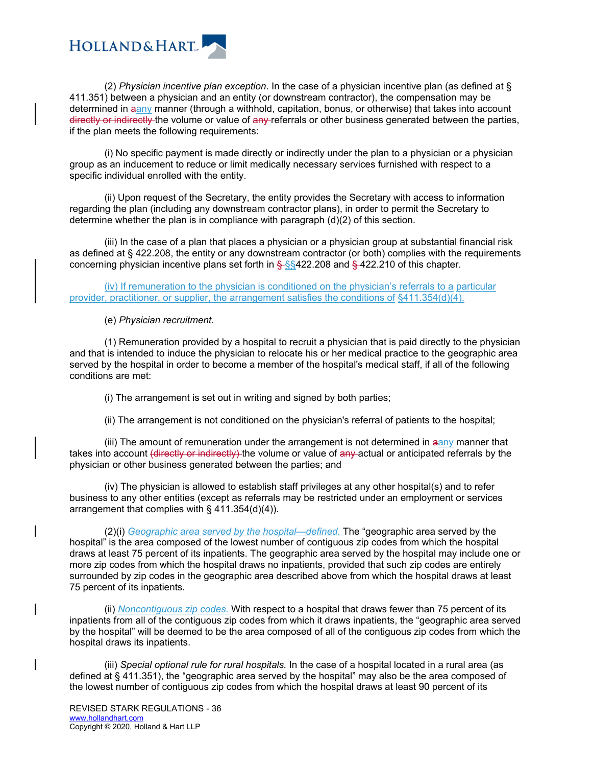

(2) *Physician incentive plan exception*. In the case of a physician incentive plan (as defined at § 411.351) between a physician and an entity (or downstream contractor), the compensation may be determined in aany manner (through a withhold, capitation, bonus, or otherwise) that takes into account directly or indirectly the volume or value of any referrals or other business generated between the parties, if the plan meets the following requirements:

(i) No specific payment is made directly or indirectly under the plan to a physician or a physician group as an inducement to reduce or limit medically necessary services furnished with respect to a specific individual enrolled with the entity.

(ii) Upon request of the Secretary, the entity provides the Secretary with access to information regarding the plan (including any downstream contractor plans), in order to permit the Secretary to determine whether the plan is in compliance with paragraph (d)(2) of this section.

(iii) In the case of a plan that places a physician or a physician group at substantial financial risk as defined at § 422.208, the entity or any downstream contractor (or both) complies with the requirements concerning physician incentive plans set forth in  $\frac{6}{5}$ §422.208 and § 422.210 of this chapter.

(iv) If remuneration to the physician is conditioned on the physician's referrals to a particular provider, practitioner, or supplier, the arrangement satisfies the conditions of §411.354(d)(4).

## (e) *Physician recruitment*.

(1) Remuneration provided by a hospital to recruit a physician that is paid directly to the physician and that is intended to induce the physician to relocate his or her medical practice to the geographic area served by the hospital in order to become a member of the hospital's medical staff, if all of the following conditions are met:

(i) The arrangement is set out in writing and signed by both parties;

(ii) The arrangement is not conditioned on the physician's referral of patients to the hospital;

(iii) The amount of remuneration under the arrangement is not determined in aany manner that takes into account (directly or indirectly) the volume or value of any actual or anticipated referrals by the physician or other business generated between the parties; and

(iv) The physician is allowed to establish staff privileges at any other hospital(s) and to refer business to any other entities (except as referrals may be restricted under an employment or services arrangement that complies with § 411.354(d)(4)).

(2)(i) *Geographic area served by the hospital—defined*. The "geographic area served by the hospital" is the area composed of the lowest number of contiguous zip codes from which the hospital draws at least 75 percent of its inpatients. The geographic area served by the hospital may include one or more zip codes from which the hospital draws no inpatients, provided that such zip codes are entirely surrounded by zip codes in the geographic area described above from which the hospital draws at least 75 percent of its inpatients.

(ii) *Noncontiguous zip codes.* With respect to a hospital that draws fewer than 75 percent of its inpatients from all of the contiguous zip codes from which it draws inpatients, the "geographic area served by the hospital" will be deemed to be the area composed of all of the contiguous zip codes from which the hospital draws its inpatients.

(iii) *Special optional rule for rural hospitals.* In the case of a hospital located in a rural area (as defined at § 411.351), the "geographic area served by the hospital" may also be the area composed of the lowest number of contiguous zip codes from which the hospital draws at least 90 percent of its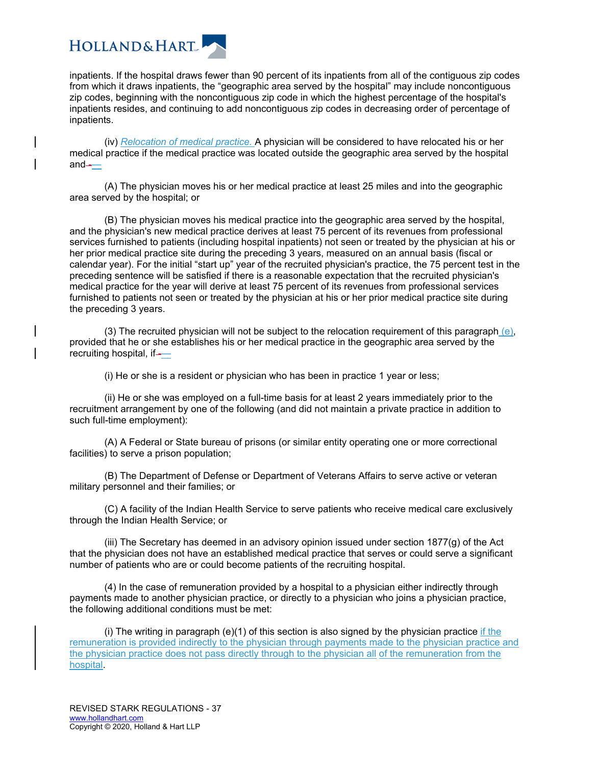

inpatients. If the hospital draws fewer than 90 percent of its inpatients from all of the contiguous zip codes from which it draws inpatients, the "geographic area served by the hospital" may include noncontiguous zip codes, beginning with the noncontiguous zip code in which the highest percentage of the hospital's inpatients resides, and continuing to add noncontiguous zip codes in decreasing order of percentage of inpatients.

(iv) *Relocation of medical practice.* A physician will be considered to have relocated his or her medical practice if the medical practice was located outside the geographic area served by the hospital  $and$ — $-$ 

(A) The physician moves his or her medical practice at least 25 miles and into the geographic area served by the hospital; or

(B) The physician moves his medical practice into the geographic area served by the hospital, and the physician's new medical practice derives at least 75 percent of its revenues from professional services furnished to patients (including hospital inpatients) not seen or treated by the physician at his or her prior medical practice site during the preceding 3 years, measured on an annual basis (fiscal or calendar year). For the initial "start up" year of the recruited physician's practice, the 75 percent test in the preceding sentence will be satisfied if there is a reasonable expectation that the recruited physician's medical practice for the year will derive at least 75 percent of its revenues from professional services furnished to patients not seen or treated by the physician at his or her prior medical practice site during the preceding 3 years.

(3) The recruited physician will not be subject to the relocation requirement of this paragraph  $(e)$ , provided that he or she establishes his or her medical practice in the geographic area served by the recruiting hospital, if-

(i) He or she is a resident or physician who has been in practice 1 year or less;

(ii) He or she was employed on a full-time basis for at least 2 years immediately prior to the recruitment arrangement by one of the following (and did not maintain a private practice in addition to such full-time employment):

(A) A Federal or State bureau of prisons (or similar entity operating one or more correctional facilities) to serve a prison population;

(B) The Department of Defense or Department of Veterans Affairs to serve active or veteran military personnel and their families; or

(C) A facility of the Indian Health Service to serve patients who receive medical care exclusively through the Indian Health Service; or

(iii) The Secretary has deemed in an advisory opinion issued under section 1877(g) of the Act that the physician does not have an established medical practice that serves or could serve a significant number of patients who are or could become patients of the recruiting hospital.

(4) In the case of remuneration provided by a hospital to a physician either indirectly through payments made to another physician practice, or directly to a physician who joins a physician practice, the following additional conditions must be met:

(i) The writing in paragraph (e)(1) of this section is also signed by the physician practice if the remuneration is provided indirectly to the physician through payments made to the physician practice and the physician practice does not pass directly through to the physician all of the remuneration from the hospital.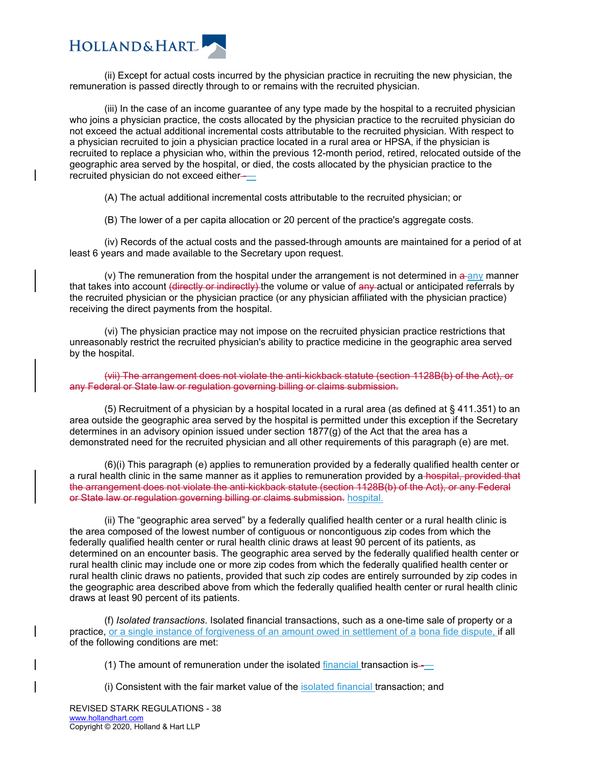

(ii) Except for actual costs incurred by the physician practice in recruiting the new physician, the remuneration is passed directly through to or remains with the recruited physician.

(iii) In the case of an income guarantee of any type made by the hospital to a recruited physician who joins a physician practice, the costs allocated by the physician practice to the recruited physician do not exceed the actual additional incremental costs attributable to the recruited physician. With respect to a physician recruited to join a physician practice located in a rural area or HPSA, if the physician is recruited to replace a physician who, within the previous 12-month period, retired, relocated outside of the geographic area served by the hospital, or died, the costs allocated by the physician practice to the recruited physician do not exceed either-

(A) The actual additional incremental costs attributable to the recruited physician; or

(B) The lower of a per capita allocation or 20 percent of the practice's aggregate costs.

(iv) Records of the actual costs and the passed-through amounts are maintained for a period of at least 6 years and made available to the Secretary upon request.

(v) The remuneration from the hospital under the arrangement is not determined in  $a$ -any manner that takes into account (directly or indirectly) the volume or value of any actual or anticipated referrals by the recruited physician or the physician practice (or any physician affiliated with the physician practice) receiving the direct payments from the hospital.

(vi) The physician practice may not impose on the recruited physician practice restrictions that unreasonably restrict the recruited physician's ability to practice medicine in the geographic area served by the hospital.

(vii) The arrangement does not violate the anti-kickback statute (section 1128B(b) of the Act), or any Federal or State law or regulation governing billing or claims submission.

(5) Recruitment of a physician by a hospital located in a rural area (as defined at § 411.351) to an area outside the geographic area served by the hospital is permitted under this exception if the Secretary determines in an advisory opinion issued under section  $1877(q)$  of the Act that the area has a demonstrated need for the recruited physician and all other requirements of this paragraph (e) are met.

(6)(i) This paragraph (e) applies to remuneration provided by a federally qualified health center or a rural health clinic in the same manner as it applies to remuneration provided by a hospital, provided that the arrangement does not violate the anti-kickback statute (section 1128B(b) of the Act), or any Federal or State law or regulation governing billing or claims submission. hospital.

(ii) The "geographic area served" by a federally qualified health center or a rural health clinic is the area composed of the lowest number of contiguous or noncontiguous zip codes from which the federally qualified health center or rural health clinic draws at least 90 percent of its patients, as determined on an encounter basis. The geographic area served by the federally qualified health center or rural health clinic may include one or more zip codes from which the federally qualified health center or rural health clinic draws no patients, provided that such zip codes are entirely surrounded by zip codes in the geographic area described above from which the federally qualified health center or rural health clinic draws at least 90 percent of its patients.

(f) *Isolated transactions*. Isolated financial transactions, such as a one-time sale of property or a practice, or a single instance of forgiveness of an amount owed in settlement of a bona fide dispute, if all of the following conditions are met:

(1) The amount of remuneration under the isolated financial transaction is $-\underline{\hspace{2cm}}$ 

(i) Consistent with the fair market value of the isolated financial transaction; and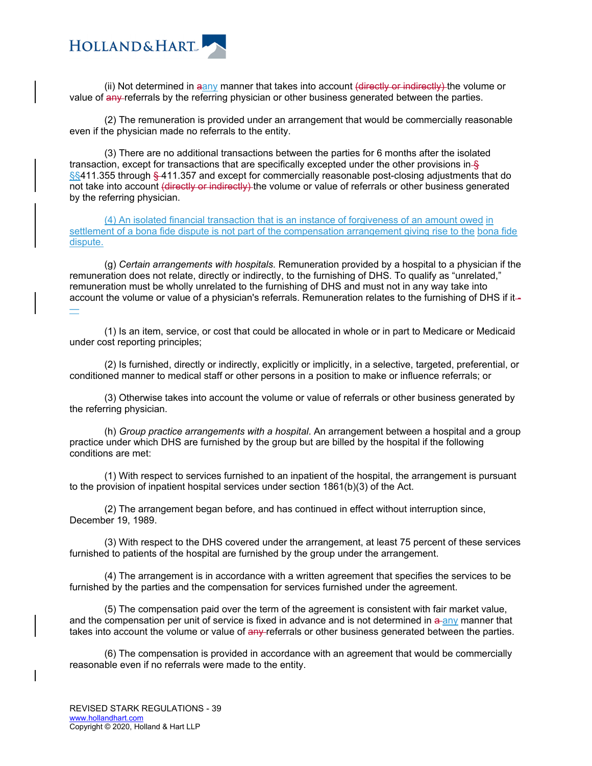

(ii) Not determined in aany manner that takes into account (directly or indirectly) the volume or value of any-referrals by the referring physician or other business generated between the parties.

(2) The remuneration is provided under an arrangement that would be commercially reasonable even if the physician made no referrals to the entity.

(3) There are no additional transactions between the parties for 6 months after the isolated transaction, except for transactions that are specifically excepted under the other provisions in § §§411.355 through § 411.357 and except for commercially reasonable post-closing adjustments that do not take into account (directly or indirectly) the volume or value of referrals or other business generated by the referring physician.

(4) An isolated financial transaction that is an instance of forgiveness of an amount owed in settlement of a bona fide dispute is not part of the compensation arrangement giving rise to the bona fide dispute.

(g) *Certain arrangements with hospitals*. Remuneration provided by a hospital to a physician if the remuneration does not relate, directly or indirectly, to the furnishing of DHS. To qualify as "unrelated," remuneration must be wholly unrelated to the furnishing of DHS and must not in any way take into account the volume or value of a physician's referrals. Remuneration relates to the furnishing of DHS if it- $=$ 

(1) Is an item, service, or cost that could be allocated in whole or in part to Medicare or Medicaid under cost reporting principles;

(2) Is furnished, directly or indirectly, explicitly or implicitly, in a selective, targeted, preferential, or conditioned manner to medical staff or other persons in a position to make or influence referrals; or

(3) Otherwise takes into account the volume or value of referrals or other business generated by the referring physician.

(h) *Group practice arrangements with a hospital*. An arrangement between a hospital and a group practice under which DHS are furnished by the group but are billed by the hospital if the following conditions are met:

(1) With respect to services furnished to an inpatient of the hospital, the arrangement is pursuant to the provision of inpatient hospital services under section 1861(b)(3) of the Act.

(2) The arrangement began before, and has continued in effect without interruption since, December 19, 1989.

(3) With respect to the DHS covered under the arrangement, at least 75 percent of these services furnished to patients of the hospital are furnished by the group under the arrangement.

(4) The arrangement is in accordance with a written agreement that specifies the services to be furnished by the parties and the compensation for services furnished under the agreement.

(5) The compensation paid over the term of the agreement is consistent with fair market value, and the compensation per unit of service is fixed in advance and is not determined in  $a$ -any manner that takes into account the volume or value of any-referrals or other business generated between the parties.

(6) The compensation is provided in accordance with an agreement that would be commercially reasonable even if no referrals were made to the entity.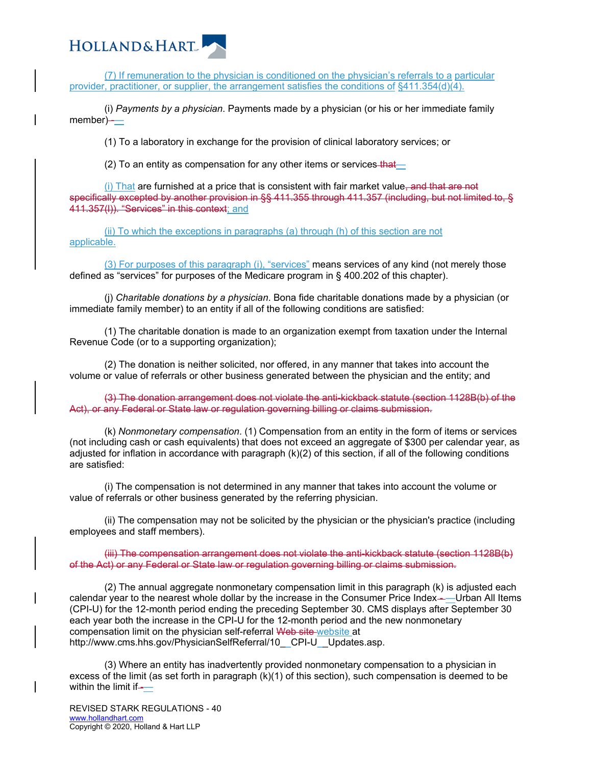

(7) If remuneration to the physician is conditioned on the physician's referrals to a particular provider, practitioner, or supplier, the arrangement satisfies the conditions of §411.354(d)(4).

(i) *Payments by a physician*. Payments made by a physician (or his or her immediate family  $member$ —

(1) To a laboratory in exchange for the provision of clinical laboratory services; or

(2) To an entity as compensation for any other items or services that  $-$ 

 $(i)$  That are furnished at a price that is consistent with fair market value, and that are not specifically excepted by another provision in §§ 411.355 through 411.357 (including, but not limited to, § 411.357(l)). "Services" in this context; and

(ii) To which the exceptions in paragraphs (a) through (h) of this section are not applicable.

(3) For purposes of this paragraph (i), "services" means services of any kind (not merely those defined as "services" for purposes of the Medicare program in § 400.202 of this chapter).

(j) *Charitable donations by a physician*. Bona fide charitable donations made by a physician (or immediate family member) to an entity if all of the following conditions are satisfied:

(1) The charitable donation is made to an organization exempt from taxation under the Internal Revenue Code (or to a supporting organization);

(2) The donation is neither solicited, nor offered, in any manner that takes into account the volume or value of referrals or other business generated between the physician and the entity; and

(3) The donation arrangement does not violate the anti-kickback statute (section 1128B(b) of the Act), or any Federal or State law or regulation governing billing or claims submission.

(k) *Nonmonetary compensation*. (1) Compensation from an entity in the form of items or services (not including cash or cash equivalents) that does not exceed an aggregate of \$300 per calendar year, as adjusted for inflation in accordance with paragraph (k)(2) of this section, if all of the following conditions are satisfied:

(i) The compensation is not determined in any manner that takes into account the volume or value of referrals or other business generated by the referring physician.

(ii) The compensation may not be solicited by the physician or the physician's practice (including employees and staff members).

(iii) The compensation arrangement does not violate the anti-kickback statute (section 1128B(b) of the Act) or any Federal or State law or regulation governing billing or claims submission.

(2) The annual aggregate nonmonetary compensation limit in this paragraph (k) is adjusted each calendar vear to the nearest whole dollar by the increase in the Consumer Price Index-Urban All Items (CPI-U) for the 12-month period ending the preceding September 30. CMS displays after September 30 each year both the increase in the CPI-U for the 12-month period and the new nonmonetary compensation limit on the physician self-referral Web site website at http://www.cms.hhs.gov/PhysicianSelfReferral/10 CPI-U Updates.asp.

(3) Where an entity has inadvertently provided nonmonetary compensation to a physician in excess of the limit (as set forth in paragraph (k)(1) of this section), such compensation is deemed to be within the limit if $-$ 

REVISED STARK REGULATIONS - 40 www.hollandhart.com Copyright © 2020, Holland & Hart LLP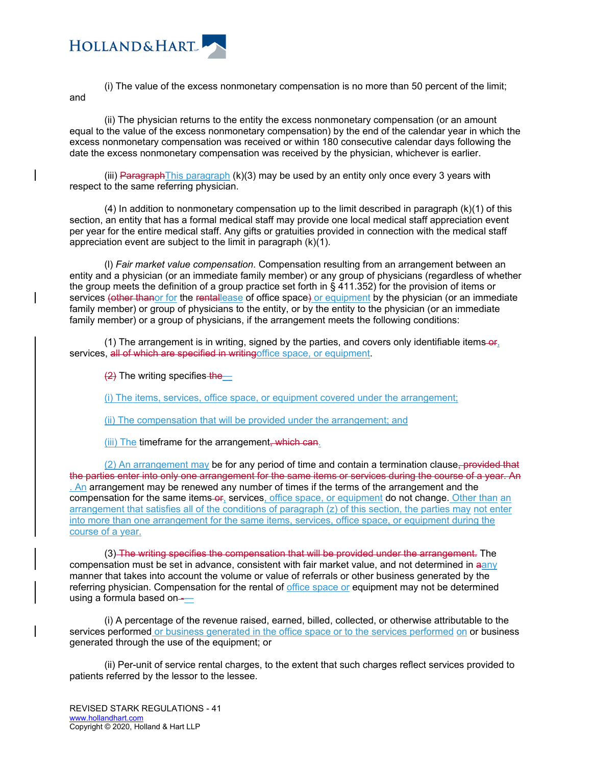

(i) The value of the excess nonmonetary compensation is no more than 50 percent of the limit; and

(ii) The physician returns to the entity the excess nonmonetary compensation (or an amount equal to the value of the excess nonmonetary compensation) by the end of the calendar year in which the excess nonmonetary compensation was received or within 180 consecutive calendar days following the date the excess nonmonetary compensation was received by the physician, whichever is earlier.

(iii) ParagraphThis paragraph (k)(3) may be used by an entity only once every 3 years with respect to the same referring physician.

 $(4)$  In addition to nonmonetary compensation up to the limit described in paragraph  $(k)(1)$  of this section, an entity that has a formal medical staff may provide one local medical staff appreciation event per year for the entire medical staff. Any gifts or gratuities provided in connection with the medical staff appreciation event are subject to the limit in paragraph (k)(1).

(l) *Fair market value compensation*. Compensation resulting from an arrangement between an entity and a physician (or an immediate family member) or any group of physicians (regardless of whether the group meets the definition of a group practice set forth in § 411.352) for the provision of items or services (other thanor for the rentallease of office space) or equipment by the physician (or an immediate family member) or group of physicians to the entity, or by the entity to the physician (or an immediate family member) or a group of physicians, if the arrangement meets the following conditions:

(1) The arrangement is in writing, signed by the parties, and covers only identifiable items-or, services, all of which are specified in writingoffice space, or equipment.

 $(2)$  The writing specifies the—

(i) The items, services, office space, or equipment covered under the arrangement;

(ii) The compensation that will be provided under the arrangement; and

(iii) The timeframe for the arrangement, which can.

(2) An arrangement may be for any period of time and contain a termination clause, provided that the parties enter into only one arrangement for the same items or services during the course of a year. An . An arrangement may be renewed any number of times if the terms of the arrangement and the compensation for the same items-or, services, office space, or equipment do not change. Other than an arrangement that satisfies all of the conditions of paragraph (z) of this section, the parties may not enter into more than one arrangement for the same items, services, office space, or equipment during the course of a year.

(3) The writing specifies the compensation that will be provided under the arrangement. The compensation must be set in advance, consistent with fair market value, and not determined in aany manner that takes into account the volume or value of referrals or other business generated by the referring physician. Compensation for the rental of office space or equipment may not be determined using a formula based on-

(i) A percentage of the revenue raised, earned, billed, collected, or otherwise attributable to the services performed or business generated in the office space or to the services performed on or business generated through the use of the equipment; or

(ii) Per-unit of service rental charges, to the extent that such charges reflect services provided to patients referred by the lessor to the lessee.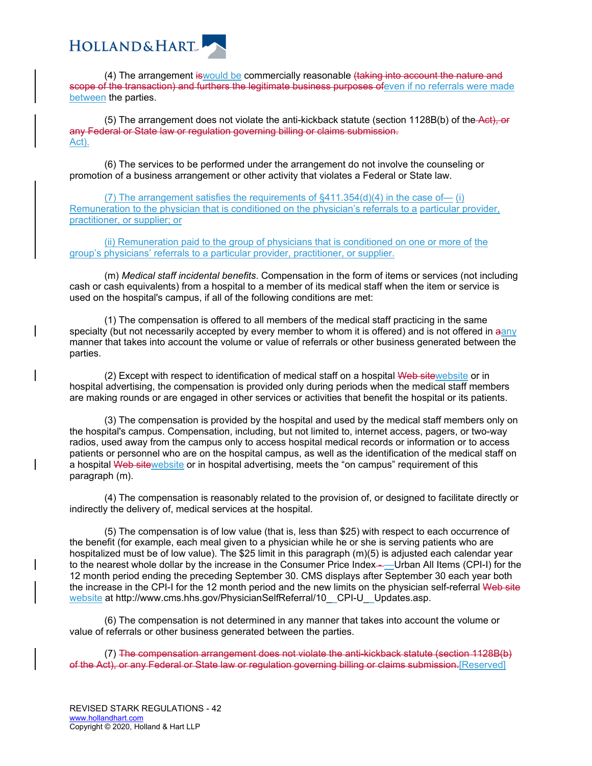

(4) The arrangement is would be commercially reasonable (taking into account the nature and scope of the transaction) and furthers the legitimate business purposes of even if no referrals were made between the parties.

(5) The arrangement does not violate the anti-kickback statute (section 1128B(b) of the Act), or any Federal or State law or regulation governing billing or claims submission. Act).

(6) The services to be performed under the arrangement do not involve the counseling or promotion of a business arrangement or other activity that violates a Federal or State law.

(7) The arrangement satisfies the requirements of  $§411.354(d)(4)$  in the case of- $(i)$ Remuneration to the physician that is conditioned on the physician's referrals to a particular provider, practitioner, or supplier; or

(ii) Remuneration paid to the group of physicians that is conditioned on one or more of the group's physicians' referrals to a particular provider, practitioner, or supplier.

(m) *Medical staff incidental benefits*. Compensation in the form of items or services (not including cash or cash equivalents) from a hospital to a member of its medical staff when the item or service is used on the hospital's campus, if all of the following conditions are met:

(1) The compensation is offered to all members of the medical staff practicing in the same specialty (but not necessarily accepted by every member to whom it is offered) and is not offered in aany manner that takes into account the volume or value of referrals or other business generated between the parties.

(2) Except with respect to identification of medical staff on a hospital Web sitewebsite or in hospital advertising, the compensation is provided only during periods when the medical staff members are making rounds or are engaged in other services or activities that benefit the hospital or its patients.

(3) The compensation is provided by the hospital and used by the medical staff members only on the hospital's campus. Compensation, including, but not limited to, internet access, pagers, or two-way radios, used away from the campus only to access hospital medical records or information or to access patients or personnel who are on the hospital campus, as well as the identification of the medical staff on a hospital Web sitewebsite or in hospital advertising, meets the "on campus" requirement of this paragraph (m).

(4) The compensation is reasonably related to the provision of, or designed to facilitate directly or indirectly the delivery of, medical services at the hospital.

(5) The compensation is of low value (that is, less than \$25) with respect to each occurrence of the benefit (for example, each meal given to a physician while he or she is serving patients who are hospitalized must be of low value). The \$25 limit in this paragraph (m)(5) is adjusted each calendar year to the nearest whole dollar by the increase in the Consumer Price Index——Urban All Items (CPI-I) for the 12 month period ending the preceding September 30. CMS displays after September 30 each year both the increase in the CPI-I for the 12 month period and the new limits on the physician self-referral Web site website at http://www.cms.hhs.gov/PhysicianSelfReferral/10 CPI-U Updates.asp.

(6) The compensation is not determined in any manner that takes into account the volume or value of referrals or other business generated between the parties.

(7) The compensation arrangement does not violate the anti-kickback statute (section 1128B(b) of the Act), or any Federal or State law or regulation governing billing or claims submission.[Reserved]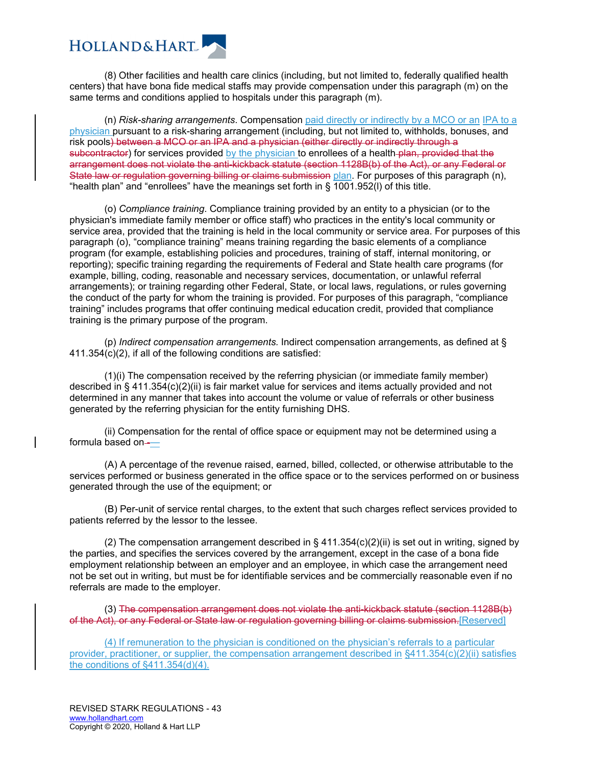

(8) Other facilities and health care clinics (including, but not limited to, federally qualified health centers) that have bona fide medical staffs may provide compensation under this paragraph (m) on the same terms and conditions applied to hospitals under this paragraph (m).

(n) *Risk-sharing arrangements*. Compensation paid directly or indirectly by a MCO or an IPA to a physician pursuant to a risk-sharing arrangement (including, but not limited to, withholds, bonuses, and risk pools) between a MCO or an IPA and a physician (either directly or indirectly through a subcontractor) for services provided by the physician to enrollees of a health plan, provided that the arrangement does not violate the anti-kickback statute (section 1128B(b) of the Act), or any Federal or State law or regulation governing billing or claims submission plan. For purposes of this paragraph (n), "health plan" and "enrollees" have the meanings set forth in § 1001.952(l) of this title.

(o) *Compliance training*. Compliance training provided by an entity to a physician (or to the physician's immediate family member or office staff) who practices in the entity's local community or service area, provided that the training is held in the local community or service area. For purposes of this paragraph (o), "compliance training" means training regarding the basic elements of a compliance program (for example, establishing policies and procedures, training of staff, internal monitoring, or reporting); specific training regarding the requirements of Federal and State health care programs (for example, billing, coding, reasonable and necessary services, documentation, or unlawful referral arrangements); or training regarding other Federal, State, or local laws, regulations, or rules governing the conduct of the party for whom the training is provided. For purposes of this paragraph, "compliance training" includes programs that offer continuing medical education credit, provided that compliance training is the primary purpose of the program.

(p) *Indirect compensation arrangements.* Indirect compensation arrangements, as defined at § 411.354(c)(2), if all of the following conditions are satisfied:

(1)(i) The compensation received by the referring physician (or immediate family member) described in § 411.354(c)(2)(ii) is fair market value for services and items actually provided and not determined in any manner that takes into account the volume or value of referrals or other business generated by the referring physician for the entity furnishing DHS.

(ii) Compensation for the rental of office space or equipment may not be determined using a formula based on $-$ 

(A) A percentage of the revenue raised, earned, billed, collected, or otherwise attributable to the services performed or business generated in the office space or to the services performed on or business generated through the use of the equipment; or

(B) Per-unit of service rental charges, to the extent that such charges reflect services provided to patients referred by the lessor to the lessee.

(2) The compensation arrangement described in § 411.354(c)(2)(ii) is set out in writing, signed by the parties, and specifies the services covered by the arrangement, except in the case of a bona fide employment relationship between an employer and an employee, in which case the arrangement need not be set out in writing, but must be for identifiable services and be commercially reasonable even if no referrals are made to the employer.

(3) The compensation arrangement does not violate the anti-kickback statute (section 1128B(b) of the Act), or any Federal or State law or regulation governing billing or claims submission. [Reserved]

(4) If remuneration to the physician is conditioned on the physician's referrals to a particular provider, practitioner, or supplier, the compensation arrangement described in §411.354(c)(2)(ii) satisfies the conditions of  $\S411.354(d)(4)$ .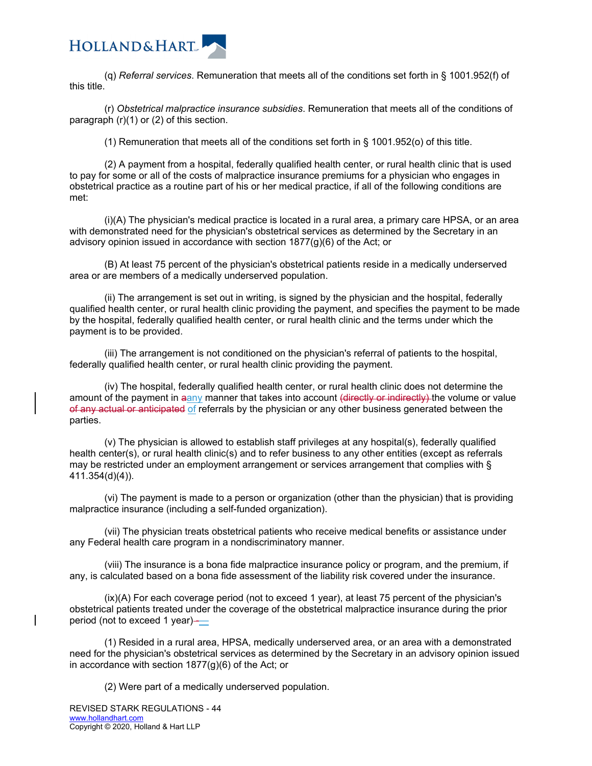

(q) *Referral services*. Remuneration that meets all of the conditions set forth in § 1001.952(f) of this title.

(r) *Obstetrical malpractice insurance subsidies*. Remuneration that meets all of the conditions of paragraph (r)(1) or (2) of this section.

(1) Remuneration that meets all of the conditions set forth in § 1001.952(o) of this title.

(2) A payment from a hospital, federally qualified health center, or rural health clinic that is used to pay for some or all of the costs of malpractice insurance premiums for a physician who engages in obstetrical practice as a routine part of his or her medical practice, if all of the following conditions are met:

(i)(A) The physician's medical practice is located in a rural area, a primary care HPSA, or an area with demonstrated need for the physician's obstetrical services as determined by the Secretary in an advisory opinion issued in accordance with section 1877(g)(6) of the Act; or

(B) At least 75 percent of the physician's obstetrical patients reside in a medically underserved area or are members of a medically underserved population.

(ii) The arrangement is set out in writing, is signed by the physician and the hospital, federally qualified health center, or rural health clinic providing the payment, and specifies the payment to be made by the hospital, federally qualified health center, or rural health clinic and the terms under which the payment is to be provided.

(iii) The arrangement is not conditioned on the physician's referral of patients to the hospital, federally qualified health center, or rural health clinic providing the payment.

(iv) The hospital, federally qualified health center, or rural health clinic does not determine the amount of the payment in aany manner that takes into account (directly or indirectly) the volume or value of any actual or anticipated of referrals by the physician or any other business generated between the parties.

(v) The physician is allowed to establish staff privileges at any hospital(s), federally qualified health center(s), or rural health clinic(s) and to refer business to any other entities (except as referrals may be restricted under an employment arrangement or services arrangement that complies with § 411.354(d)(4)).

(vi) The payment is made to a person or organization (other than the physician) that is providing malpractice insurance (including a self-funded organization).

(vii) The physician treats obstetrical patients who receive medical benefits or assistance under any Federal health care program in a nondiscriminatory manner.

(viii) The insurance is a bona fide malpractice insurance policy or program, and the premium, if any, is calculated based on a bona fide assessment of the liability risk covered under the insurance.

(ix)(A) For each coverage period (not to exceed 1 year), at least 75 percent of the physician's obstetrical patients treated under the coverage of the obstetrical malpractice insurance during the prior period (not to exceed 1 year)—

(1) Resided in a rural area, HPSA, medically underserved area, or an area with a demonstrated need for the physician's obstetrical services as determined by the Secretary in an advisory opinion issued in accordance with section 1877(g)(6) of the Act; or

(2) Were part of a medically underserved population.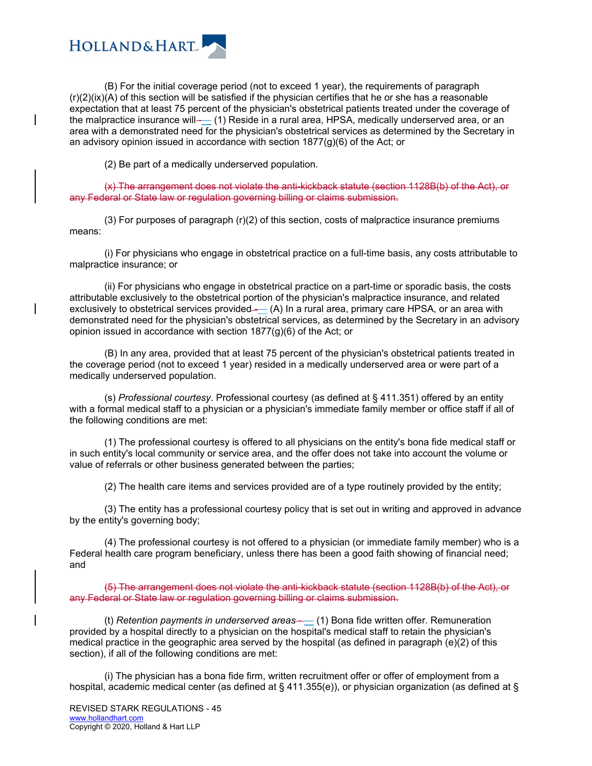

(B) For the initial coverage period (not to exceed 1 year), the requirements of paragraph  $(r)(2)(ix)(A)$  of this section will be satisfied if the physician certifies that he or she has a reasonable expectation that at least 75 percent of the physician's obstetrical patients treated under the coverage of the malpractice insurance will—— (1) Reside in a rural area, HPSA, medically underserved area, or an area with a demonstrated need for the physician's obstetrical services as determined by the Secretary in an advisory opinion issued in accordance with section 1877(g)(6) of the Act; or

(2) Be part of a medically underserved population.

(x) The arrangement does not violate the anti-kickback statute (section 1128B(b) of the Act), or any Federal or State law or regulation governing billing or claims submission.

(3) For purposes of paragraph (r)(2) of this section, costs of malpractice insurance premiums means:

(i) For physicians who engage in obstetrical practice on a full-time basis, any costs attributable to malpractice insurance; or

(ii) For physicians who engage in obstetrical practice on a part-time or sporadic basis, the costs attributable exclusively to the obstetrical portion of the physician's malpractice insurance, and related exclusively to obstetrical services provided— (A) In a rural area, primary care HPSA, or an area with demonstrated need for the physician's obstetrical services, as determined by the Secretary in an advisory opinion issued in accordance with section 1877(g)(6) of the Act; or

(B) In any area, provided that at least 75 percent of the physician's obstetrical patients treated in the coverage period (not to exceed 1 year) resided in a medically underserved area or were part of a medically underserved population.

(s) *Professional courtesy*. Professional courtesy (as defined at § 411.351) offered by an entity with a formal medical staff to a physician or a physician's immediate family member or office staff if all of the following conditions are met:

(1) The professional courtesy is offered to all physicians on the entity's bona fide medical staff or in such entity's local community or service area, and the offer does not take into account the volume or value of referrals or other business generated between the parties;

(2) The health care items and services provided are of a type routinely provided by the entity;

(3) The entity has a professional courtesy policy that is set out in writing and approved in advance by the entity's governing body;

(4) The professional courtesy is not offered to a physician (or immediate family member) who is a Federal health care program beneficiary, unless there has been a good faith showing of financial need; and

(5) The arrangement does not violate the anti-kickback statute (section 1128B(b) of the Act), or any Federal or State law or regulation governing billing or claims submission.

(t) *Retention payments in underserved areas* -- (1) Bona fide written offer. Remuneration provided by a hospital directly to a physician on the hospital's medical staff to retain the physician's medical practice in the geographic area served by the hospital (as defined in paragraph (e)(2) of this section), if all of the following conditions are met:

(i) The physician has a bona fide firm, written recruitment offer or offer of employment from a hospital, academic medical center (as defined at § 411.355(e)), or physician organization (as defined at §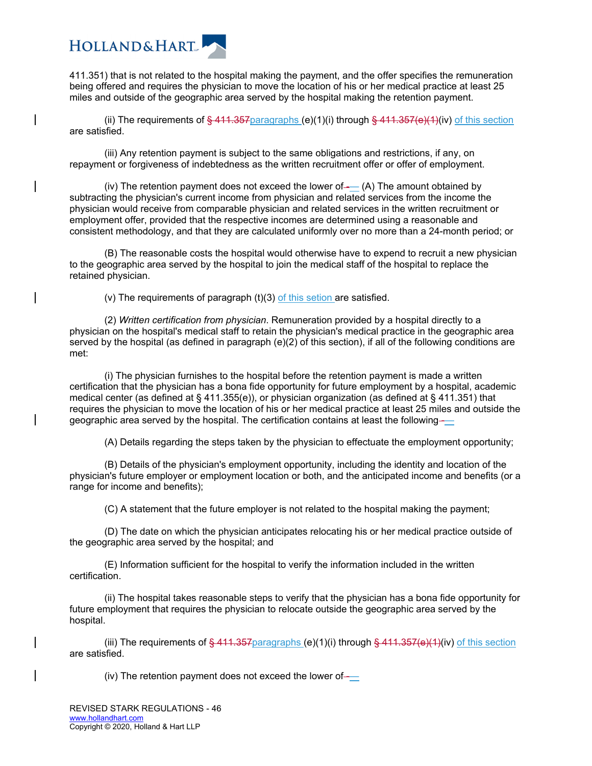

411.351) that is not related to the hospital making the payment, and the offer specifies the remuneration being offered and requires the physician to move the location of his or her medical practice at least 25 miles and outside of the geographic area served by the hospital making the retention payment.

(ii) The requirements of  $\frac{2411.357}{27}$  paragraphs (e)(1)(i) through  $\frac{2411.357}{e}(1)$ (iv) of this section are satisfied.

(iii) Any retention payment is subject to the same obligations and restrictions, if any, on repayment or forgiveness of indebtedness as the written recruitment offer or offer of employment.

(iv) The retention payment does not exceed the lower of  $-$  (A) The amount obtained by subtracting the physician's current income from physician and related services from the income the physician would receive from comparable physician and related services in the written recruitment or employment offer, provided that the respective incomes are determined using a reasonable and consistent methodology, and that they are calculated uniformly over no more than a 24-month period; or

(B) The reasonable costs the hospital would otherwise have to expend to recruit a new physician to the geographic area served by the hospital to join the medical staff of the hospital to replace the retained physician.

(v) The requirements of paragraph  $(t)(3)$  of this setion are satisfied.

(2) *Written certification from physician*. Remuneration provided by a hospital directly to a physician on the hospital's medical staff to retain the physician's medical practice in the geographic area served by the hospital (as defined in paragraph (e)(2) of this section), if all of the following conditions are met:

(i) The physician furnishes to the hospital before the retention payment is made a written certification that the physician has a bona fide opportunity for future employment by a hospital, academic medical center (as defined at § 411.355(e)), or physician organization (as defined at § 411.351) that requires the physician to move the location of his or her medical practice at least 25 miles and outside the geographic area served by the hospital. The certification contains at least the following—

(A) Details regarding the steps taken by the physician to effectuate the employment opportunity;

(B) Details of the physician's employment opportunity, including the identity and location of the physician's future employer or employment location or both, and the anticipated income and benefits (or a range for income and benefits);

(C) A statement that the future employer is not related to the hospital making the payment;

(D) The date on which the physician anticipates relocating his or her medical practice outside of the geographic area served by the hospital; and

(E) Information sufficient for the hospital to verify the information included in the written certification.

(ii) The hospital takes reasonable steps to verify that the physician has a bona fide opportunity for future employment that requires the physician to relocate outside the geographic area served by the hospital.

(iii) The requirements of  $\S$  411.357 paragraphs (e)(1)(i) through  $\S$  411.357(e)(1)(iv) of this section are satisfied.

(iv) The retention payment does not exceed the lower of $-\frac{1}{2}$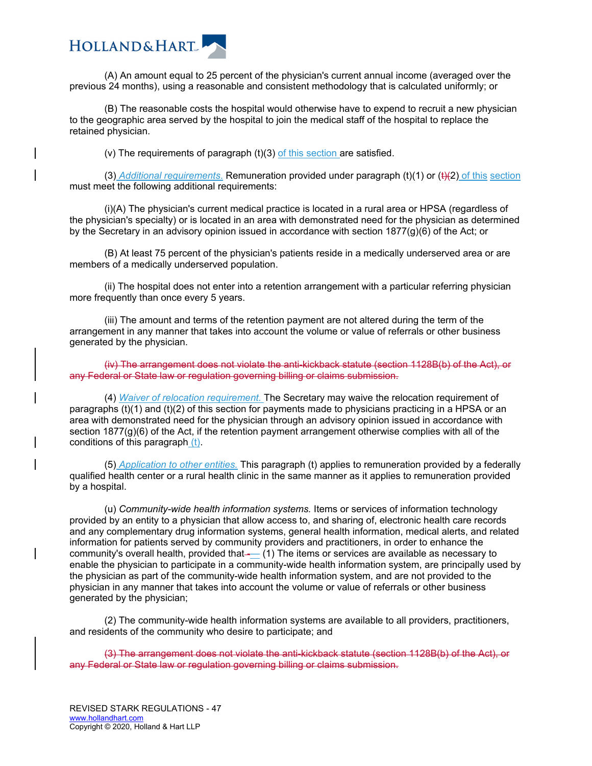

(A) An amount equal to 25 percent of the physician's current annual income (averaged over the previous 24 months), using a reasonable and consistent methodology that is calculated uniformly; or

(B) The reasonable costs the hospital would otherwise have to expend to recruit a new physician to the geographic area served by the hospital to join the medical staff of the hospital to replace the retained physician.

(v) The requirements of paragraph (t)(3) of this section are satisfied.

(3) *Additional requirements*. Remuneration provided under paragraph (t)(1) or (t)(2) of this section must meet the following additional requirements:

(i)(A) The physician's current medical practice is located in a rural area or HPSA (regardless of the physician's specialty) or is located in an area with demonstrated need for the physician as determined by the Secretary in an advisory opinion issued in accordance with section 1877(g)(6) of the Act; or

(B) At least 75 percent of the physician's patients reside in a medically underserved area or are members of a medically underserved population.

(ii) The hospital does not enter into a retention arrangement with a particular referring physician more frequently than once every 5 years.

(iii) The amount and terms of the retention payment are not altered during the term of the arrangement in any manner that takes into account the volume or value of referrals or other business generated by the physician.

(iv) The arrangement does not violate the anti-kickback statute (section 1128B(b) of the Act), or any Federal or State law or regulation governing billing or claims submission.

(4) *Waiver of relocation requirement.* The Secretary may waive the relocation requirement of paragraphs (t)(1) and (t)(2) of this section for payments made to physicians practicing in a HPSA or an area with demonstrated need for the physician through an advisory opinion issued in accordance with section 1877(g)(6) of the Act, if the retention payment arrangement otherwise complies with all of the conditions of this paragraph (t).

(5) *Application to other entities.* This paragraph (t) applies to remuneration provided by a federally qualified health center or a rural health clinic in the same manner as it applies to remuneration provided by a hospital.

(u) *Community-wide health information systems.* Items or services of information technology provided by an entity to a physician that allow access to, and sharing of, electronic health care records and any complementary drug information systems, general health information, medical alerts, and related information for patients served by community providers and practitioners, in order to enhance the community's overall health, provided that -- (1) The items or services are available as necessary to enable the physician to participate in a community-wide health information system, are principally used by the physician as part of the community-wide health information system, and are not provided to the physician in any manner that takes into account the volume or value of referrals or other business generated by the physician;

(2) The community-wide health information systems are available to all providers, practitioners, and residents of the community who desire to participate; and

(3) The arrangement does not violate the anti-kickback statute (section 1128B(b) of the Act), or any Federal or State law or regulation governing billing or claims submission.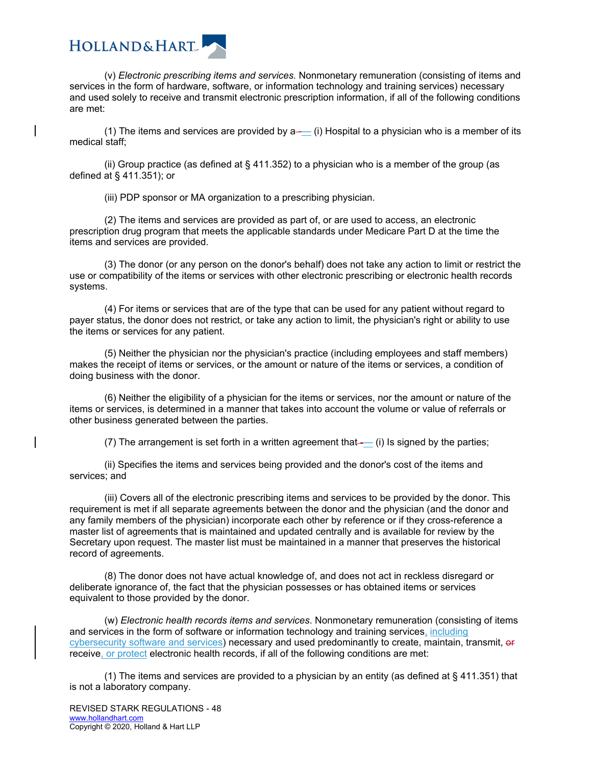

(v) *Electronic prescribing items and services.* Nonmonetary remuneration (consisting of items and services in the form of hardware, software, or information technology and training services) necessary and used solely to receive and transmit electronic prescription information, if all of the following conditions are met:

(1) The items and services are provided by  $a$ — (i) Hospital to a physician who is a member of its medical staff;

(ii) Group practice (as defined at § 411.352) to a physician who is a member of the group (as defined at § 411.351); or

(iii) PDP sponsor or MA organization to a prescribing physician.

(2) The items and services are provided as part of, or are used to access, an electronic prescription drug program that meets the applicable standards under Medicare Part D at the time the items and services are provided.

(3) The donor (or any person on the donor's behalf) does not take any action to limit or restrict the use or compatibility of the items or services with other electronic prescribing or electronic health records systems.

(4) For items or services that are of the type that can be used for any patient without regard to payer status, the donor does not restrict, or take any action to limit, the physician's right or ability to use the items or services for any patient.

(5) Neither the physician nor the physician's practice (including employees and staff members) makes the receipt of items or services, or the amount or nature of the items or services, a condition of doing business with the donor.

(6) Neither the eligibility of a physician for the items or services, nor the amount or nature of the items or services, is determined in a manner that takes into account the volume or value of referrals or other business generated between the parties.

(7) The arrangement is set forth in a written agreement that— $(i)$  Is signed by the parties;

(ii) Specifies the items and services being provided and the donor's cost of the items and services; and

(iii) Covers all of the electronic prescribing items and services to be provided by the donor. This requirement is met if all separate agreements between the donor and the physician (and the donor and any family members of the physician) incorporate each other by reference or if they cross-reference a master list of agreements that is maintained and updated centrally and is available for review by the Secretary upon request. The master list must be maintained in a manner that preserves the historical record of agreements.

(8) The donor does not have actual knowledge of, and does not act in reckless disregard or deliberate ignorance of, the fact that the physician possesses or has obtained items or services equivalent to those provided by the donor.

(w) *Electronic health records items and services*. Nonmonetary remuneration (consisting of items and services in the form of software or information technology and training services, including cybersecurity software and services) necessary and used predominantly to create, maintain, transmit, or receive, or protect electronic health records, if all of the following conditions are met:

(1) The items and services are provided to a physician by an entity (as defined at § 411.351) that is not a laboratory company.

REVISED STARK REGULATIONS - 48 www.hollandhart.com Copyright © 2020, Holland & Hart LLP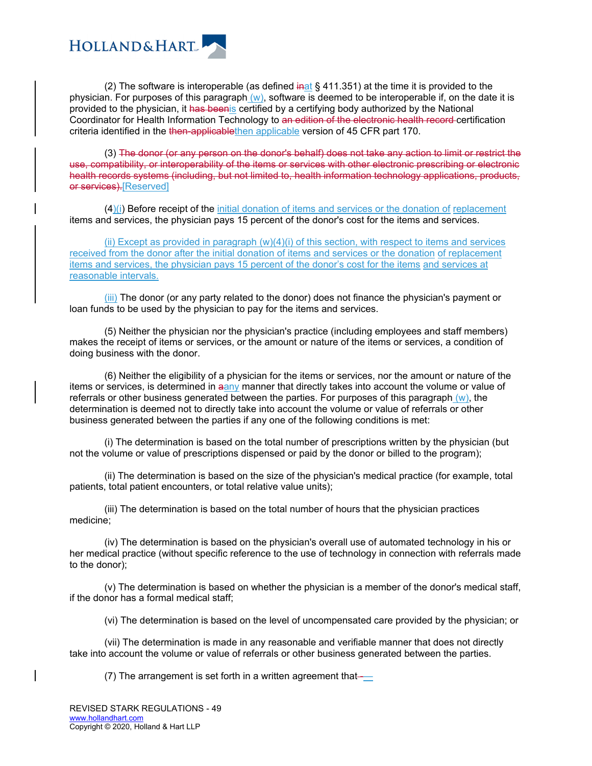

(2) The software is interoperable (as defined  $\text{inat } \S 411.351$ ) at the time it is provided to the physician. For purposes of this paragraph  $(w)$ , software is deemed to be interoperable if, on the date it is provided to the physician, it has beenis certified by a certifying body authorized by the National Coordinator for Health Information Technology to an edition of the electronic health record-certification criteria identified in the then-applicablethen applicable version of 45 CFR part 170.

(3) The donor (or any person on the donor's behalf) does not take any action to limit or restrict the use, compatibility, or interoperability of the items or services with other electronic prescribing or electronic health records systems (including, but not limited to, health information technology applications, products, or services).[Reserved]

 $(4)(i)$  Before receipt of the initial donation of items and services or the donation of replacement items and services, the physician pays 15 percent of the donor's cost for the items and services.

(ii) Except as provided in paragraph  $(w)(4)(i)$  of this section, with respect to items and services received from the donor after the initial donation of items and services or the donation of replacement items and services, the physician pays 15 percent of the donor's cost for the items and services at reasonable intervals.

(iii) The donor (or any party related to the donor) does not finance the physician's payment or loan funds to be used by the physician to pay for the items and services.

(5) Neither the physician nor the physician's practice (including employees and staff members) makes the receipt of items or services, or the amount or nature of the items or services, a condition of doing business with the donor.

(6) Neither the eligibility of a physician for the items or services, nor the amount or nature of the items or services, is determined in aany manner that directly takes into account the volume or value of referrals or other business generated between the parties. For purposes of this paragraph (w), the determination is deemed not to directly take into account the volume or value of referrals or other business generated between the parties if any one of the following conditions is met:

(i) The determination is based on the total number of prescriptions written by the physician (but not the volume or value of prescriptions dispensed or paid by the donor or billed to the program);

(ii) The determination is based on the size of the physician's medical practice (for example, total patients, total patient encounters, or total relative value units);

(iii) The determination is based on the total number of hours that the physician practices medicine;

(iv) The determination is based on the physician's overall use of automated technology in his or her medical practice (without specific reference to the use of technology in connection with referrals made to the donor);

(v) The determination is based on whether the physician is a member of the donor's medical staff, if the donor has a formal medical staff;

(vi) The determination is based on the level of uncompensated care provided by the physician; or

(vii) The determination is made in any reasonable and verifiable manner that does not directly take into account the volume or value of referrals or other business generated between the parties.

(7) The arrangement is set forth in a written agreement that-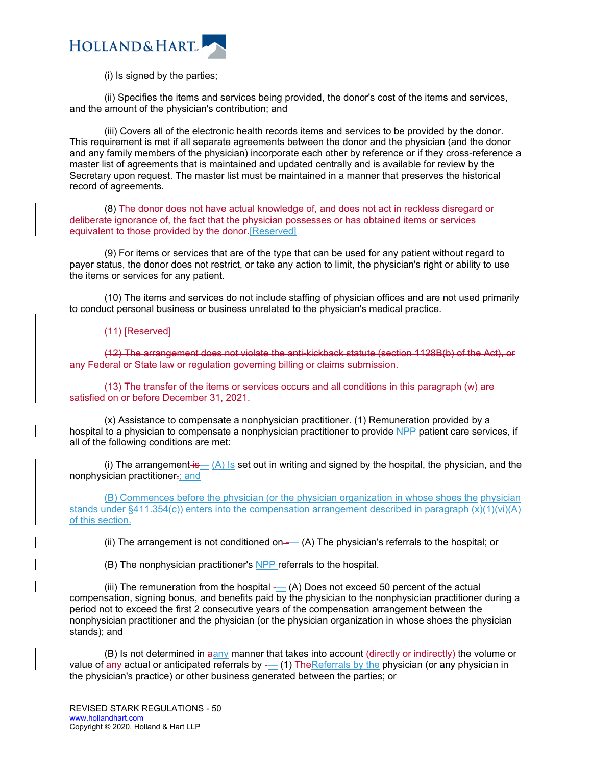

(i) Is signed by the parties;

(ii) Specifies the items and services being provided, the donor's cost of the items and services, and the amount of the physician's contribution; and

(iii) Covers all of the electronic health records items and services to be provided by the donor. This requirement is met if all separate agreements between the donor and the physician (and the donor and any family members of the physician) incorporate each other by reference or if they cross-reference a master list of agreements that is maintained and updated centrally and is available for review by the Secretary upon request. The master list must be maintained in a manner that preserves the historical record of agreements.

(8) The donor does not have actual knowledge of, and does not act in reckless disregard or deliberate ignorance of, the fact that the physician possesses or has obtained items or services equivalent to those provided by the donor. [Reserved]

(9) For items or services that are of the type that can be used for any patient without regard to payer status, the donor does not restrict, or take any action to limit, the physician's right or ability to use the items or services for any patient.

(10) The items and services do not include staffing of physician offices and are not used primarily to conduct personal business or business unrelated to the physician's medical practice.

## (11) [Reserved]

(12) The arrangement does not violate the anti-kickback statute (section 1128B(b) of the Act), or any Federal or State law or regulation governing billing or claims submission.

(13) The transfer of the items or services occurs and all conditions in this paragraph (w) are satisfied on or before December 31, 2021.

(x) Assistance to compensate a nonphysician practitioner. (1) Remuneration provided by a hospital to a physician to compensate a nonphysician practitioner to provide NPP patient care services, if all of the following conditions are met:

(i) The arrangement  $i s_{n}$  (A) Is set out in writing and signed by the hospital, the physician, and the nonphysician practitioner.; and

(B) Commences before the physician (or the physician organization in whose shoes the physician stands under §411.354(c)) enters into the compensation arrangement described in paragraph (x)(1)(vi)(A) of this section.

(ii) The arrangement is not conditioned on  $-$  (A) The physician's referrals to the hospital; or

(B) The nonphysician practitioner's NPP referrals to the hospital.

(iii) The remuneration from the hospital  $-\underline{\hspace{1cm}}$  (A) Does not exceed 50 percent of the actual compensation, signing bonus, and benefits paid by the physician to the nonphysician practitioner during a period not to exceed the first 2 consecutive years of the compensation arrangement between the nonphysician practitioner and the physician (or the physician organization in whose shoes the physician stands); and

(B) Is not determined in aany manner that takes into account (directly or indirectly) the volume or value of any actual or anticipated referrals by  $-$  (1) The Referrals by the physician (or any physician in the physician's practice) or other business generated between the parties; or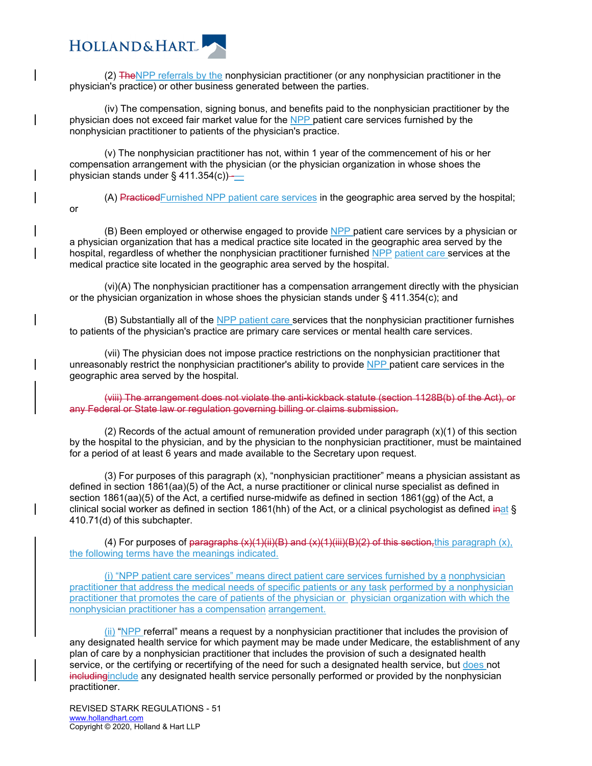

 $(2)$  TheNPP referrals by the nonphysician practitioner (or any nonphysician practitioner in the physician's practice) or other business generated between the parties.

(iv) The compensation, signing bonus, and benefits paid to the nonphysician practitioner by the physician does not exceed fair market value for the NPP patient care services furnished by the nonphysician practitioner to patients of the physician's practice.

(v) The nonphysician practitioner has not, within 1 year of the commencement of his or her compensation arrangement with the physician (or the physician organization in whose shoes the physician stands under  $\S$  411.354(c))- $-$ 

(A) PracticedFurnished NPP patient care services in the geographic area served by the hospital; or

(B) Been employed or otherwise engaged to provide NPP patient care services by a physician or a physician organization that has a medical practice site located in the geographic area served by the hospital, regardless of whether the nonphysician practitioner furnished NPP patient care services at the medical practice site located in the geographic area served by the hospital.

(vi)(A) The nonphysician practitioner has a compensation arrangement directly with the physician or the physician organization in whose shoes the physician stands under § 411.354(c); and

(B) Substantially all of the NPP patient care services that the nonphysician practitioner furnishes to patients of the physician's practice are primary care services or mental health care services.

(vii) The physician does not impose practice restrictions on the nonphysician practitioner that unreasonably restrict the nonphysician practitioner's ability to provide NPP patient care services in the geographic area served by the hospital.

(viii) The arrangement does not violate the anti-kickback statute (section 1128B(b) of the Act), or any Federal or State law or regulation governing billing or claims submission.

 $(2)$  Records of the actual amount of remuneration provided under paragraph  $(x)(1)$  of this section by the hospital to the physician, and by the physician to the nonphysician practitioner, must be maintained for a period of at least 6 years and made available to the Secretary upon request.

(3) For purposes of this paragraph (x), "nonphysician practitioner" means a physician assistant as defined in section 1861(aa)(5) of the Act, a nurse practitioner or clinical nurse specialist as defined in section 1861(aa)(5) of the Act, a certified nurse-midwife as defined in section 1861(gg) of the Act, a clinical social worker as defined in section 1861(hh) of the Act, or a clinical psychologist as defined inat § 410.71(d) of this subchapter.

(4) For purposes of paragraphs  $(x)(1)(ii)(B)$  and  $(x)(1)(iii)(B)(2)$  of this section, this paragraph  $(x)$ , the following terms have the meanings indicated.

(i) "NPP patient care services" means direct patient care services furnished by a nonphysician practitioner that address the medical needs of specific patients or any task performed by a nonphysician practitioner that promotes the care of patients of the physician or physician organization with which the nonphysician practitioner has a compensation arrangement.

(ii) "NPP referral" means a request by a nonphysician practitioner that includes the provision of any designated health service for which payment may be made under Medicare, the establishment of any plan of care by a nonphysician practitioner that includes the provision of such a designated health service, or the certifying or recertifying of the need for such a designated health service, but does not includinginclude any designated health service personally performed or provided by the nonphysician practitioner.

REVISED STARK REGULATIONS - 51 www.hollandhart.com Copyright © 2020, Holland & Hart LLP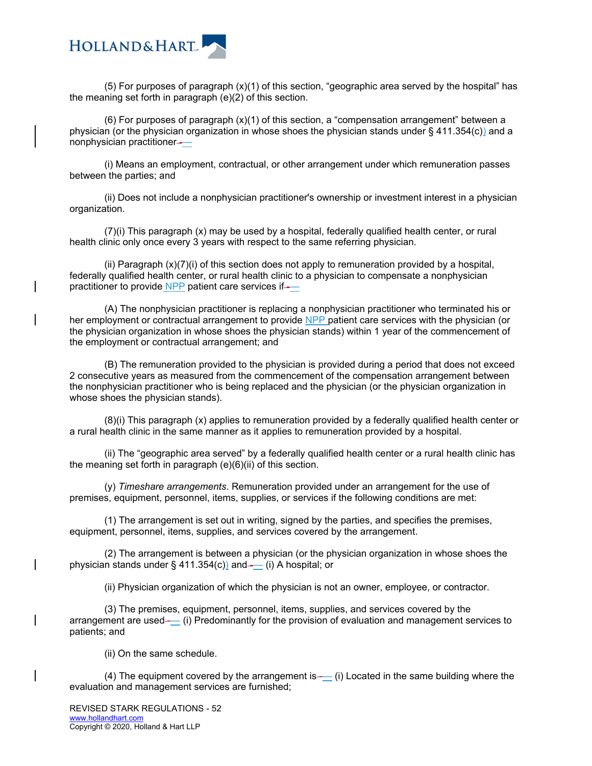

(5) For purposes of paragraph (x)(1) of this section, "geographic area served by the hospital" has the meaning set forth in paragraph (e)(2) of this section.

(6) For purposes of paragraph (x)(1) of this section, a "compensation arrangement" between a physician (or the physician organization in whose shoes the physician stands under § 411.354(c)) and a nonphysician practitioner-

(i) Means an employment, contractual, or other arrangement under which remuneration passes between the parties; and

(ii) Does not include a nonphysician practitioner's ownership or investment interest in a physician organization.

(7)(i) This paragraph (x) may be used by a hospital, federally qualified health center, or rural health clinic only once every 3 years with respect to the same referring physician.

(ii) Paragraph  $(x)(7)(i)$  of this section does not apply to remuneration provided by a hospital, federally qualified health center, or rural health clinic to a physician to compensate a nonphysician practitioner to provide NPP patient care services if-

(A) The nonphysician practitioner is replacing a nonphysician practitioner who terminated his or her employment or contractual arrangement to provide NPP patient care services with the physician (or the physician organization in whose shoes the physician stands) within 1 year of the commencement of the employment or contractual arrangement; and

(B) The remuneration provided to the physician is provided during a period that does not exceed 2 consecutive years as measured from the commencement of the compensation arrangement between the nonphysician practitioner who is being replaced and the physician (or the physician organization in whose shoes the physician stands).

(8)(i) This paragraph (x) applies to remuneration provided by a federally qualified health center or a rural health clinic in the same manner as it applies to remuneration provided by a hospital.

(ii) The "geographic area served" by a federally qualified health center or a rural health clinic has the meaning set forth in paragraph (e)(6)(ii) of this section.

(y) *Timeshare arrangements*. Remuneration provided under an arrangement for the use of premises, equipment, personnel, items, supplies, or services if the following conditions are met:

(1) The arrangement is set out in writing, signed by the parties, and specifies the premises, equipment, personnel, items, supplies, and services covered by the arrangement.

(2) The arrangement is between a physician (or the physician organization in whose shoes the physician stands under  $\S$  411.354(c)) and  $-$  (i) A hospital; or

(ii) Physician organization of which the physician is not an owner, employee, or contractor.

(3) The premises, equipment, personnel, items, supplies, and services covered by the arrangement are used—— (i) Predominantly for the provision of evaluation and management services to patients; and

(ii) On the same schedule.

(4) The equipment covered by the arrangement is  $-$  (i) Located in the same building where the evaluation and management services are furnished;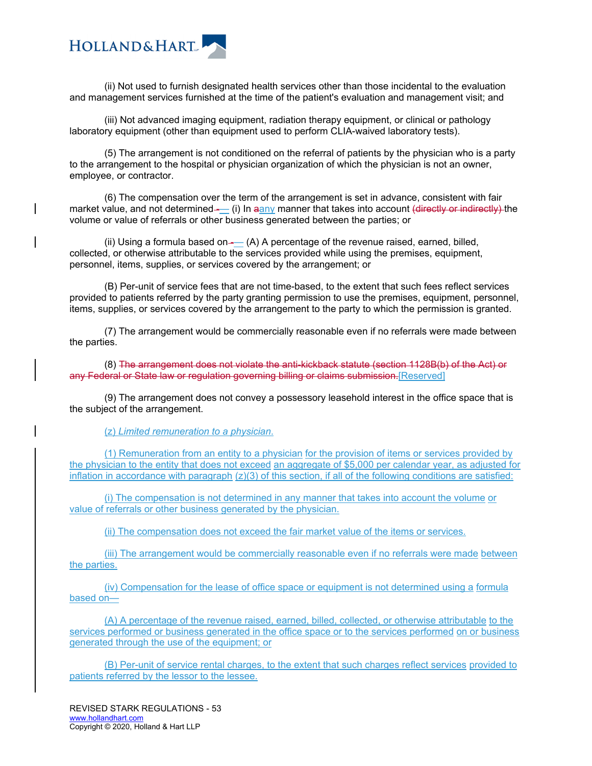

(ii) Not used to furnish designated health services other than those incidental to the evaluation and management services furnished at the time of the patient's evaluation and management visit; and

(iii) Not advanced imaging equipment, radiation therapy equipment, or clinical or pathology laboratory equipment (other than equipment used to perform CLIA-waived laboratory tests).

(5) The arrangement is not conditioned on the referral of patients by the physician who is a party to the arrangement to the hospital or physician organization of which the physician is not an owner, employee, or contractor.

(6) The compensation over the term of the arrangement is set in advance, consistent with fair market value, and not determined—— (i) In aany manner that takes into account (directly or indirectly) the volume or value of referrals or other business generated between the parties; or

(ii) Using a formula based on  $-\left( A \right)$  A percentage of the revenue raised, earned, billed, collected, or otherwise attributable to the services provided while using the premises, equipment, personnel, items, supplies, or services covered by the arrangement; or

(B) Per-unit of service fees that are not time-based, to the extent that such fees reflect services provided to patients referred by the party granting permission to use the premises, equipment, personnel, items, supplies, or services covered by the arrangement to the party to which the permission is granted.

(7) The arrangement would be commercially reasonable even if no referrals were made between the parties.

(8) The arrangement does not violate the anti-kickback statute (section 1128B(b) of the Act) or any Federal or State law or regulation governing billing or claims submission.[Reserved]

(9) The arrangement does not convey a possessory leasehold interest in the office space that is the subject of the arrangement.

(z) *Limited remuneration to a physician*.

(1) Remuneration from an entity to a physician for the provision of items or services provided by the physician to the entity that does not exceed an aggregate of \$5,000 per calendar year, as adjusted for inflation in accordance with paragraph  $(z)(3)$  of this section, if all of the following conditions are satisfied:

(i) The compensation is not determined in any manner that takes into account the volume or value of referrals or other business generated by the physician.

(ii) The compensation does not exceed the fair market value of the items or services.

(iii) The arrangement would be commercially reasonable even if no referrals were made between the parties.

(iv) Compensation for the lease of office space or equipment is not determined using a formula based on—

(A) A percentage of the revenue raised, earned, billed, collected, or otherwise attributable to the services performed or business generated in the office space or to the services performed on or business generated through the use of the equipment; or

(B) Per-unit of service rental charges, to the extent that such charges reflect services provided to patients referred by the lessor to the lessee.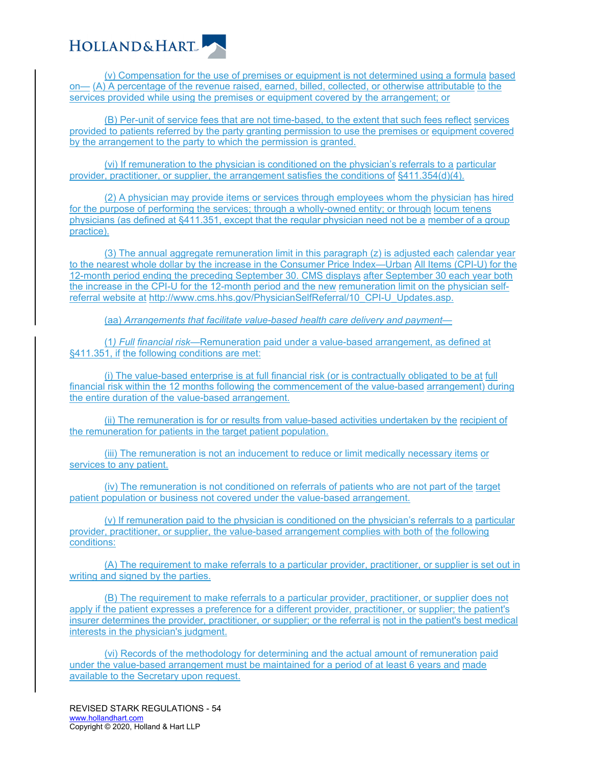

(v) Compensation for the use of premises or equipment is not determined using a formula based on— (A) A percentage of the revenue raised, earned, billed, collected, or otherwise attributable to the services provided while using the premises or equipment covered by the arrangement; or

(B) Per-unit of service fees that are not time-based, to the extent that such fees reflect services provided to patients referred by the party granting permission to use the premises or equipment covered by the arrangement to the party to which the permission is granted.

(vi) If remuneration to the physician is conditioned on the physician's referrals to a particular provider, practitioner, or supplier, the arrangement satisfies the conditions of  $§411.354(d)(4)$ .

(2) A physician may provide items or services through employees whom the physician has hired for the purpose of performing the services; through a wholly-owned entity; or through locum tenens physicians (as defined at §411.351, except that the regular physician need not be a member of a group practice).

(3) The annual aggregate remuneration limit in this paragraph (z) is adjusted each calendar year to the nearest whole dollar by the increase in the Consumer Price Index—Urban All Items (CPI-U) for the 12-month period ending the preceding September 30. CMS displays after September 30 each year both the increase in the CPI-U for the 12-month period and the new remuneration limit on the physician selfreferral website at http://www.cms.hhs.gov/PhysicianSelfReferral/10\_CPI-U\_Updates.asp.

(aa) *Arrangements that facilitate value-based health care delivery and payment*—

(1*) Full financial risk*—Remuneration paid under a value-based arrangement, as defined at §411.351, if the following conditions are met:

(i) The value-based enterprise is at full financial risk (or is contractually obligated to be at full financial risk within the 12 months following the commencement of the value-based arrangement) during the entire duration of the value-based arrangement.

(ii) The remuneration is for or results from value-based activities undertaken by the recipient of the remuneration for patients in the target patient population.

(iii) The remuneration is not an inducement to reduce or limit medically necessary items or services to any patient.

(iv) The remuneration is not conditioned on referrals of patients who are not part of the target patient population or business not covered under the value-based arrangement.

(v) If remuneration paid to the physician is conditioned on the physician's referrals to a particular provider, practitioner, or supplier, the value-based arrangement complies with both of the following conditions:

(A) The requirement to make referrals to a particular provider, practitioner, or supplier is set out in writing and signed by the parties.

(B) The requirement to make referrals to a particular provider, practitioner, or supplier does not apply if the patient expresses a preference for a different provider, practitioner, or supplier; the patient's insurer determines the provider, practitioner, or supplier; or the referral is not in the patient's best medical interests in the physician's judgment.

(vi) Records of the methodology for determining and the actual amount of remuneration paid under the value-based arrangement must be maintained for a period of at least 6 years and made available to the Secretary upon request.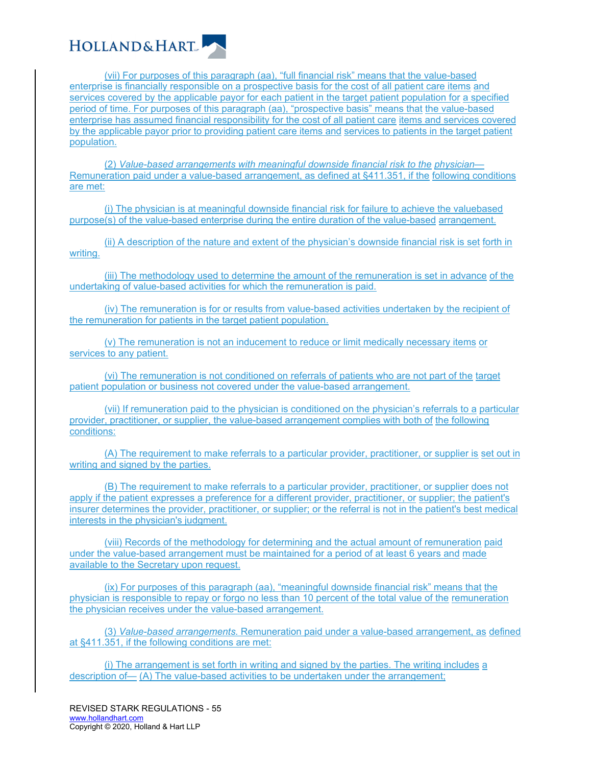

(vii) For purposes of this paragraph (aa), "full financial risk" means that the value-based enterprise is financially responsible on a prospective basis for the cost of all patient care items and services covered by the applicable payor for each patient in the target patient population for a specified period of time. For purposes of this paragraph (aa), "prospective basis" means that the value-based enterprise has assumed financial responsibility for the cost of all patient care items and services covered by the applicable payor prior to providing patient care items and services to patients in the target patient population.

(2) *Value-based arrangements with meaningful downside financial risk to the physician*— Remuneration paid under a value-based arrangement, as defined at §411.351, if the following conditions are met:

(i) The physician is at meaningful downside financial risk for failure to achieve the valuebased purpose(s) of the value-based enterprise during the entire duration of the value-based arrangement.

(ii) A description of the nature and extent of the physician's downside financial risk is set forth in writing.

(iii) The methodology used to determine the amount of the remuneration is set in advance of the undertaking of value-based activities for which the remuneration is paid.

(iv) The remuneration is for or results from value-based activities undertaken by the recipient of the remuneration for patients in the target patient population.

(v) The remuneration is not an inducement to reduce or limit medically necessary items or services to any patient.

(vi) The remuneration is not conditioned on referrals of patients who are not part of the target patient population or business not covered under the value-based arrangement.

(vii) If remuneration paid to the physician is conditioned on the physician's referrals to a particular provider, practitioner, or supplier, the value-based arrangement complies with both of the following conditions:

(A) The requirement to make referrals to a particular provider, practitioner, or supplier is set out in writing and signed by the parties.

(B) The requirement to make referrals to a particular provider, practitioner, or supplier does not apply if the patient expresses a preference for a different provider, practitioner, or supplier; the patient's insurer determines the provider, practitioner, or supplier; or the referral is not in the patient's best medical interests in the physician's judgment.

(viii) Records of the methodology for determining and the actual amount of remuneration paid under the value-based arrangement must be maintained for a period of at least 6 years and made available to the Secretary upon request.

(ix) For purposes of this paragraph (aa), "meaningful downside financial risk" means that the physician is responsible to repay or forgo no less than 10 percent of the total value of the remuneration the physician receives under the value-based arrangement.

(3) *Value-based arrangements.* Remuneration paid under a value-based arrangement, as defined at §411.351, if the following conditions are met:

(i) The arrangement is set forth in writing and signed by the parties. The writing includes a description of— (A) The value-based activities to be undertaken under the arrangement;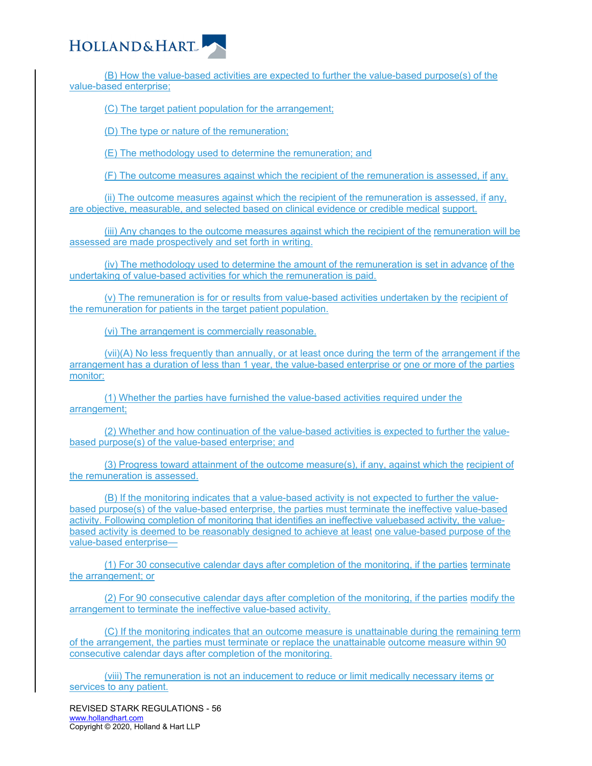## HOLLAND&HART

(B) How the value-based activities are expected to further the value-based purpose(s) of the value-based enterprise;

(C) The target patient population for the arrangement;

(D) The type or nature of the remuneration;

(E) The methodology used to determine the remuneration; and

(F) The outcome measures against which the recipient of the remuneration is assessed, if any.

(ii) The outcome measures against which the recipient of the remuneration is assessed, if any, are objective, measurable, and selected based on clinical evidence or credible medical support.

(iii) Any changes to the outcome measures against which the recipient of the remuneration will be assessed are made prospectively and set forth in writing.

(iv) The methodology used to determine the amount of the remuneration is set in advance of the undertaking of value-based activities for which the remuneration is paid.

(v) The remuneration is for or results from value-based activities undertaken by the recipient of the remuneration for patients in the target patient population.

(vi) The arrangement is commercially reasonable.

(vii)(A) No less frequently than annually, or at least once during the term of the arrangement if the arrangement has a duration of less than 1 year, the value-based enterprise or one or more of the parties monitor:

(1) Whether the parties have furnished the value-based activities required under the arrangement;

(2) Whether and how continuation of the value-based activities is expected to further the valuebased purpose(s) of the value-based enterprise; and

(3) Progress toward attainment of the outcome measure(s), if any, against which the recipient of the remuneration is assessed.

(B) If the monitoring indicates that a value-based activity is not expected to further the valuebased purpose(s) of the value-based enterprise, the parties must terminate the ineffective value-based activity. Following completion of monitoring that identifies an ineffective valuebased activity, the valuebased activity is deemed to be reasonably designed to achieve at least one value-based purpose of the value-based enterprise—

(1) For 30 consecutive calendar days after completion of the monitoring, if the parties terminate the arrangement; or

(2) For 90 consecutive calendar days after completion of the monitoring, if the parties modify the arrangement to terminate the ineffective value-based activity.

(C) If the monitoring indicates that an outcome measure is unattainable during the remaining term of the arrangement, the parties must terminate or replace the unattainable outcome measure within 90 consecutive calendar days after completion of the monitoring.

(viii) The remuneration is not an inducement to reduce or limit medically necessary items or services to any patient.

REVISED STARK REGULATIONS - 56 www.hollandhart.com Copyright © 2020, Holland & Hart LLP